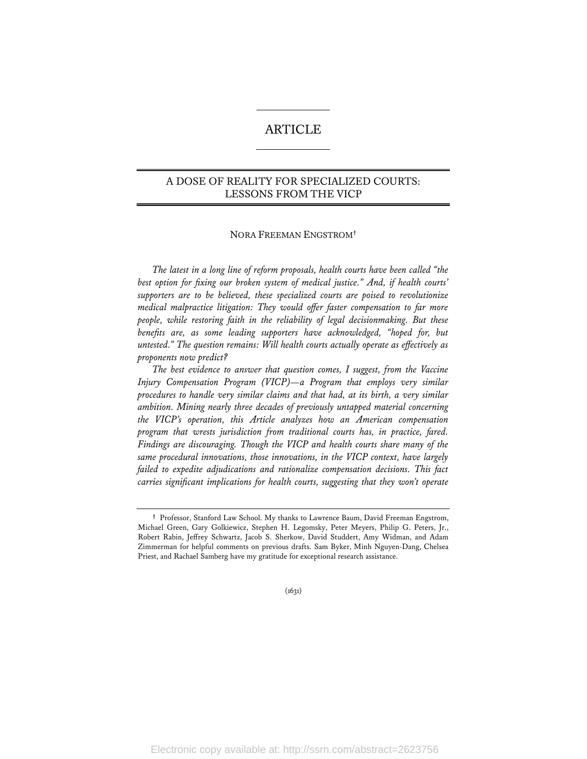# ARTICLE

# A DOSE OF REALITY FOR SPECIALIZED COURTS: LESSONS FROM THE VICP

### NORA FREEMAN ENGSTROM**†**

*The latest in a long line of reform proposals, health courts have been called "the best option for fixing our broken system of medical justice." And, if health courts' supporters are to be believed, these specialized courts are poised to revolutionize medical malpractice litigation: They would offer faster compensation to far more people, while restoring faith in the reliability of legal decisionmaking. But these benefits are, as some leading supporters have acknowledged, "hoped for, but untested." The question remains: Will health courts actually operate as effectively as proponents now predict?* 

*The best evidence to answer that question comes, I suggest, from the Vaccine Injury Compensation Program (VICP)—a Program that employs very similar procedures to handle very similar claims and that had, at its birth, a very similar ambition. Mining nearly three decades of previously untapped material concerning the VICP's operation, this Article analyzes how an American compensation program that wrests jurisdiction from traditional courts has, in practice, fared. Findings are discouraging. Though the VICP and health courts share many of the same procedural innovations, those innovations, in the VICP context, have largely*  failed to expedite adjudications and rationalize compensation decisions. This fact *carries significant implications for health courts, suggesting that they won't operate* 

(1631)

**<sup>†</sup>** Professor, Stanford Law School. My thanks to Lawrence Baum, David Freeman Engstrom, Michael Green, Gary Golkiewicz, Stephen H. Legomsky, Peter Meyers, Philip G. Peters, Jr., Robert Rabin, Jeffrey Schwartz, Jacob S. Sherkow, David Studdert, Amy Widman, and Adam Zimmerman for helpful comments on previous drafts. Sam Byker, Minh Nguyen-Dang, Chelsea Priest, and Rachael Samberg have my gratitude for exceptional research assistance.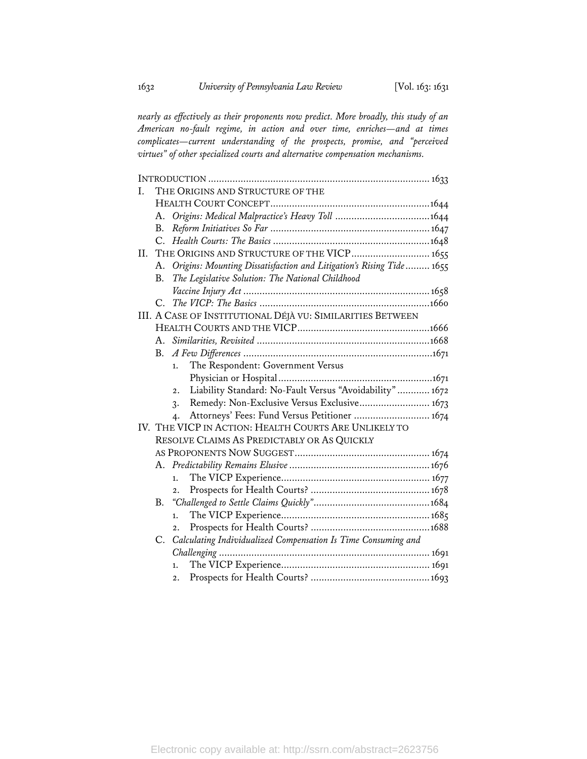*nearly as effectively as their proponents now predict. More broadly, this study of an American no-fault regime, in action and over time, enriches—and at times complicates—current understanding of the prospects, promise, and "perceived virtues" of other specialized courts and alternative compensation mechanisms.* 

| Ι.  |                                                            | THE ORIGINS AND STRUCTURE OF THE                                     |  |  |  |
|-----|------------------------------------------------------------|----------------------------------------------------------------------|--|--|--|
|     |                                                            |                                                                      |  |  |  |
|     |                                                            |                                                                      |  |  |  |
|     | <b>B.</b>                                                  |                                                                      |  |  |  |
|     | C.                                                         |                                                                      |  |  |  |
| II. | THE ORIGINS AND STRUCTURE OF THE VICP 1655                 |                                                                      |  |  |  |
|     | A.                                                         | Origins: Mounting Dissatisfaction and Litigation's Rising Tide  1655 |  |  |  |
|     | B.                                                         | The Legislative Solution: The National Childhood                     |  |  |  |
|     |                                                            |                                                                      |  |  |  |
|     |                                                            |                                                                      |  |  |  |
|     | III. A CASE OF INSTITUTIONAL DÉJÀ VU: SIMILARITIES BETWEEN |                                                                      |  |  |  |
|     |                                                            |                                                                      |  |  |  |
|     |                                                            |                                                                      |  |  |  |
|     | B.                                                         |                                                                      |  |  |  |
|     |                                                            | The Respondent: Government Versus<br>1.                              |  |  |  |
|     |                                                            |                                                                      |  |  |  |
|     |                                                            | Liability Standard: No-Fault Versus "Avoidability"  1672<br>2.       |  |  |  |
|     |                                                            | Remedy: Non-Exclusive Versus Exclusive 1673<br>$\mathbf{3}$          |  |  |  |
|     |                                                            | Attorneys' Fees: Fund Versus Petitioner  1674<br>4.                  |  |  |  |
|     |                                                            | IV. THE VICP IN ACTION: HEALTH COURTS ARE UNLIKELY TO                |  |  |  |
|     |                                                            | RESOLVE CLAIMS AS PREDICTABLY OR AS QUICKLY                          |  |  |  |
|     |                                                            |                                                                      |  |  |  |
|     | А.                                                         |                                                                      |  |  |  |
|     |                                                            | 1.                                                                   |  |  |  |
|     |                                                            | $\overline{2}$ .                                                     |  |  |  |
|     |                                                            |                                                                      |  |  |  |
|     |                                                            | 1.                                                                   |  |  |  |
|     |                                                            | $\overline{2}$ .                                                     |  |  |  |
|     | C.                                                         | Calculating Individualized Compensation Is Time Consuming and        |  |  |  |
|     |                                                            |                                                                      |  |  |  |
|     |                                                            | 1.                                                                   |  |  |  |
|     |                                                            | $\overline{2}$ .                                                     |  |  |  |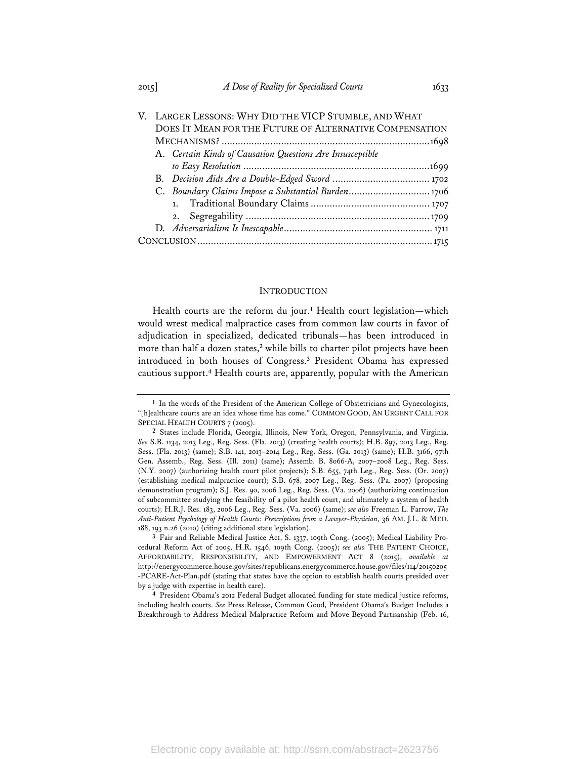|  |                                                         | V. LARGER LESSONS: WHY DID THE VICP STUMBLE, AND WHAT     |  |  |  |  |  |
|--|---------------------------------------------------------|-----------------------------------------------------------|--|--|--|--|--|
|  | DOES IT MEAN FOR THE FUTURE OF ALTERNATIVE COMPENSATION |                                                           |  |  |  |  |  |
|  |                                                         |                                                           |  |  |  |  |  |
|  |                                                         | A. Certain Kinds of Causation Questions Are Insusceptible |  |  |  |  |  |
|  |                                                         |                                                           |  |  |  |  |  |
|  |                                                         |                                                           |  |  |  |  |  |
|  | C. Boundary Claims Impose a Substantial Burden1706      |                                                           |  |  |  |  |  |
|  |                                                         |                                                           |  |  |  |  |  |
|  |                                                         |                                                           |  |  |  |  |  |
|  |                                                         |                                                           |  |  |  |  |  |
|  |                                                         |                                                           |  |  |  |  |  |
|  |                                                         |                                                           |  |  |  |  |  |

### **INTRODUCTION**

Health courts are the reform du jour.**<sup>1</sup>** Health court legislation—which would wrest medical malpractice cases from common law courts in favor of adjudication in specialized, dedicated tribunals—has been introduced in more than half a dozen states,**<sup>2</sup>** while bills to charter pilot projects have been introduced in both houses of Congress.**<sup>3</sup>** President Obama has expressed cautious support.**<sup>4</sup>** Health courts are, apparently, popular with the American

**<sup>1</sup>** In the words of the President of the American College of Obstetricians and Gynecologists, "[h]ealthcare courts are an idea whose time has come." COMMON GOOD, AN URGENT CALL FOR SPECIAL HEALTH COURTS 7 (2005).

**<sup>2</sup>** States include Florida, Georgia, Illinois, New York, Oregon, Pennsylvania, and Virginia. *See* S.B. 1134, 2013 Leg., Reg. Sess. (Fla. 2013) (creating health courts); H.B. 897, 2013 Leg., Reg. Sess. (Fla. 2013) (same); S.B. 141, 2013–2014 Leg., Reg. Sess. (Ga. 2013) (same); H.B. 3166, 97th Gen. Assemb., Reg. Sess. (Ill. 2011) (same); Assemb. B. 8066-A, 2007–2008 Leg., Reg. Sess. (N.Y. 2007) (authorizing health court pilot projects); S.B. 655, 74th Leg., Reg. Sess. (Or. 2007) (establishing medical malpractice court); S.B. 678, 2007 Leg., Reg. Sess. (Pa. 2007) (proposing demonstration program); S.J. Res. 90, 2006 Leg., Reg. Sess. (Va. 2006) (authorizing continuation of subcommittee studying the feasibility of a pilot health court, and ultimately a system of health courts); H.R.J. Res. 183, 2006 Leg., Reg. Sess. (Va. 2006) (same); *see also* Freeman L. Farrow, *The Anti-Patient Psychology of Health Courts: Prescriptions from a Lawyer-Physician*, 36 AM. J.L. & MED. 188, 193 n.26 (2010) (citing additional state legislation).

**<sup>3</sup>** Fair and Reliable Medical Justice Act, S. 1337, 109th Cong. (2005); Medical Liability Procedural Reform Act of 2005, H.R. 1546, 109th Cong. (2005); *see also* THE PATIENT CHOICE, AFFORDABILITY, RESPONSIBILITY, AND EMPOWERMENT ACT 8 (2015), *available at* http://energycommerce.house.gov/sites/republicans.energycommerce.house.gov/files/114/20150205 -PCARE-Act-Plan.pdf (stating that states have the option to establish health courts presided over by a judge with expertise in health care).

**<sup>4</sup>** President Obama's 2012 Federal Budget allocated funding for state medical justice reforms, including health courts. *See* Press Release, Common Good, President Obama's Budget Includes a Breakthrough to Address Medical Malpractice Reform and Move Beyond Partisanship (Feb. 16,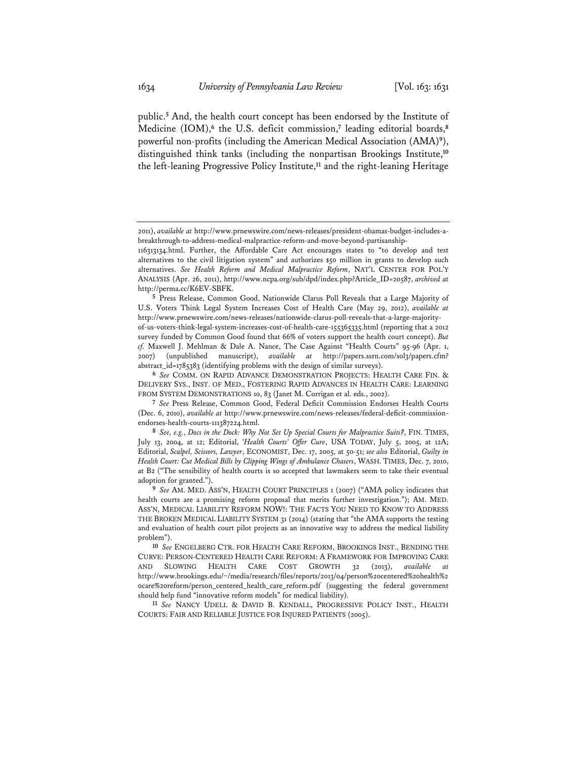public.**<sup>5</sup>** And, the health court concept has been endorsed by the Institute of Medicine (IOM),**<sup>6</sup>** the U.S. deficit commission,**<sup>7</sup>** leading editorial boards,**<sup>8</sup>** powerful non-profits (including the American Medical Association (AMA)**<sup>9</sup>**), distinguished think tanks (including the nonpartisan Brookings Institute,**<sup>10</sup>** the left-leaning Progressive Policy Institute,**<sup>11</sup>** and the right-leaning Heritage

**5** Press Release, Common Good, Nationwide Clarus Poll Reveals that a Large Majority of U.S. Voters Think Legal System Increases Cost of Health Care (May 29, 2012), *available at* http://www.prnewswire.com/news-releases/nationwide-clarus-poll-reveals-that-a-large-majorityof-us-voters-think-legal-system-increases-cost-of-health-care-155365335.html (reporting that a 2012 survey funded by Common Good found that 66% of voters support the health court concept). *But cf.* Maxwell J. Mehlman & Dale A. Nance, The Case Against "Health Courts" 95-96 (Apr. 1, 2007) (unpublished manuscript), *available at* http://papers.ssrn.com/sol3/papers.cfm? abstract\_id=1785383 (identifying problems with the design of similar surveys).

<sup>2011),</sup> *available at* http://www.prnewswire.com/news-releases/president-obamas-budget-includes-abreakthrough-to-address-medical-malpractice-reform-and-move-beyond-partisanship-

<sup>116313134.</sup>html. Further, the Affordable Care Act encourages states to "to develop and test alternatives to the civil litigation system" and authorizes \$50 million in grants to develop such alternatives. *See Health Reform and Medical Malpractice Reform*, NAT'L CENTER FOR POL'Y ANALYSIS (Apr. 26, 2011), http://www.ncpa.org/sub/dpd/index.php?Article\_ID=20587, *archived at* http://perma.cc/K6EV-SBFK.

**<sup>6</sup>** *See* COMM. ON RAPID ADVANCE DEMONSTRATION PROJECTS: HEALTH CARE FIN. & DELIVERY SYS., INST. OF MED., FOSTERING RAPID ADVANCES IN HEALTH CARE: LEARNING FROM SYSTEM DEMONSTRATIONS 10, 83 (Janet M. Corrigan et al. eds., 2002).

**<sup>7</sup>** *See* Press Release, Common Good, Federal Deficit Commission Endorses Health Courts (Dec. 6, 2010), *available at* http://www.prnewswire.com/news-releases/federal-deficit-commissionendorses-health-courts-111387224.html.

**<sup>8</sup>** *See, e.g.*, *Docs in the Dock: Why Not Set Up Special Courts for Malpractice Suits?*, FIN. TIMES, July 13, 2004, at 12; Editorial, *'Health Courts' Offer Cure*, USA TODAY, July 5, 2005, at 12A; Editorial, *Scalpel, Scissors, Lawyer*, ECONOMIST, Dec. 17, 2005, at 50-51; *see also* Editorial, *Guilty in Health Court: Cut Medical Bills by Clipping Wings of Ambulance Chasers*, WASH. TIMES, Dec. 7, 2010, at B2 ("The sensibility of health courts is so accepted that lawmakers seem to take their eventual adoption for granted.").

**<sup>9</sup>** *See* AM. MED. ASS'N, HEALTH COURT PRINCIPLES 1 (2007) ("AMA policy indicates that health courts are a promising reform proposal that merits further investigation."); AM. MED. ASS'N, MEDICAL LIABILITY REFORM NOW!: THE FACTS YOU NEED TO KNOW TO ADDRESS THE BROKEN MEDICAL LIABILITY SYSTEM 31 (2014) (stating that "the AMA supports the testing and evaluation of health court pilot projects as an innovative way to address the medical liability problem").

**<sup>10</sup>** *See* ENGELBERG CTR. FOR HEALTH CARE REFORM, BROOKINGS INST., BENDING THE CURVE: PERSON-CENTERED HEALTH CARE REFORM: A FRAMEWORK FOR IMPROVING CARE AND SLOWING HEALTH CARE COST GROWTH 32 (2013), *available at* http://www.brookings.edu/~/media/research/files/reports/2013/04/person%20centered%20health%2 0care%20reform/person\_centered\_health\_care\_reform.pdf (suggesting the federal government should help fund "innovative reform models" for medical liability).

**<sup>11</sup>** *See* NANCY UDELL & DAVID B. KENDALL, PROGRESSIVE POLICY INST., HEALTH COURTS: FAIR AND RELIABLE JUSTICE FOR INJURED PATIENTS (2005).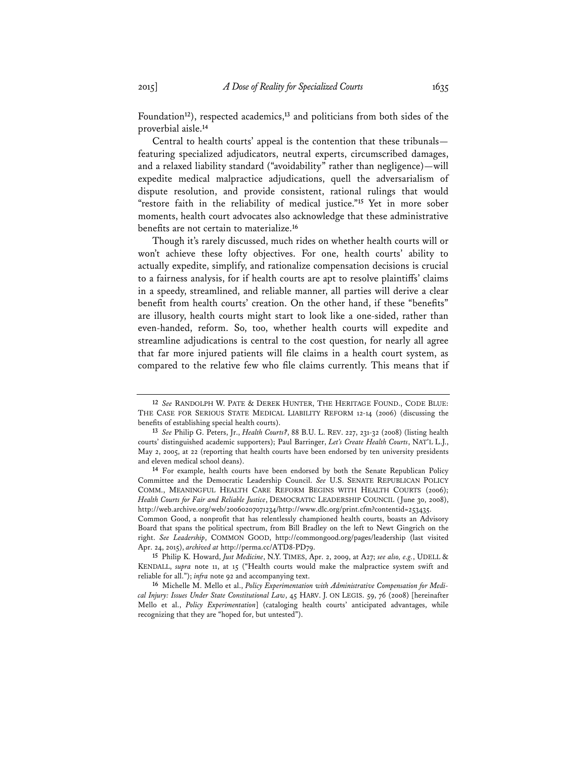Foundation**<sup>12</sup>**), respected academics,**<sup>13</sup>** and politicians from both sides of the proverbial aisle.**<sup>14</sup>**

Central to health courts' appeal is the contention that these tribunals featuring specialized adjudicators, neutral experts, circumscribed damages, and a relaxed liability standard ("avoidability" rather than negligence)—will expedite medical malpractice adjudications, quell the adversarialism of dispute resolution, and provide consistent, rational rulings that would "restore faith in the reliability of medical justice."**<sup>15</sup>** Yet in more sober moments, health court advocates also acknowledge that these administrative benefits are not certain to materialize.**<sup>16</sup>**

Though it's rarely discussed, much rides on whether health courts will or won't achieve these lofty objectives. For one, health courts' ability to actually expedite, simplify, and rationalize compensation decisions is crucial to a fairness analysis, for if health courts are apt to resolve plaintiffs' claims in a speedy, streamlined, and reliable manner, all parties will derive a clear benefit from health courts' creation. On the other hand, if these "benefits" are illusory, health courts might start to look like a one-sided, rather than even-handed, reform. So, too, whether health courts will expedite and streamline adjudications is central to the cost question, for nearly all agree that far more injured patients will file claims in a health court system, as compared to the relative few who file claims currently. This means that if

**15** Philip K. Howard, *Just Medicine*, N.Y. TIMES, Apr. 2, 2009, at A27; *see also, e.g.*, UDELL & KENDALL, *supra* note 11, at 15 ("Health courts would make the malpractice system swift and reliable for all."); *infra* note 92 and accompanying text.

**<sup>12</sup>** *See* RANDOLPH W. PATE & DEREK HUNTER, THE HERITAGE FOUND., CODE BLUE: THE CASE FOR SERIOUS STATE MEDICAL LIABILITY REFORM 12-14 (2006) (discussing the benefits of establishing special health courts).

**<sup>13</sup>** *See* Philip G. Peters, Jr., *Health Courts?*, 88 B.U. L. REV. 227, 231-32 (2008) (listing health courts' distinguished academic supporters); Paul Barringer, *Let's Create Health Courts*, NAT'L L.J., May 2, 2005, at 22 (reporting that health courts have been endorsed by ten university presidents and eleven medical school deans).

**<sup>14</sup>** For example, health courts have been endorsed by both the Senate Republican Policy Committee and the Democratic Leadership Council. *See* U.S. SENATE REPUBLICAN POLICY COMM., MEANINGFUL HEALTH CARE REFORM BEGINS WITH HEALTH COURTS (2006); *Health Courts for Fair and Reliable Justice*, DEMOCRATIC LEADERSHIP COUNCIL (June 30, 2008), http://web.archive.org/web/20060207071234/http://www.dlc.org/print.cfm?contentid=253435.

Common Good, a nonprofit that has relentlessly championed health courts, boasts an Advisory Board that spans the political spectrum, from Bill Bradley on the left to Newt Gingrich on the right. *See Leadership*, COMMON GOOD, http://commongood.org/pages/leadership (last visited Apr. 24, 2015), *archived at* http://perma.cc/ATD8-PD79.

**<sup>16</sup>** Michelle M. Mello et al., *Policy Experimentation with Administrative Compensation for Medical Injury: Issues Under State Constitutional Law*, 45 HARV. J. ON LEGIS. 59, 76 (2008) [hereinafter Mello et al., *Policy Experimentation*] (cataloging health courts' anticipated advantages, while recognizing that they are "hoped for, but untested").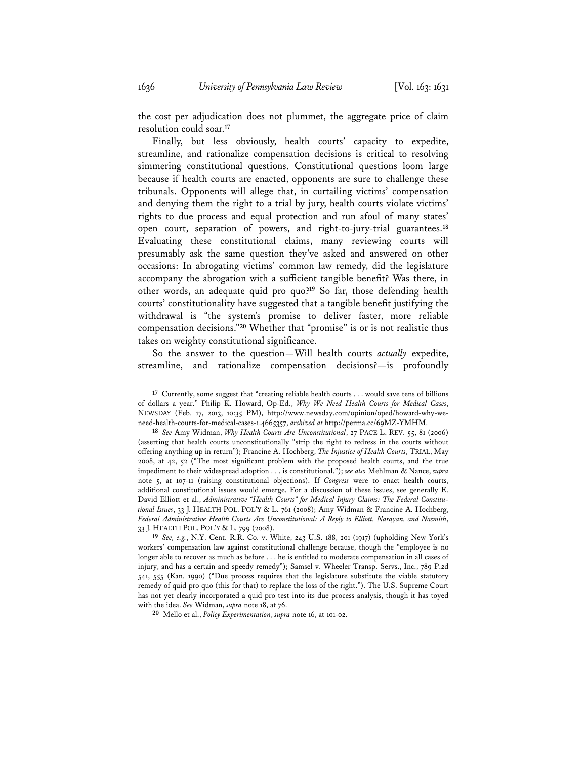the cost per adjudication does not plummet, the aggregate price of claim resolution could soar.**<sup>17</sup>**

Finally, but less obviously, health courts' capacity to expedite, streamline, and rationalize compensation decisions is critical to resolving simmering constitutional questions. Constitutional questions loom large because if health courts are enacted, opponents are sure to challenge these tribunals. Opponents will allege that, in curtailing victims' compensation and denying them the right to a trial by jury, health courts violate victims' rights to due process and equal protection and run afoul of many states' open court, separation of powers, and right-to-jury-trial guarantees.**<sup>18</sup>** Evaluating these constitutional claims, many reviewing courts will presumably ask the same question they've asked and answered on other occasions: In abrogating victims' common law remedy, did the legislature accompany the abrogation with a sufficient tangible benefit? Was there, in other words, an adequate quid pro quo?**<sup>19</sup>** So far, those defending health courts' constitutionality have suggested that a tangible benefit justifying the withdrawal is "the system's promise to deliver faster, more reliable compensation decisions."**<sup>20</sup>** Whether that "promise" is or is not realistic thus takes on weighty constitutional significance.

So the answer to the question—Will health courts *actually* expedite, streamline, and rationalize compensation decisions?—is profoundly

**<sup>17</sup>** Currently, some suggest that "creating reliable health courts . . . would save tens of billions of dollars a year." Philip K. Howard, Op-Ed., *Why We Need Health Courts for Medical Cases*, NEWSDAY (Feb. 17, 2013, 10:35 PM), http://www.newsday.com/opinion/oped/howard-why-weneed-health-courts-for-medical-cases-1.4665357, *archived at* http://perma.cc/69MZ-YMHM.

**<sup>18</sup>** *See* Amy Widman, *Why Health Courts Are Unconstitutional*, 27 PACE L. REV. 55, 81 (2006) (asserting that health courts unconstitutionally "strip the right to redress in the courts without offering anything up in return"); Francine A. Hochberg, *The Injustice of Health Courts*, TRIAL, May 2008, at 42, 52 ("The most significant problem with the proposed health courts, and the true impediment to their widespread adoption . . . is constitutional."); *see also* Mehlman & Nance, *supra* note 5, at 107-11 (raising constitutional objections). If *Congress* were to enact health courts, additional constitutional issues would emerge. For a discussion of these issues, see generally E. David Elliott et al., *Administrative "Health Courts" for Medical Injury Claims: The Federal Constitutional Issues*, 33 J. HEALTH POL. POL'Y & L. 761 (2008); Amy Widman & Francine A. Hochberg, *Federal Administrative Health Courts Are Unconstitutional: A Reply to Elliott, Narayan, and Nasmith*, 33 J. HEALTH POL. POL'Y & L. 799 (2008).

**<sup>19</sup>** *See, e.g.*, N.Y. Cent. R.R. Co. v. White, 243 U.S. 188, 201 (1917) (upholding New York's workers' compensation law against constitutional challenge because, though the "employee is no longer able to recover as much as before . . . he is entitled to moderate compensation in all cases of injury, and has a certain and speedy remedy"); Samsel v. Wheeler Transp. Servs., Inc., 789 P.2d 541, 555 (Kan. 1990) ("Due process requires that the legislature substitute the viable statutory remedy of quid pro quo (this for that) to replace the loss of the right."). The U.S. Supreme Court has not yet clearly incorporated a quid pro test into its due process analysis, though it has toyed with the idea. *See* Widman, *supra* note 18, at 76.

**<sup>20</sup>** Mello et al., *Policy Experimentation*, *supra* note 16, at 101-02.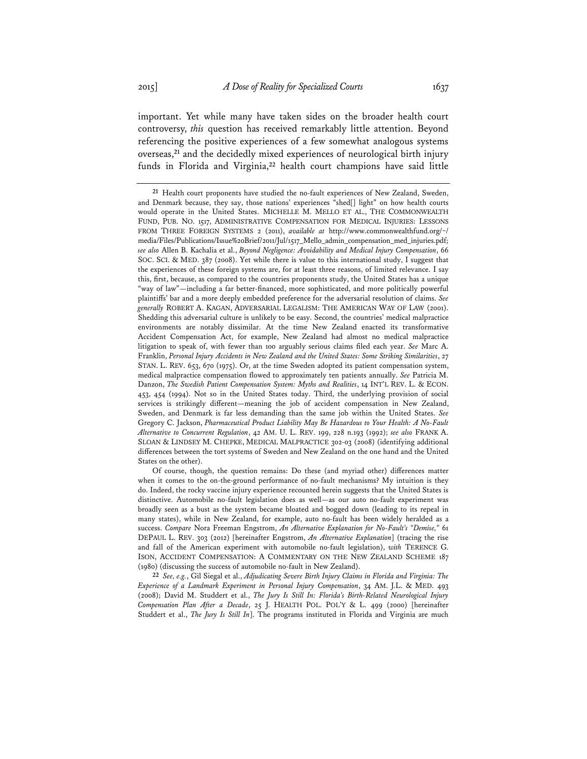important. Yet while many have taken sides on the broader health court controversy, *this* question has received remarkably little attention. Beyond referencing the positive experiences of a few somewhat analogous systems overseas,**<sup>21</sup>** and the decidedly mixed experiences of neurological birth injury funds in Florida and Virginia,**<sup>22</sup>** health court champions have said little

**22** *See, e.g.*, Gil Siegal et al., *Adjudicating Severe Birth Injury Claims in Florida and Virginia: The Experience of a Landmark Experiment in Personal Injury Compensation*, 34 AM. J.L. & MED. 493 (2008); David M. Studdert et al., *The Jury Is Still In: Florida's Birth-Related Neurological Injury Compensation Plan After a Decade*, 25 J. HEALTH POL. POL'Y & L. 499 (2000) [hereinafter Studdert et al., *The Jury Is Still In*]. The programs instituted in Florida and Virginia are much

**<sup>21</sup>** Health court proponents have studied the no-fault experiences of New Zealand, Sweden, and Denmark because, they say, those nations' experiences "shed[] light" on how health courts would operate in the United States. MICHELLE M. MELLO ET AL., THE COMMONWEALTH FUND, PUB. NO. 1517, ADMINISTRATIVE COMPENSATION FOR MEDICAL INJURIES: LESSONS FROM THREE FOREIGN SYSTEMS 2 (2011), *available at* http://www.commonwealthfund.org/~/ media/Files/Publications/Issue%20Brief/2011/Jul/1517\_Mello\_admin\_compensation\_med\_injuries.pdf; *see also* Allen B. Kachalia et al., *Beyond Negligence: Avoidability and Medical Injury Compensation*, 66 SOC. SCI. & MED. 387 (2008). Yet while there is value to this international study, I suggest that the experiences of these foreign systems are, for at least three reasons, of limited relevance. I say this, first, because, as compared to the countries proponents study, the United States has a unique "way of law"—including a far better-financed, more sophisticated, and more politically powerful plaintiffs' bar and a more deeply embedded preference for the adversarial resolution of claims. *See generally* ROBERT A. KAGAN, ADVERSARIAL LEGALISM: THE AMERICAN WAY OF LAW (2001). Shedding this adversarial culture is unlikely to be easy. Second, the countries' medical malpractice environments are notably dissimilar. At the time New Zealand enacted its transformative Accident Compensation Act, for example, New Zealand had almost no medical malpractice litigation to speak of, with fewer than 100 arguably serious claims filed each year. *See* Marc A. Franklin, *Personal Injury Accidents in New Zealand and the United States: Some Striking Similarities*, 27 STAN. L. REV. 653, 670 (1975). Or, at the time Sweden adopted its patient compensation system, medical malpractice compensation flowed to approximately ten patients annually. *See* Patricia M. Danzon, *The Swedish Patient Compensation System: Myths and Realities*, 14 INT'L REV. L. & ECON. 453, 454 (1994). Not so in the United States today. Third, the underlying provision of social services is strikingly different—meaning the job of accident compensation in New Zealand, Sweden, and Denmark is far less demanding than the same job within the United States. *See* Gregory C. Jackson, *Pharmaceutical Product Liability May Be Hazardous to Your Health: A No-Fault Alternative to Concurrent Regulation*, 42 AM. U. L. REV. 199, 228 n.193 (1992); *see also* FRANK A. SLOAN & LINDSEY M. CHEPKE, MEDICAL MALPRACTICE 302-03 (2008) (identifying additional differences between the tort systems of Sweden and New Zealand on the one hand and the United States on the other).

Of course, though, the question remains: Do these (and myriad other) differences matter when it comes to the on-the-ground performance of no-fault mechanisms? My intuition is they do. Indeed, the rocky vaccine injury experience recounted herein suggests that the United States is distinctive. Automobile no-fault legislation does as well—as our auto no-fault experiment was broadly seen as a bust as the system became bloated and bogged down (leading to its repeal in many states), while in New Zealand, for example, auto no-fault has been widely heralded as a success. *Compare* Nora Freeman Engstrom, *An Alternative Explanation for No-Fault's "Demise,"* 61 DEPAUL L. REV. 303 (2012) [hereinafter Engstrom, *An Alternative Explanation*] (tracing the rise and fall of the American experiment with automobile no-fault legislation), *with* TERENCE G. ISON, ACCIDENT COMPENSATION: A COMMENTARY ON THE NEW ZEALAND SCHEME 187 (1980) (discussing the success of automobile no-fault in New Zealand).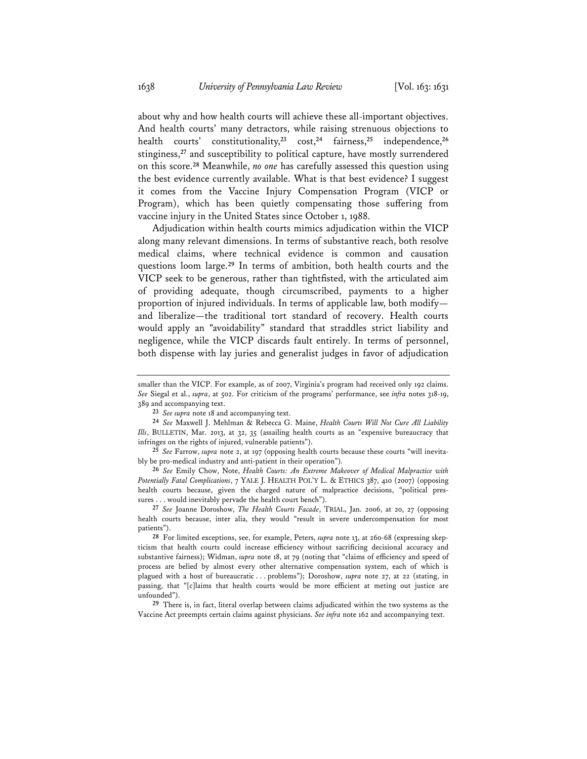about why and how health courts will achieve these all-important objectives. And health courts' many detractors, while raising strenuous objections to health courts' constitutionality,**<sup>23</sup>** cost,**<sup>24</sup>** fairness,**<sup>25</sup>** independence,**<sup>26</sup>** stinginess,**<sup>27</sup>** and susceptibility to political capture, have mostly surrendered on this score.**<sup>28</sup>** Meanwhile, *no one* has carefully assessed this question using the best evidence currently available. What is that best evidence? I suggest it comes from the Vaccine Injury Compensation Program (VICP or Program), which has been quietly compensating those suffering from vaccine injury in the United States since October 1, 1988.

Adjudication within health courts mimics adjudication within the VICP along many relevant dimensions. In terms of substantive reach, both resolve medical claims, where technical evidence is common and causation questions loom large.**<sup>29</sup>** In terms of ambition, both health courts and the VICP seek to be generous, rather than tightfisted, with the articulated aim of providing adequate, though circumscribed, payments to a higher proportion of injured individuals. In terms of applicable law, both modify and liberalize—the traditional tort standard of recovery. Health courts would apply an "avoidability" standard that straddles strict liability and negligence, while the VICP discards fault entirely. In terms of personnel, both dispense with lay juries and generalist judges in favor of adjudication

**26** *See* Emily Chow, Note, *Health Courts: An Extreme Makeover of Medical Malpractice with Potentially Fatal Complications*, 7 YALE J. HEALTH POL'Y L. & ETHICS 387, 410 (2007) (opposing health courts because, given the charged nature of malpractice decisions, "political pressures . . . would inevitably pervade the health court bench").

**27** *See* Joanne Doroshow, *The Health Courts Facade*, TRIAL, Jan. 2006, at 20, 27 (opposing health courts because, inter alia, they would "result in severe undercompensation for most patients").

**28** For limited exceptions, see, for example, Peters, *supra* note 13, at 260-68 (expressing skepticism that health courts could increase efficiency without sacrificing decisional accuracy and substantive fairness); Widman, *supra* note 18, at 79 (noting that "claims of efficiency and speed of process are belied by almost every other alternative compensation system, each of which is plagued with a host of bureaucratic . . . problems"); Doroshow, *supra* note 27, at 22 (stating, in passing, that "[c]laims that health courts would be more efficient at meting out justice are unfounded").

**29** There is, in fact, literal overlap between claims adjudicated within the two systems as the Vaccine Act preempts certain claims against physicians. *See infra* note 162 and accompanying text.

smaller than the VICP. For example, as of 2007, Virginia's program had received only 192 claims. *See* Siegal et al., *supra*, at 502. For criticism of the programs' performance, see *infra* notes 318-19, 389 and accompanying text.

**<sup>23</sup>** *See supra* note 18 and accompanying text.

**<sup>24</sup>** *See* Maxwell J. Mehlman & Rebecca G. Maine, *Health Courts Will Not Cure All Liability Ills*, BULLETIN, Mar. 2013, at 32, 35 (assailing health courts as an "expensive bureaucracy that infringes on the rights of injured, vulnerable patients").

**<sup>25</sup>** *See* Farrow, *supra* note 2, at 197 (opposing health courts because these courts "will inevitably be pro-medical industry and anti-patient in their operation").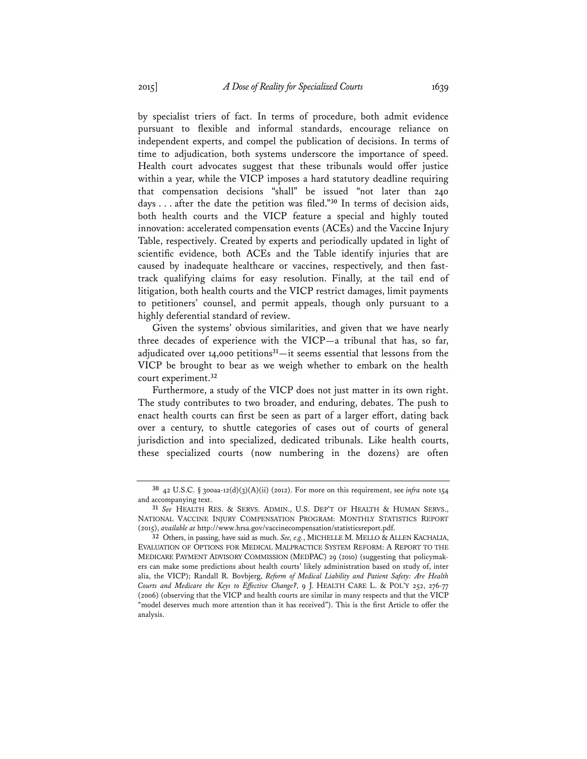by specialist triers of fact. In terms of procedure, both admit evidence pursuant to flexible and informal standards, encourage reliance on independent experts, and compel the publication of decisions. In terms of time to adjudication, both systems underscore the importance of speed. Health court advocates suggest that these tribunals would offer justice within a year, while the VICP imposes a hard statutory deadline requiring that compensation decisions "shall" be issued "not later than 240 days . . . after the date the petition was filed."**<sup>30</sup>** In terms of decision aids, both health courts and the VICP feature a special and highly touted innovation: accelerated compensation events (ACEs) and the Vaccine Injury Table, respectively. Created by experts and periodically updated in light of scientific evidence, both ACEs and the Table identify injuries that are caused by inadequate healthcare or vaccines, respectively, and then fasttrack qualifying claims for easy resolution. Finally, at the tail end of litigation, both health courts and the VICP restrict damages, limit payments to petitioners' counsel, and permit appeals, though only pursuant to a highly deferential standard of review.

Given the systems' obvious similarities, and given that we have nearly three decades of experience with the VICP—a tribunal that has, so far, adjudicated over 14,000 petitions**<sup>31</sup>**—it seems essential that lessons from the VICP be brought to bear as we weigh whether to embark on the health court experiment.**<sup>32</sup>**

Furthermore, a study of the VICP does not just matter in its own right. The study contributes to two broader, and enduring, debates. The push to enact health courts can first be seen as part of a larger effort, dating back over a century, to shuttle categories of cases out of courts of general jurisdiction and into specialized, dedicated tribunals. Like health courts, these specialized courts (now numbering in the dozens) are often

**<sup>30</sup>** 42 U.S.C. § 300aa-12(d)(3)(A)(ii) (2012). For more on this requirement, see *infra* note 154 and accompanying text.

**<sup>31</sup>** *See* HEALTH RES. & SERVS. ADMIN., U.S. DEP'T OF HEALTH & HUMAN SERVS., NATIONAL VACCINE INJURY COMPENSATION PROGRAM: MONTHLY STATISTICS REPORT (2015), *available at* http://www.hrsa.gov/vaccinecompensation/statisticsreport.pdf.

**<sup>32</sup>** Others, in passing, have said as much. *See, e.g.*, MICHELLE M. MELLO & ALLEN KACHALIA, EVALUATION OF OPTIONS FOR MEDICAL MALPRACTICE SYSTEM REFORM: A REPORT TO THE MEDICARE PAYMENT ADVISORY COMMISSION (MEDPAC) 29 (2010) (suggesting that policymakers can make some predictions about health courts' likely administration based on study of, inter alia, the VICP); Randall R. Bovbjerg, *Reform of Medical Liability and Patient Safety: Are Health Courts and Medicare the Keys to Effective Change?*, 9 J. HEALTH CARE L. & POL'Y 252, 276-77 (2006) (observing that the VICP and health courts are similar in many respects and that the VICP "model deserves much more attention than it has received"). This is the first Article to offer the analysis.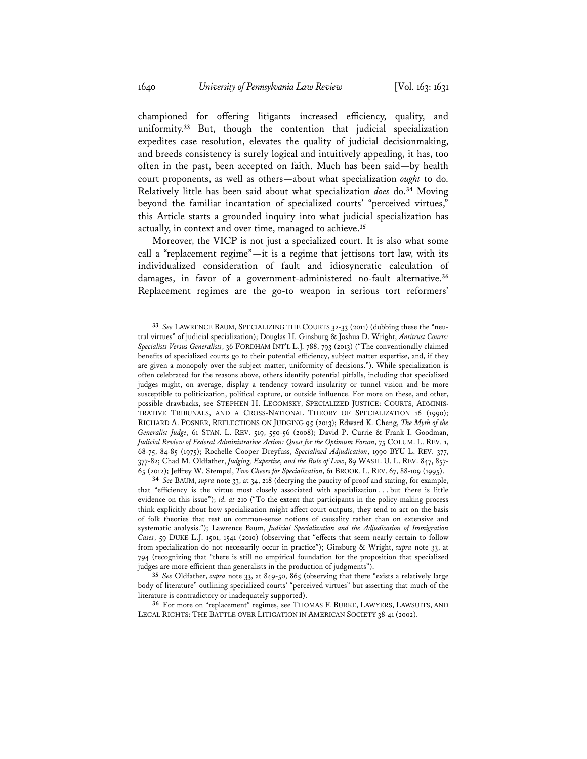championed for offering litigants increased efficiency, quality, and uniformity.**<sup>33</sup>** But, though the contention that judicial specialization expedites case resolution, elevates the quality of judicial decisionmaking, and breeds consistency is surely logical and intuitively appealing, it has, too often in the past, been accepted on faith. Much has been said—by health court proponents, as well as others—about what specialization *ought* to do. Relatively little has been said about what specialization *does* do.**<sup>34</sup>** Moving beyond the familiar incantation of specialized courts' "perceived virtues," this Article starts a grounded inquiry into what judicial specialization has actually, in context and over time, managed to achieve.**<sup>35</sup>**

Moreover, the VICP is not just a specialized court. It is also what some call a "replacement regime"—it is a regime that jettisons tort law, with its individualized consideration of fault and idiosyncratic calculation of damages, in favor of a government-administered no-fault alternative.**<sup>36</sup>** Replacement regimes are the go-to weapon in serious tort reformers'

**<sup>33</sup>** *See* LAWRENCE BAUM, SPECIALIZING THE COURTS 32-33 (2011) (dubbing these the "neutral virtues" of judicial specialization); Douglas H. Ginsburg & Joshua D. Wright, *Antitrust Courts: Specialists Versus Generalists*, 36 FORDHAM INT'L L.J. 788, 793 (2013) ("The conventionally claimed benefits of specialized courts go to their potential efficiency, subject matter expertise, and, if they are given a monopoly over the subject matter, uniformity of decisions."). While specialization is often celebrated for the reasons above, others identify potential pitfalls, including that specialized judges might, on average, display a tendency toward insularity or tunnel vision and be more susceptible to politicization, political capture, or outside influence. For more on these, and other, possible drawbacks, see STEPHEN H. LEGOMSKY, SPECIALIZED JUSTICE: COURTS, ADMINIS-TRATIVE TRIBUNALS, AND A CROSS-NATIONAL THEORY OF SPECIALIZATION 16 (1990); RICHARD A. POSNER, REFLECTIONS ON JUDGING 95 (2013); Edward K. Cheng, *The Myth of the Generalist Judge*, 61 STAN. L. REV. 519, 550-56 (2008); David P. Currie & Frank I. Goodman, *Judicial Review of Federal Administrative Action: Quest for the Optimum Forum*, 75 COLUM. L. REV. 1, 68-75, 84-85 (1975); Rochelle Cooper Dreyfuss, *Specialized Adjudication*, 1990 BYU L. REV. 377, 377-82; Chad M. Oldfather, *Judging, Expertise, and the Rule of Law*, 89 WASH. U. L. REV. 847, 857- 65 (2012); Jeffrey W. Stempel, *Two Cheers for Specialization*, 61 BROOK. L. REV. 67, 88-109 (1995).

**<sup>34</sup>** *See* BAUM, *supra* note 33, at 34, 218 (decrying the paucity of proof and stating, for example, that "efficiency is the virtue most closely associated with specialization . . . but there is little evidence on this issue"); *id. at* 210 ("To the extent that participants in the policy-making process think explicitly about how specialization might affect court outputs, they tend to act on the basis of folk theories that rest on common-sense notions of causality rather than on extensive and systematic analysis."); Lawrence Baum, *Judicial Specialization and the Adjudication of Immigration Cases*, 59 DUKE L.J. 1501, 1541 (2010) (observing that "effects that seem nearly certain to follow from specialization do not necessarily occur in practice"); Ginsburg & Wright, *supra* note 33, at 794 (recognizing that "there is still no empirical foundation for the proposition that specialized judges are more efficient than generalists in the production of judgments").

**<sup>35</sup>** *See* Oldfather, *supra* note 33, at 849-50, 865 (observing that there "exists a relatively large body of literature" outlining specialized courts' "perceived virtues" but asserting that much of the literature is contradictory or inadequately supported).

**<sup>36</sup>** For more on "replacement" regimes, see THOMAS F. BURKE, LAWYERS, LAWSUITS, AND LEGAL RIGHTS: THE BATTLE OVER LITIGATION IN AMERICAN SOCIETY 38-41 (2002).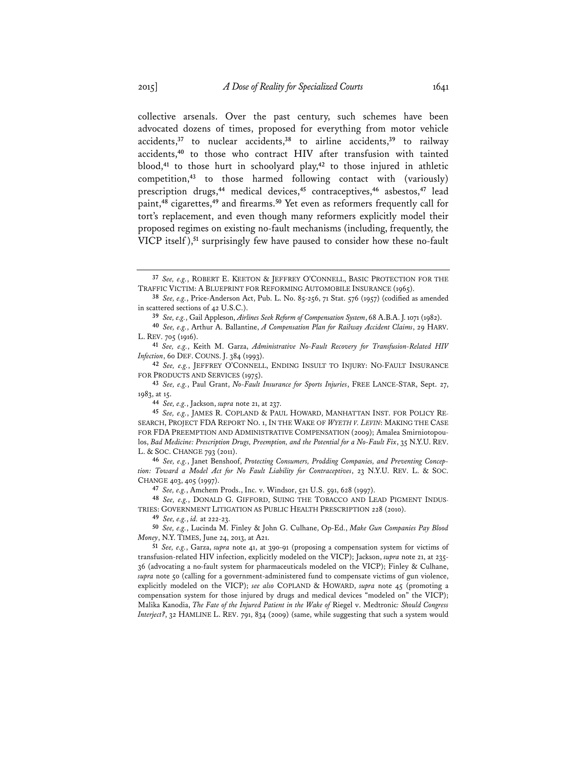collective arsenals. Over the past century, such schemes have been advocated dozens of times, proposed for everything from motor vehicle accidents,**<sup>37</sup>** to nuclear accidents,**<sup>38</sup>** to airline accidents,**<sup>39</sup>** to railway accidents,**<sup>40</sup>** to those who contract HIV after transfusion with tainted blood,**<sup>41</sup>** to those hurt in schoolyard play,**<sup>42</sup>** to those injured in athletic competition,**<sup>43</sup>** to those harmed following contact with (variously) prescription drugs,**<sup>44</sup>** medical devices,**<sup>45</sup>** contraceptives,**<sup>46</sup>** asbestos,**<sup>47</sup>** lead paint,**<sup>48</sup>** cigarettes,**<sup>49</sup>** and firearms.**<sup>50</sup>** Yet even as reformers frequently call for tort's replacement, and even though many reformers explicitly model their proposed regimes on existing no-fault mechanisms (including, frequently, the VICP itself ),**<sup>51</sup>** surprisingly few have paused to consider how these no-fault

**44** *See, e.g.*, Jackson, *supra* note 21, at 237.

**47** *See, e.g.*, Amchem Prods., Inc. v. Windsor, 521 U.S. 591, 628 (1997).

**48** *See, e.g.*, DONALD G. GIFFORD, SUING THE TOBACCO AND LEAD PIGMENT INDUS-TRIES: GOVERNMENT LITIGATION AS PUBLIC HEALTH PRESCRIPTION 228 (2010).

**49** *See, e.g.*, *id.* at 222-23.

**<sup>37</sup>** *See, e.g.*, ROBERT E. KEETON & JEFFREY O'CONNELL, BASIC PROTECTION FOR THE TRAFFIC VICTIM: A BLUEPRINT FOR REFORMING AUTOMOBILE INSURANCE (1965).

**<sup>38</sup>** *See, e.g.*, Price-Anderson Act, Pub. L. No. 85-256, 71 Stat. 576 (1957) (codified as amended in scattered sections of 42 U.S.C.).

**<sup>39</sup>** *See, e.g.*, Gail Appleson, *Airlines Seek Reform of Compensation System*, 68 A.B.A. J. 1071 (1982).

**<sup>40</sup>** *See, e.g.*, Arthur A. Ballantine, *A Compensation Plan for Railway Accident Claims*, 29 HARV. L. REV. 705 (1916).

**<sup>41</sup>** *See, e.g.*, Keith M. Garza, *Administrative No-Fault Recovery for Transfusion-Related HIV Infection*, 60 DEF. COUNS. *J.* 384 (1993).

**<sup>42</sup>** *See, e.g.*, JEFFREY O'CONNELL, ENDING INSULT TO INJURY: NO-FAULT INSURANCE FOR PRODUCTS AND SERVICES (1975).

**<sup>43</sup>** *See, e.g.*, Paul Grant, *No-Fault Insurance for Sports Injuries*, FREE LANCE-STAR, Sept. 27, 1983, at 15.

**<sup>45</sup>** *See, e.g.*, JAMES R. COPLAND & PAUL HOWARD, MANHATTAN INST. FOR POLICY RE-SEARCH, PROJECT FDA REPORT NO. 1, IN THE WAKE OF *WYETH V. LEVIN*: MAKING THE CASE FOR FDA PREEMPTION AND ADMINISTRATIVE COMPENSATION (2009); Amalea Smirniotopoulos, *Bad Medicine: Prescription Drugs, Preemption, and the Potential for a No-Fault Fix*, 35 N.Y.U. REV. L. & SOC. CHANGE 793 (2011).

**<sup>46</sup>** *See, e.g.*, Janet Benshoof, *Protecting Consumers, Prodding Companies, and Preventing Conception: Toward a Model Act for No Fault Liability for Contraceptives*, 23 N.Y.U. REV. L. & SOC. CHANGE 403, 405 (1997).

**<sup>50</sup>** *See, e.g.*, Lucinda M. Finley & John G. Culhane, Op-Ed., *Make Gun Companies Pay Blood Money*, N.Y. TIMES, June 24, 2013, at A21.

**<sup>51</sup>** *See, e.g.*, Garza, *supra* note 41, at 390-91 (proposing a compensation system for victims of transfusion-related HIV infection, explicitly modeled on the VICP); Jackson, *supra* note 21, at 235- 36 (advocating a no-fault system for pharmaceuticals modeled on the VICP); Finley & Culhane, *supra* note 50 (calling for a government-administered fund to compensate victims of gun violence, explicitly modeled on the VICP); *see also* COPLAND & HOWARD, *supra* note 45 (promoting a compensation system for those injured by drugs and medical devices "modeled on" the VICP); Malika Kanodia, *The Fate of the Injured Patient in the Wake of* Riegel v. Medtronic*: Should Congress Interject?*, 32 HAMLINE L. REV. 791, 834 (2009) (same, while suggesting that such a system would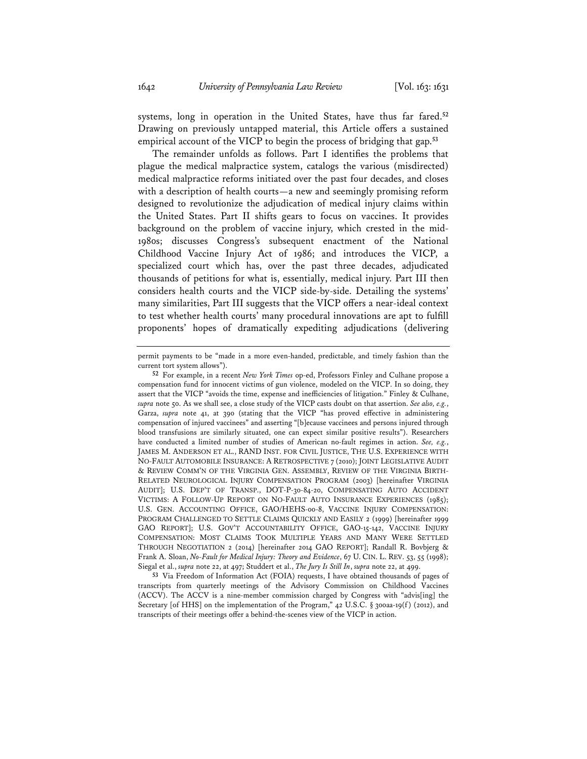systems, long in operation in the United States, have thus far fared.**<sup>52</sup>** Drawing on previously untapped material, this Article offers a sustained empirical account of the VICP to begin the process of bridging that gap.**<sup>53</sup>**

The remainder unfolds as follows. Part I identifies the problems that plague the medical malpractice system, catalogs the various (misdirected) medical malpractice reforms initiated over the past four decades, and closes with a description of health courts—a new and seemingly promising reform designed to revolutionize the adjudication of medical injury claims within the United States. Part II shifts gears to focus on vaccines. It provides background on the problem of vaccine injury, which crested in the mid-1980s; discusses Congress's subsequent enactment of the National Childhood Vaccine Injury Act of 1986; and introduces the VICP, a specialized court which has, over the past three decades, adjudicated thousands of petitions for what is, essentially, medical injury. Part III then considers health courts and the VICP side-by-side. Detailing the systems' many similarities, Part III suggests that the VICP offers a near-ideal context to test whether health courts' many procedural innovations are apt to fulfill proponents' hopes of dramatically expediting adjudications (delivering

**53** Via Freedom of Information Act (FOIA) requests, I have obtained thousands of pages of transcripts from quarterly meetings of the Advisory Commission on Childhood Vaccines (ACCV). The ACCV is a nine-member commission charged by Congress with "advis[ing] the Secretary [of HHS] on the implementation of the Program," 42 U.S.C. § 300aa-19(f) (2012), and transcripts of their meetings offer a behind-the-scenes view of the VICP in action.

permit payments to be "made in a more even-handed, predictable, and timely fashion than the current tort system allows").

**<sup>52</sup>** For example, in a recent *New York Times* op-ed, Professors Finley and Culhane propose a compensation fund for innocent victims of gun violence, modeled on the VICP. In so doing, they assert that the VICP "avoids the time, expense and inefficiencies of litigation." Finley & Culhane, *supra* note 50. As we shall see, a close study of the VICP casts doubt on that assertion. *See also, e.g.*, Garza, *supra* note 41, at 390 (stating that the VICP "has proved effective in administering compensation of injured vaccinees" and asserting "[b]ecause vaccinees and persons injured through blood transfusions are similarly situated, one can expect similar positive results"). Researchers have conducted a limited number of studies of American no-fault regimes in action. *See, e.g.*, JAMES M. ANDERSON ET AL., RAND INST. FOR CIVIL JUSTICE, THE U.S. EXPERIENCE WITH NO-FAULT AUTOMOBILE INSURANCE: A RETROSPECTIVE 7 (2010); JOINT LEGISLATIVE AUDIT & REVIEW COMM'N OF THE VIRGINIA GEN. ASSEMBLY, REVIEW OF THE VIRGINIA BIRTH-RELATED NEUROLOGICAL INJURY COMPENSATION PROGRAM (2003) [hereinafter VIRGINIA AUDIT]; U.S. DEP'T OF TRANSP., DOT-P-30-84-20, COMPENSATING AUTO ACCIDENT VICTIMS: A FOLLOW-UP REPORT ON NO-FAULT AUTO INSURANCE EXPERIENCES (1985); U.S. GEN. ACCOUNTING OFFICE, GAO/HEHS-00-8, VACCINE INJURY COMPENSATION: PROGRAM CHALLENGED TO SETTLE CLAIMS QUICKLY AND EASILY 2 (1999) [hereinafter 1999 GAO REPORT]; U.S. GOV'T ACCOUNTABILITY OFFICE, GAO-15-142, VACCINE INJURY COMPENSATION: MOST CLAIMS TOOK MULTIPLE YEARS AND MANY WERE SETTLED THROUGH NEGOTIATION 2 (2014) [hereinafter 2014 GAO REPORT]; Randall R. Bovbjerg & Frank A. Sloan, *No-Fault for Medical Injury: Theory and Evidence*, 67 U. CIN. L. REV. 53, 55 (1998); Siegal et al., *supra* note 22, at 497; Studdert et al., *The Jury Is Still In*, *supra* note 22, at 499.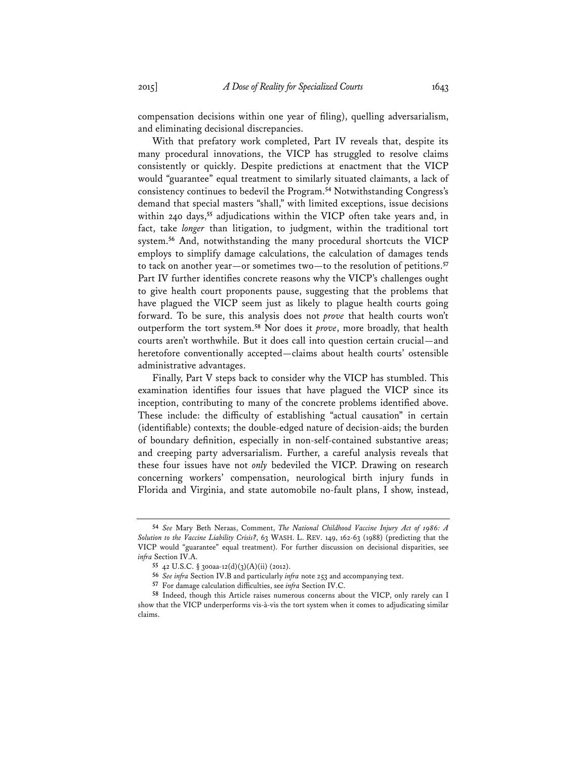compensation decisions within one year of filing), quelling adversarialism, and eliminating decisional discrepancies.

With that prefatory work completed, Part IV reveals that, despite its many procedural innovations, the VICP has struggled to resolve claims consistently or quickly. Despite predictions at enactment that the VICP would "guarantee" equal treatment to similarly situated claimants, a lack of consistency continues to bedevil the Program.**<sup>54</sup>** Notwithstanding Congress's demand that special masters "shall," with limited exceptions, issue decisions within 240 days,**<sup>55</sup>** adjudications within the VICP often take years and, in fact, take *longer* than litigation, to judgment, within the traditional tort system.**<sup>56</sup>** And, notwithstanding the many procedural shortcuts the VICP employs to simplify damage calculations, the calculation of damages tends to tack on another year—or sometimes two—to the resolution of petitions.**<sup>57</sup>** Part IV further identifies concrete reasons why the VICP's challenges ought to give health court proponents pause, suggesting that the problems that have plagued the VICP seem just as likely to plague health courts going forward. To be sure, this analysis does not *prove* that health courts won't outperform the tort system.**<sup>58</sup>** Nor does it *prove*, more broadly, that health courts aren't worthwhile. But it does call into question certain crucial—and heretofore conventionally accepted—claims about health courts' ostensible administrative advantages.

Finally, Part V steps back to consider why the VICP has stumbled. This examination identifies four issues that have plagued the VICP since its inception, contributing to many of the concrete problems identified above. These include: the difficulty of establishing "actual causation" in certain (identifiable) contexts; the double-edged nature of decision-aids; the burden of boundary definition, especially in non-self-contained substantive areas; and creeping party adversarialism. Further, a careful analysis reveals that these four issues have not *only* bedeviled the VICP. Drawing on research concerning workers' compensation, neurological birth injury funds in Florida and Virginia, and state automobile no-fault plans, I show, instead,

**<sup>54</sup>** *See* Mary Beth Neraas, Comment, *The National Childhood Vaccine Injury Act of 1986: A Solution to the Vaccine Liability Crisis?*, 63 WASH. L. REV. 149, 162-63 (1988) (predicting that the VICP would "guarantee" equal treatment). For further discussion on decisional disparities, see *infra* Section IV.A.

**<sup>55</sup>** 42 U.S.C. § 300aa-12(d)(3)(A)(ii) (2012).

**<sup>56</sup>** *See infra* Section IV.B and particularly *infra* note 253 and accompanying text.

**<sup>57</sup>** For damage calculation difficulties, see *infra* Section IV.C.

**<sup>58</sup>** Indeed, though this Article raises numerous concerns about the VICP, only rarely can I show that the VICP underperforms vis-à-vis the tort system when it comes to adjudicating similar claims.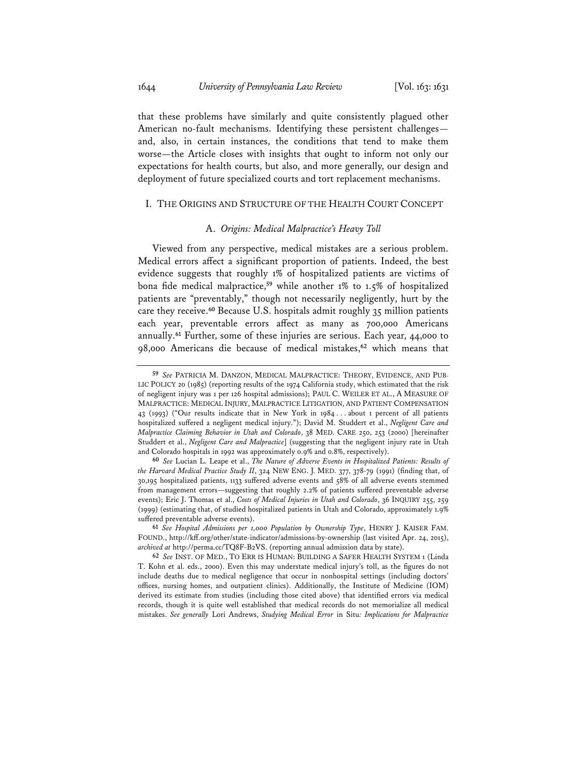that these problems have similarly and quite consistently plagued other American no-fault mechanisms. Identifying these persistent challenges and, also, in certain instances, the conditions that tend to make them worse—the Article closes with insights that ought to inform not only our expectations for health courts, but also, and more generally, our design and deployment of future specialized courts and tort replacement mechanisms.

### I. THE ORIGINS AND STRUCTURE OF THE HEALTH COURT CONCEPT

### A. *Origins: Medical Malpractice's Heavy Toll*

Viewed from any perspective, medical mistakes are a serious problem. Medical errors affect a significant proportion of patients. Indeed, the best evidence suggests that roughly 1% of hospitalized patients are victims of bona fide medical malpractice,**<sup>59</sup>** while another 1% to 1.5% of hospitalized patients are "preventably," though not necessarily negligently, hurt by the care they receive.**<sup>60</sup>** Because U.S. hospitals admit roughly 35 million patients each year, preventable errors affect as many as 700,000 Americans annually.**<sup>61</sup>** Further, some of these injuries are serious. Each year, 44,000 to 98,000 Americans die because of medical mistakes,**<sup>62</sup>** which means that

**<sup>59</sup>** *See* PATRICIA M. DANZON, MEDICAL MALPRACTICE: THEORY, EVIDENCE, AND PUB-LIC POLICY 20 (1985) (reporting results of the 1974 California study, which estimated that the risk of negligent injury was 1 per 126 hospital admissions); PAUL C. WEILER ET AL., A MEASURE OF MALPRACTICE: MEDICAL INJURY, MALPRACTICE LITIGATION, AND PATIENT COMPENSATION 43 (1993) ("Our results indicate that in New York in 1984 . . . about 1 percent of all patients hospitalized suffered a negligent medical injury."); David M. Studdert et al., *Negligent Care and Malpractice Claiming Behavior in Utah and Colorado*, 38 MED. CARE 250, 253 (2000) [hereinafter Studdert et al., *Negligent Care and Malpractice*] (suggesting that the negligent injury rate in Utah and Colorado hospitals in 1992 was approximately 0.9% and 0.8%, respectively).

**<sup>60</sup>** *See* Lucian L. Leape et al., *The Nature of Adverse Events in Hospitalized Patients: Results of the Harvard Medical Practice Study II*, 324 NEW ENG. J. MED. 377, 378-79 (1991) (finding that, of 30,195 hospitalized patients, 1133 suffered adverse events and 58% of all adverse events stemmed from management errors—suggesting that roughly 2.2% of patients suffered preventable adverse events); Eric J. Thomas et al., *Costs of Medical Injuries in Utah and Colorado*, 36 INQUIRY 255, 259 (1999) (estimating that, of studied hospitalized patients in Utah and Colorado, approximately 1.9% suffered preventable adverse events).

**<sup>61</sup>** *See Hospital Admissions per 1,000 Population by Ownership Type*, HENRY J. KAISER FAM. FOUND., http://kff.org/other/state-indicator/admissions-by-ownership (last visited Apr. 24, 2015), *archived at* http://perma.cc/TQ8F-B2VS. (reporting annual admission data by state).

**<sup>62</sup>** *See* INST. OF MED., TO ERR IS HUMAN: BUILDING A SAFER HEALTH SYSTEM 1 (Linda T. Kohn et al. eds., 2000). Even this may understate medical injury's toll, as the figures do not include deaths due to medical negligence that occur in nonhospital settings (including doctors' offices, nursing homes, and outpatient clinics). Additionally, the Institute of Medicine (IOM) derived its estimate from studies (including those cited above) that identified errors via medical records, though it is quite well established that medical records do not memorialize all medical mistakes. *See generally* Lori Andrews, *Studying Medical Error* in Situ*: Implications for Malpractice*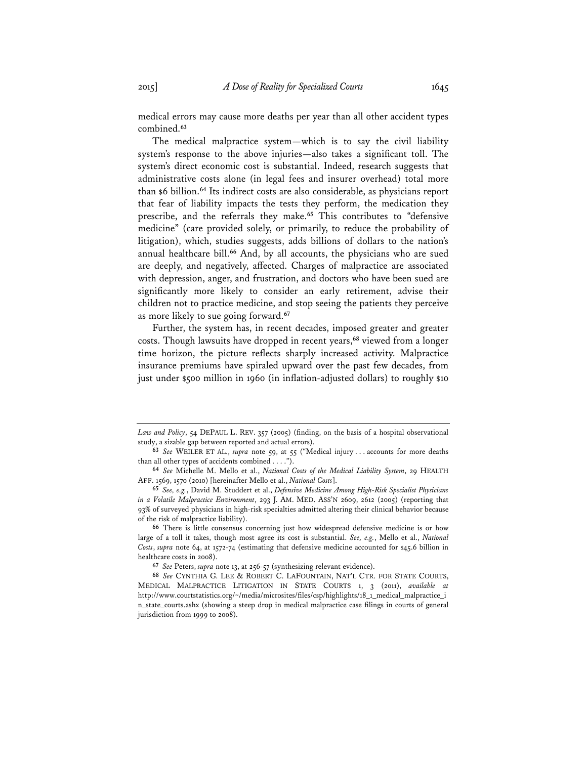medical errors may cause more deaths per year than all other accident types combined.**<sup>63</sup>**

The medical malpractice system—which is to say the civil liability system's response to the above injuries—also takes a significant toll. The system's direct economic cost is substantial. Indeed, research suggests that administrative costs alone (in legal fees and insurer overhead) total more than \$6 billion.**<sup>64</sup>** Its indirect costs are also considerable, as physicians report that fear of liability impacts the tests they perform, the medication they prescribe, and the referrals they make.**<sup>65</sup>** This contributes to "defensive medicine" (care provided solely, or primarily, to reduce the probability of litigation), which, studies suggests, adds billions of dollars to the nation's annual healthcare bill.**<sup>66</sup>** And, by all accounts, the physicians who are sued are deeply, and negatively, affected. Charges of malpractice are associated with depression, anger, and frustration, and doctors who have been sued are significantly more likely to consider an early retirement, advise their children not to practice medicine, and stop seeing the patients they perceive as more likely to sue going forward.**<sup>67</sup>**

Further, the system has, in recent decades, imposed greater and greater costs. Though lawsuits have dropped in recent years,**<sup>68</sup>** viewed from a longer time horizon, the picture reflects sharply increased activity. Malpractice insurance premiums have spiraled upward over the past few decades, from just under \$500 million in 1960 (in inflation-adjusted dollars) to roughly \$10

*Law and Policy*, 54 DEPAUL L. REV. 357 (2005) (finding, on the basis of a hospital observational study, a sizable gap between reported and actual errors).

**<sup>63</sup>** *See* WEILER ET AL., *supra* note 59, at 55 ("Medical injury . . . accounts for more deaths than all other types of accidents combined . . . .").

**<sup>64</sup>** *See* Michelle M. Mello et al., *National Costs of the Medical Liability System*, 29 HEALTH AFF. 1569, 1570 (2010) [hereinafter Mello et al., *National Costs*].

**<sup>65</sup>** *See, e.g.*, David M. Studdert et al., *Defensive Medicine Among High-Risk Specialist Physicians in a Volatile Malpractice Environment*, 293 J. AM. MED. ASS'N 2609, 2612 (2005) (reporting that 93% of surveyed physicians in high-risk specialties admitted altering their clinical behavior because of the risk of malpractice liability).

**<sup>66</sup>** There is little consensus concerning just how widespread defensive medicine is or how large of a toll it takes, though most agree its cost is substantial. *See, e.g.*, Mello et al., *National Costs*, *supra* note 64, at 1572-74 (estimating that defensive medicine accounted for \$45.6 billion in healthcare costs in 2008).

**<sup>67</sup>** *See* Peters, *supra* note 13, at 256-57 (synthesizing relevant evidence).

**<sup>68</sup>** *See* CYNTHIA G. LEE & ROBERT C. LAFOUNTAIN, NAT'L CTR. FOR STATE COURTS, MEDICAL MALPRACTICE LITIGATION IN STATE COURTS 1, 3 (2011), *available at* http://www.courtstatistics.org/~/media/microsites/files/csp/highlights/18\_1\_medical\_malpractice\_i n\_state\_courts.ashx (showing a steep drop in medical malpractice case filings in courts of general jurisdiction from 1999 to 2008).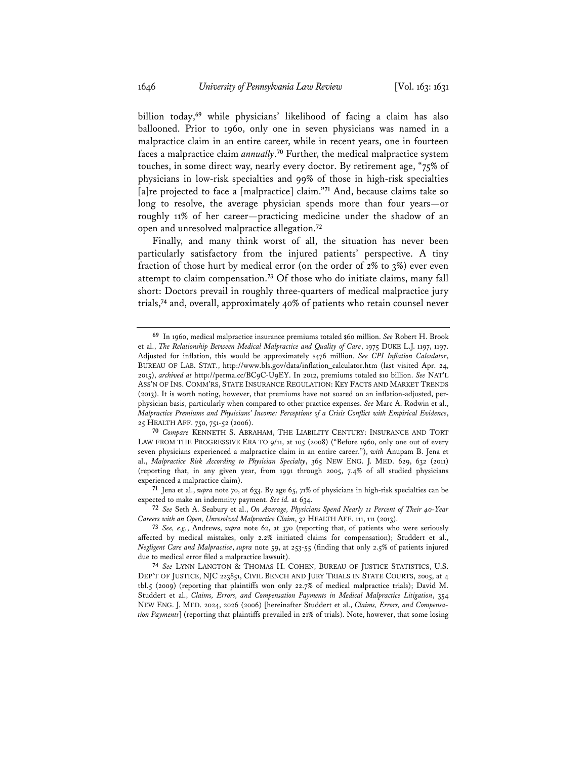billion today,**<sup>69</sup>** while physicians' likelihood of facing a claim has also ballooned. Prior to 1960, only one in seven physicians was named in a malpractice claim in an entire career, while in recent years, one in fourteen faces a malpractice claim *annually*. **<sup>70</sup>** Further, the medical malpractice system touches, in some direct way, nearly every doctor. By retirement age, "75% of physicians in low-risk specialties and 99% of those in high-risk specialties [a]re projected to face a [malpractice] claim."**<sup>71</sup>** And, because claims take so long to resolve, the average physician spends more than four years—or roughly 11% of her career—practicing medicine under the shadow of an open and unresolved malpractice allegation.**<sup>72</sup>**

Finally, and many think worst of all, the situation has never been particularly satisfactory from the injured patients' perspective. A tiny fraction of those hurt by medical error (on the order of 2% to 3%) ever even attempt to claim compensation.**<sup>73</sup>** Of those who do initiate claims, many fall short: Doctors prevail in roughly three-quarters of medical malpractice jury trials,**<sup>74</sup>** and, overall, approximately 40% of patients who retain counsel never

**71** Jena et al., *supra* note 70, at 633. By age 65, 71% of physicians in high-risk specialties can be expected to make an indemnity payment. *See id.* at 634.

**72** *See* Seth A. Seabury et al., *On Average, Physicians Spend Nearly 11 Percent of Their 40-Year Careers with an Open, Unresolved Malpractice Claim*, 32 HEALTH AFF. 111, 111 (2013).

**74** *See* LYNN LANGTON & THOMAS H. COHEN, BUREAU OF JUSTICE STATISTICS, U.S. DEP'T OF JUSTICE, NJC 223851, CIVIL BENCH AND JURY TRIALS IN STATE COURTS, 2005, at 4 tbl.5 (2009) (reporting that plaintiffs won only 22.7% of medical malpractice trials); David M. Studdert et al., *Claims, Errors, and Compensation Payments in Medical Malpractice Litigation*, 354 NEW ENG. J. MED. 2024, 2026 (2006) [hereinafter Studdert et al., *Claims, Errors, and Compensation Payments*] (reporting that plaintiffs prevailed in 21% of trials). Note, however, that some losing

**<sup>69</sup>** In 1960, medical malpractice insurance premiums totaled \$60 million. *See* Robert H. Brook et al., *The Relationship Between Medical Malpractice and Quality of Care*, 1975 DUKE L.J. 1197, 1197. Adjusted for inflation, this would be approximately \$476 million. *See CPI Inflation Calculator*, BUREAU OF LAB. STAT., http://www.bls.gov/data/inflation\_calculator.htm (last visited Apr. 24, 2015), *archived at* http://perma.cc/BC9C-U9EY. In 2012, premiums totaled \$10 billion. *See* NAT'L ASS'N OF INS. COMM'RS, STATE INSURANCE REGULATION: KEY FACTS AND MARKET TRENDS (2013). It is worth noting, however, that premiums have not soared on an inflation-adjusted, perphysician basis, particularly when compared to other practice expenses. *See* Marc A. Rodwin et al., *Malpractice Premiums and Physicians' Income: Perceptions of a Crisis Conflict with Empirical Evidence*, 25 HEALTH AFF. 750, 751-52 (2006).

**<sup>70</sup>** *Compare* KENNETH S. ABRAHAM, THE LIABILITY CENTURY: INSURANCE AND TORT LAW FROM THE PROGRESSIVE ERA TO 9/11, at 105 (2008) ("Before 1960, only one out of every seven physicians experienced a malpractice claim in an entire career."), *with* Anupam B. Jena et al., *Malpractice Risk According to Physician Specialty*, 365 NEW ENG. J. MED. 629, 632 (2011) (reporting that, in any given year, from 1991 through 2005, 7.4% of all studied physicians experienced a malpractice claim).

**<sup>73</sup>** *See, e.g.*, Andrews, *supra* note 62, at 370 (reporting that, of patients who were seriously affected by medical mistakes, only 2.2% initiated claims for compensation); Studdert et al., *Negligent Care and Malpractice*, *supra* note 59, at 253-55 (finding that only 2.5% of patients injured due to medical error filed a malpractice lawsuit).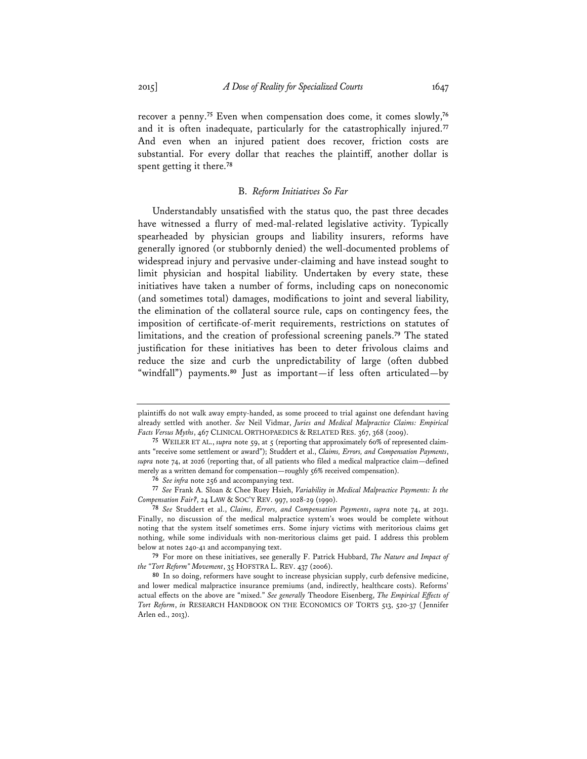recover a penny.**<sup>75</sup>** Even when compensation does come, it comes slowly,**<sup>76</sup>** and it is often inadequate, particularly for the catastrophically injured.**<sup>77</sup>** And even when an injured patient does recover, friction costs are substantial. For every dollar that reaches the plaintiff, another dollar is spent getting it there.**<sup>78</sup>**

### B. *Reform Initiatives So Far*

Understandably unsatisfied with the status quo, the past three decades have witnessed a flurry of med-mal-related legislative activity. Typically spearheaded by physician groups and liability insurers, reforms have generally ignored (or stubbornly denied) the well-documented problems of widespread injury and pervasive under-claiming and have instead sought to limit physician and hospital liability. Undertaken by every state, these initiatives have taken a number of forms, including caps on noneconomic (and sometimes total) damages, modifications to joint and several liability, the elimination of the collateral source rule, caps on contingency fees, the imposition of certificate-of-merit requirements, restrictions on statutes of limitations, and the creation of professional screening panels.**<sup>79</sup>** The stated justification for these initiatives has been to deter frivolous claims and reduce the size and curb the unpredictability of large (often dubbed "windfall") payments.**<sup>80</sup>** Just as important—if less often articulated—by

plaintiffs do not walk away empty-handed, as some proceed to trial against one defendant having already settled with another. *See* Neil Vidmar, *Juries and Medical Malpractice Claims: Empirical Facts Versus Myths*, 467 CLINICAL ORTHOPAEDICS & RELATED RES. 367, 368 (2009).

**<sup>75</sup>** WEILER ET AL., *supra* note 59, at 5 (reporting that approximately 60% of represented claimants "receive some settlement or award"); Studdert et al., *Claims, Errors, and Compensation Payments*, *supra* note 74, at 2026 (reporting that, of all patients who filed a medical malpractice claim—defined merely as a written demand for compensation—roughly 56% received compensation).

**<sup>76</sup>** *See infra* note 256 and accompanying text.

**<sup>77</sup>** *See* Frank A. Sloan & Chee Ruey Hsieh, *Variability in Medical Malpractice Payments: Is the Compensation Fair?*, 24 LAW & SOC'Y REV. 997, 1028-29 (1990).

**<sup>78</sup>** *See* Studdert et al., *Claims, Errors, and Compensation Payments*, *supra* note 74, at 2031. Finally, no discussion of the medical malpractice system's woes would be complete without noting that the system itself sometimes errs. Some injury victims with meritorious claims get nothing, while some individuals with non-meritorious claims get paid. I address this problem below at notes 240-41 and accompanying text.

**<sup>79</sup>** For more on these initiatives, see generally F. Patrick Hubbard, *The Nature and Impact of the "Tort Reform" Movement*, 35 HOFSTRA L. REV. 437 (2006).

**<sup>80</sup>** In so doing, reformers have sought to increase physician supply, curb defensive medicine, and lower medical malpractice insurance premiums (and, indirectly, healthcare costs). Reforms' actual effects on the above are "mixed." *See generally* Theodore Eisenberg, *The Empirical Effects of Tort Reform*, *in* RESEARCH HANDBOOK ON THE ECONOMICS OF TORTS 513, 520-37 (Jennifer Arlen ed., 2013).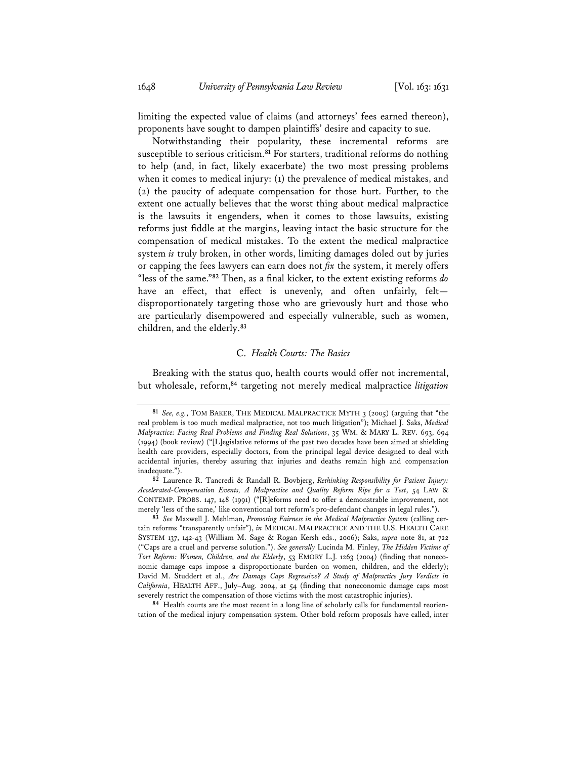limiting the expected value of claims (and attorneys' fees earned thereon), proponents have sought to dampen plaintiffs' desire and capacity to sue.

Notwithstanding their popularity, these incremental reforms are susceptible to serious criticism.**<sup>81</sup>** For starters, traditional reforms do nothing to help (and, in fact, likely exacerbate) the two most pressing problems when it comes to medical injury: (1) the prevalence of medical mistakes, and (2) the paucity of adequate compensation for those hurt. Further, to the extent one actually believes that the worst thing about medical malpractice is the lawsuits it engenders, when it comes to those lawsuits, existing reforms just fiddle at the margins, leaving intact the basic structure for the compensation of medical mistakes. To the extent the medical malpractice system *is* truly broken, in other words, limiting damages doled out by juries or capping the fees lawyers can earn does not *fix* the system, it merely offers "less of the same."**<sup>82</sup>** Then, as a final kicker, to the extent existing reforms *do* have an effect, that effect is unevenly, and often unfairly, feltdisproportionately targeting those who are grievously hurt and those who are particularly disempowered and especially vulnerable, such as women, children, and the elderly.**<sup>83</sup>**

## C. *Health Courts: The Basics*

Breaking with the status quo, health courts would offer not incremental, but wholesale, reform,**<sup>84</sup>** targeting not merely medical malpractice *litigation*

**84** Health courts are the most recent in a long line of scholarly calls for fundamental reorientation of the medical injury compensation system. Other bold reform proposals have called, inter

**<sup>81</sup>** *See, e.g.*, TOM BAKER, THE MEDICAL MALPRACTICE MYTH 3 (2005) (arguing that "the real problem is too much medical malpractice, not too much litigation"); Michael J. Saks, *Medical Malpractice: Facing Real Problems and Finding Real Solutions*, 35 WM. & MARY L. REV. 693, 694 (1994) (book review) ("[L]egislative reforms of the past two decades have been aimed at shielding health care providers, especially doctors, from the principal legal device designed to deal with accidental injuries, thereby assuring that injuries and deaths remain high and compensation inadequate.").

**<sup>82</sup>** Laurence R. Tancredi & Randall R. Bovbjerg, *Rethinking Responsibility for Patient Injury: Accelerated-Compensation Events, A Malpractice and Quality Reform Ripe for a Test*, 54 LAW & CONTEMP. PROBS. 147, 148 (1991) ("[R]eforms need to offer a demonstrable improvement, not merely 'less of the same,' like conventional tort reform's pro-defendant changes in legal rules.").

**<sup>83</sup>** *See* Maxwell J. Mehlman, *Promoting Fairness in the Medical Malpractice System* (calling certain reforms "transparently unfair"), *in* MEDICAL MALPRACTICE AND THE U.S. HEALTH CARE SYSTEM 137, 142-43 (William M. Sage & Rogan Kersh eds., 2006); Saks, *supra* note 81, at 722 ("Caps are a cruel and perverse solution."). *See generally* Lucinda M. Finley, *The Hidden Victims of Tort Reform: Women, Children, and the Elderly*, 53 EMORY L.J. 1263 (2004) (finding that noneconomic damage caps impose a disproportionate burden on women, children, and the elderly); David M. Studdert et al., *Are Damage Caps Regressive? A Study of Malpractice Jury Verdicts in California*, HEALTH AFF., July–Aug. 2004, at 54 (finding that noneconomic damage caps most severely restrict the compensation of those victims with the most catastrophic injuries).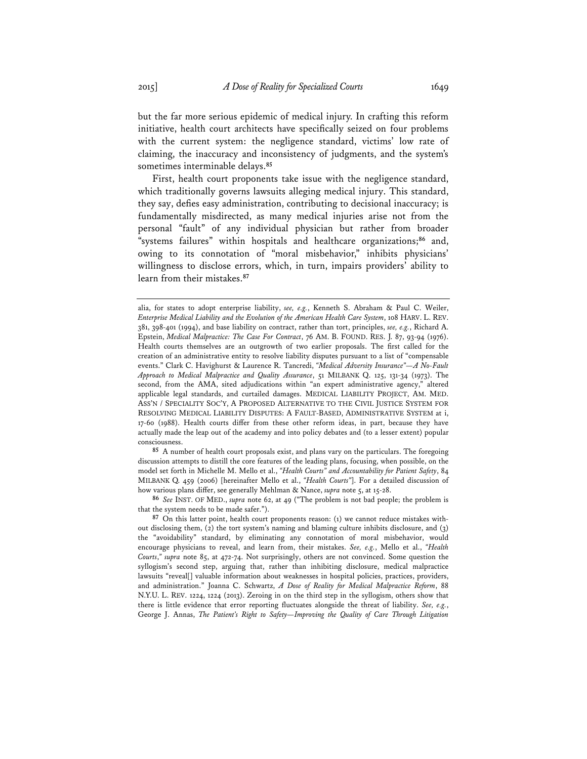but the far more serious epidemic of medical injury. In crafting this reform initiative, health court architects have specifically seized on four problems with the current system: the negligence standard, victims' low rate of claiming, the inaccuracy and inconsistency of judgments, and the system's sometimes interminable delays.**<sup>85</sup>**

First, health court proponents take issue with the negligence standard, which traditionally governs lawsuits alleging medical injury. This standard, they say, defies easy administration, contributing to decisional inaccuracy; is fundamentally misdirected, as many medical injuries arise not from the personal "fault" of any individual physician but rather from broader "systems failures" within hospitals and healthcare organizations;**<sup>86</sup>** and, owing to its connotation of "moral misbehavior," inhibits physicians' willingness to disclose errors, which, in turn, impairs providers' ability to learn from their mistakes.**<sup>87</sup>**

**85** A number of health court proposals exist, and plans vary on the particulars. The foregoing discussion attempts to distill the core features of the leading plans, focusing, when possible, on the model set forth in Michelle M. Mello et al., *"Health Courts" and Accountability for Patient Safety*, 84 MILBANK Q. 459 (2006) [hereinafter Mello et al., *"Health Courts"*]. For a detailed discussion of how various plans differ, see generally Mehlman & Nance, *supra* note 5, at 15-28.

**86** *See* INST. OF MED., *supra* note 62, at 49 ("The problem is not bad people; the problem is that the system needs to be made safer.").

alia, for states to adopt enterprise liability, *see, e.g.*, Kenneth S. Abraham & Paul C. Weiler, *Enterprise Medical Liability and the Evolution of the American Health Care System*, 108 HARV. L. REV. 381, 398-401 (1994), and base liability on contract, rather than tort, principles, *see, e.g.*, Richard A. Epstein, *Medical Malpractice: The Case For Contract*, 76 AM. B. FOUND. RES. J. 87, 93-94 (1976). Health courts themselves are an outgrowth of two earlier proposals. The first called for the creation of an administrative entity to resolve liability disputes pursuant to a list of "compensable events." Clark C. Havighurst & Laurence R. Tancredi, *"Medical Adversity Insurance"—A No-Fault Approach to Medical Malpractice and Quality Assurance*, 51 MILBANK Q. 125, 131-34 (1973). The second, from the AMA, sited adjudications within "an expert administrative agency," altered applicable legal standards, and curtailed damages. MEDICAL LIABILITY PROJECT, AM. MED. ASS'N / SPECIALITY SOC'Y, A PROPOSED ALTERNATIVE TO THE CIVIL JUSTICE SYSTEM FOR RESOLVING MEDICAL LIABILITY DISPUTES: A FAULT-BASED, ADMINISTRATIVE SYSTEM at i, 17-60 (1988). Health courts differ from these other reform ideas, in part, because they have actually made the leap out of the academy and into policy debates and (to a lesser extent) popular consciousness.

**<sup>87</sup>** On this latter point, health court proponents reason: (1) we cannot reduce mistakes without disclosing them, (2) the tort system's naming and blaming culture inhibits disclosure, and (3) the "avoidability" standard, by eliminating any connotation of moral misbehavior, would encourage physicians to reveal, and learn from, their mistakes. *See, e.g.*, Mello et al., *"Health Courts*,*" supra* note 85, at 472-74. Not surprisingly, others are not convinced. Some question the syllogism's second step, arguing that, rather than inhibiting disclosure, medical malpractice lawsuits "reveal[] valuable information about weaknesses in hospital policies, practices, providers, and administration." Joanna C. Schwartz, *A Dose of Reality for Medical Malpractice Reform*, 88 N.Y.U. L. REV. 1224, 1224 (2013). Zeroing in on the third step in the syllogism, others show that there is little evidence that error reporting fluctuates alongside the threat of liability. *See, e.g.*, George J. Annas, *The Patient's Right to Safety—Improving the Quality of Care Through Litigation*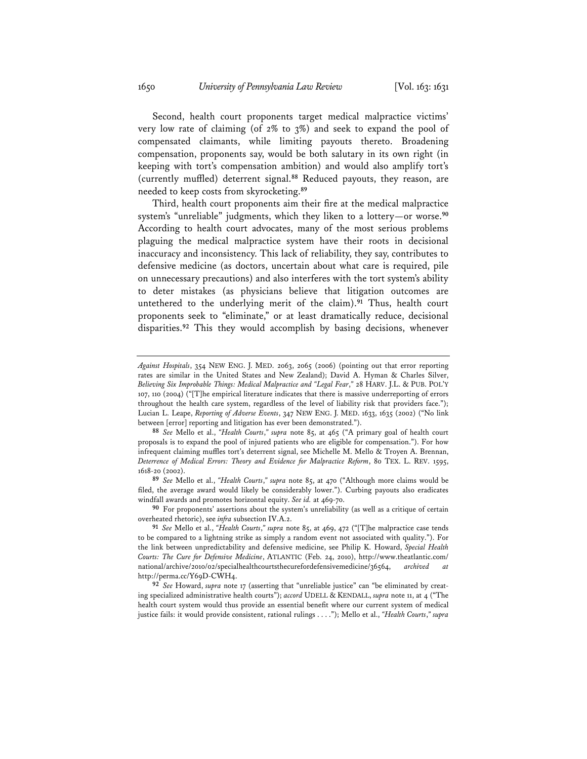Second, health court proponents target medical malpractice victims' very low rate of claiming (of 2% to 3%) and seek to expand the pool of compensated claimants, while limiting payouts thereto. Broadening compensation, proponents say, would be both salutary in its own right (in keeping with tort's compensation ambition) and would also amplify tort's (currently muffled) deterrent signal.**<sup>88</sup>** Reduced payouts, they reason, are needed to keep costs from skyrocketing.**<sup>89</sup>**

Third, health court proponents aim their fire at the medical malpractice system's "unreliable" judgments, which they liken to a lottery—or worse.**<sup>90</sup>** According to health court advocates, many of the most serious problems plaguing the medical malpractice system have their roots in decisional inaccuracy and inconsistency. This lack of reliability, they say, contributes to defensive medicine (as doctors, uncertain about what care is required, pile on unnecessary precautions) and also interferes with the tort system's ability to deter mistakes (as physicians believe that litigation outcomes are untethered to the underlying merit of the claim).**<sup>91</sup>** Thus, health court proponents seek to "eliminate," or at least dramatically reduce, decisional disparities.**<sup>92</sup>** This they would accomplish by basing decisions, whenever

*Against Hospitals*, 354 NEW ENG. J. MED. 2063, 2065 (2006) (pointing out that error reporting rates are similar in the United States and New Zealand); David A. Hyman & Charles Silver, *Believing Six Improbable Things: Medical Malpractice and "Legal Fear*,*"* 28 HARV. J.L. & PUB. POL'Y 107, 110 (2004) ("[T]he empirical literature indicates that there is massive underreporting of errors throughout the health care system, regardless of the level of liability risk that providers face."); Lucian L. Leape, *Reporting of Adverse Events*, 347 NEW ENG. J. MED. 1633, 1635 (2002) ("No link between [error] reporting and litigation has ever been demonstrated.").

**<sup>88</sup>** *See* Mello et al., *"Health Courts*,*" supra* note 85, at 465 ("A primary goal of health court proposals is to expand the pool of injured patients who are eligible for compensation."). For how infrequent claiming muffles tort's deterrent signal, see Michelle M. Mello & Troyen A. Brennan, *Deterrence of Medical Errors: Theory and Evidence for Malpractice Reform*, 80 TEX. L. REV. 1595, 1618-20 (2002).

**<sup>89</sup>** *See* Mello et al., *"Health Courts*,*" supra* note 85, at 470 ("Although more claims would be filed, the average award would likely be considerably lower."). Curbing payouts also eradicates windfall awards and promotes horizontal equity. *See id.* at 469-70.

**<sup>90</sup>** For proponents' assertions about the system's unreliability (as well as a critique of certain overheated rhetoric), see *infra* subsection IV.A.2.

**<sup>91</sup>** *See* Mello et al., *"Health Courts*,*" supra* note 85, at 469, 472 ("[T]he malpractice case tends to be compared to a lightning strike as simply a random event not associated with quality."). For the link between unpredictability and defensive medicine, see Philip K. Howard, *Special Health Courts: The Cure for Defensive Medicine*, ATLANTIC (Feb. 24, 2010), http://www.theatlantic.com/ national/archive/2010/02/specialhealthcourtsthecurefordefensivemedicine/36564, *archived at* http://perma.cc/Y69D-CWH4.

**<sup>92</sup>** *See* Howard, *supra* note 17 (asserting that "unreliable justice" can "be eliminated by creating specialized administrative health courts"); *accord* UDELL & KENDALL, *supra* note 11, at 4 ("The health court system would thus provide an essential benefit where our current system of medical justice fails: it would provide consistent, rational rulings . . . ."); Mello et al., *"Health Courts*,*" supra*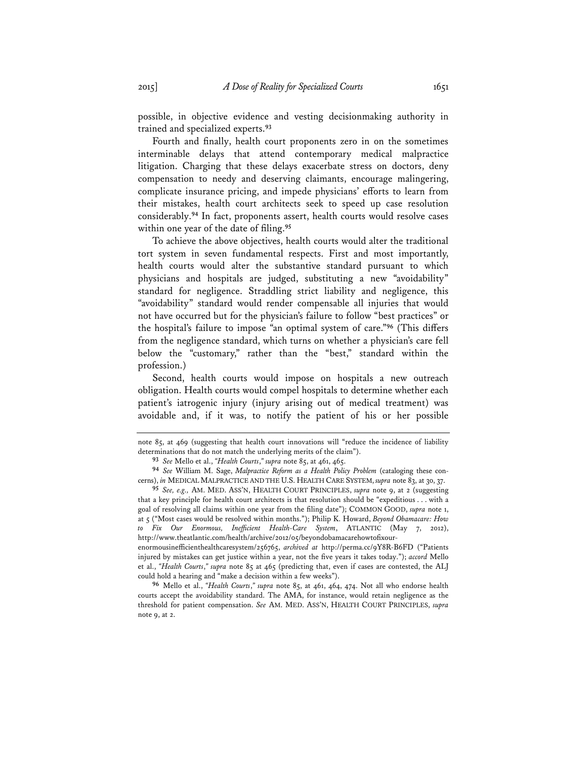possible, in objective evidence and vesting decisionmaking authority in trained and specialized experts.**<sup>93</sup>**

Fourth and finally, health court proponents zero in on the sometimes interminable delays that attend contemporary medical malpractice litigation. Charging that these delays exacerbate stress on doctors, deny compensation to needy and deserving claimants, encourage malingering, complicate insurance pricing, and impede physicians' efforts to learn from their mistakes, health court architects seek to speed up case resolution considerably.**<sup>94</sup>** In fact, proponents assert, health courts would resolve cases within one year of the date of filing.**<sup>95</sup>**

To achieve the above objectives, health courts would alter the traditional tort system in seven fundamental respects. First and most importantly, health courts would alter the substantive standard pursuant to which physicians and hospitals are judged, substituting a new "avoidability" standard for negligence. Straddling strict liability and negligence, this "avoidability" standard would render compensable all injuries that would not have occurred but for the physician's failure to follow "best practices" or the hospital's failure to impose "an optimal system of care."**<sup>96</sup>** (This differs from the negligence standard, which turns on whether a physician's care fell below the "customary," rather than the "best," standard within the profession.)

Second, health courts would impose on hospitals a new outreach obligation. Health courts would compel hospitals to determine whether each patient's iatrogenic injury (injury arising out of medical treatment) was avoidable and, if it was, to notify the patient of his or her possible

enormousinefficienthealthcaresystem/256765, *archived at* http://perma.cc/9Y8R-B6FD ("Patients injured by mistakes can get justice within a year, not the five years it takes today."); *accord* Mello et al., *"Health Courts*,*" supra* note 85 at 465 (predicting that, even if cases are contested, the ALJ could hold a hearing and "make a decision within a few weeks").

**96** Mello et al., *"Health Courts*,*" supra* note 85, at 461, 464, 474. Not all who endorse health courts accept the avoidability standard. The AMA, for instance, would retain negligence as the threshold for patient compensation. *See* AM. MED. ASS'N, HEALTH COURT PRINCIPLES, *supra* note 9, at 2.

note 85, at 469 (suggesting that health court innovations will "reduce the incidence of liability determinations that do not match the underlying merits of the claim").

**<sup>93</sup>** *See* Mello et al., *"Health Courts*,*" supra* note 85, at 461, 465.

**<sup>94</sup>** *See* William M. Sage, *Malpractice Reform as a Health Policy Problem* (cataloging these concerns), *in* MEDICAL MALPRACTICE AND THE U.S. HEALTH CARE SYSTEM, *supra* note 83, at 30, 37.

**<sup>95</sup>** *See, e.g.,* AM. MED. ASS'N, HEALTH COURT PRINCIPLES, *supra* note 9, at 2 (suggesting that a key principle for health court architects is that resolution should be "expeditious . . . with a goal of resolving all claims within one year from the filing date"); COMMON GOOD, *supra* note 1, at 5 ("Most cases would be resolved within months."); Philip K. Howard, *Beyond Obamacare: How to Fix Our Enormous, Inefficient Health-Care System*, ATLANTIC (May 7, 2012), http://www.theatlantic.com/health/archive/2012/05/beyondobamacarehowtofixour-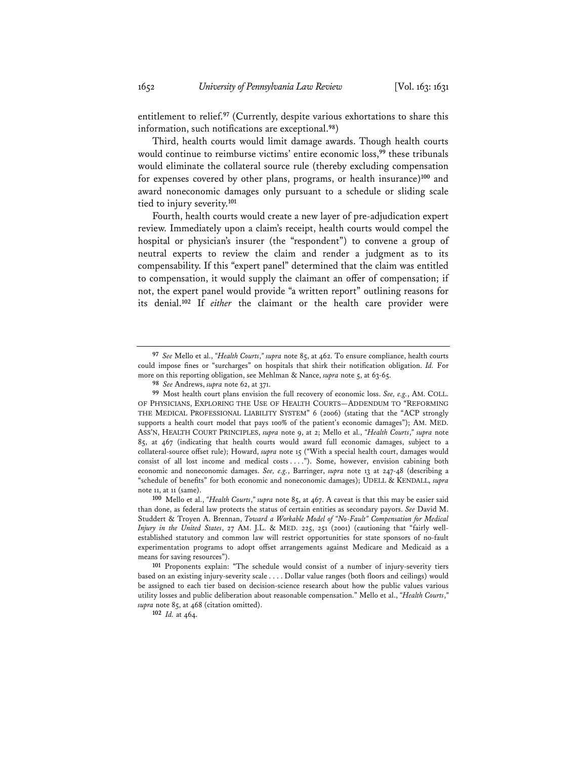entitlement to relief.**<sup>97</sup>** (Currently, despite various exhortations to share this information, such notifications are exceptional.**<sup>98</sup>**)

Third, health courts would limit damage awards. Though health courts would continue to reimburse victims' entire economic loss,**<sup>99</sup>** these tribunals would eliminate the collateral source rule (thereby excluding compensation for expenses covered by other plans, programs, or health insurance)**<sup>100</sup>** and award noneconomic damages only pursuant to a schedule or sliding scale tied to injury severity.**<sup>101</sup>**

Fourth, health courts would create a new layer of pre-adjudication expert review. Immediately upon a claim's receipt, health courts would compel the hospital or physician's insurer (the "respondent") to convene a group of neutral experts to review the claim and render a judgment as to its compensability. If this "expert panel" determined that the claim was entitled to compensation, it would supply the claimant an offer of compensation; if not, the expert panel would provide "a written report" outlining reasons for its denial.**<sup>102</sup>** If *either* the claimant or the health care provider were

**102** *Id.* at 464.

**<sup>97</sup>** *See* Mello et al., *"Health Courts*,*" supra* note 85, at 462. To ensure compliance, health courts could impose fines or "surcharges" on hospitals that shirk their notification obligation. *Id.* For more on this reporting obligation, see Mehlman & Nance, *supra* note 5, at 63-65.

**<sup>98</sup>** *See* Andrews, *supra* note 62, at 371.

**<sup>99</sup>** Most health court plans envision the full recovery of economic loss. *See, e.g.*, AM. COLL. OF PHYSICIANS, EXPLORING THE USE OF HEALTH COURTS—ADDENDUM TO "REFORMING THE MEDICAL PROFESSIONAL LIABILITY SYSTEM" 6 (2006) (stating that the "ACP strongly supports a health court model that pays 100% of the patient's economic damages"); AM. MED. ASS'N, HEALTH COURT PRINCIPLES, *supra* note 9, at 2; Mello et al., *"Health Courts*,*" supra* note 85, at 467 (indicating that health courts would award full economic damages, subject to a collateral-source offset rule); Howard, *supra* note 15 ("With a special health court, damages would consist of all lost income and medical costs . . . ."). Some, however, envision cabining both economic and noneconomic damages. *See, e.g.*, Barringer, *supra* note 13 at 247-48 (describing a "schedule of benefits" for both economic and noneconomic damages); UDELL & KENDALL, *supra* note 11, at 11 (same).

**<sup>100</sup>** Mello et al., *"Health Courts*,*" supra* note 85, at 467. A caveat is that this may be easier said than done, as federal law protects the status of certain entities as secondary payors. *See* David M. Studdert & Troyen A. Brennan, *Toward a Workable Model of "No-Fault" Compensation for Medical Injury in the United States*, 27 AM. J.L. & MED. 225, 251 (2001) (cautioning that "fairly wellestablished statutory and common law will restrict opportunities for state sponsors of no-fault experimentation programs to adopt offset arrangements against Medicare and Medicaid as a means for saving resources").

**<sup>101</sup>** Proponents explain: "The schedule would consist of a number of injury-severity tiers based on an existing injury-severity scale . . . . Dollar value ranges (both floors and ceilings) would be assigned to each tier based on decision-science research about how the public values various utility losses and public deliberation about reasonable compensation." Mello et al., *"Health Courts*,*" supra* note 85, at 468 (citation omitted).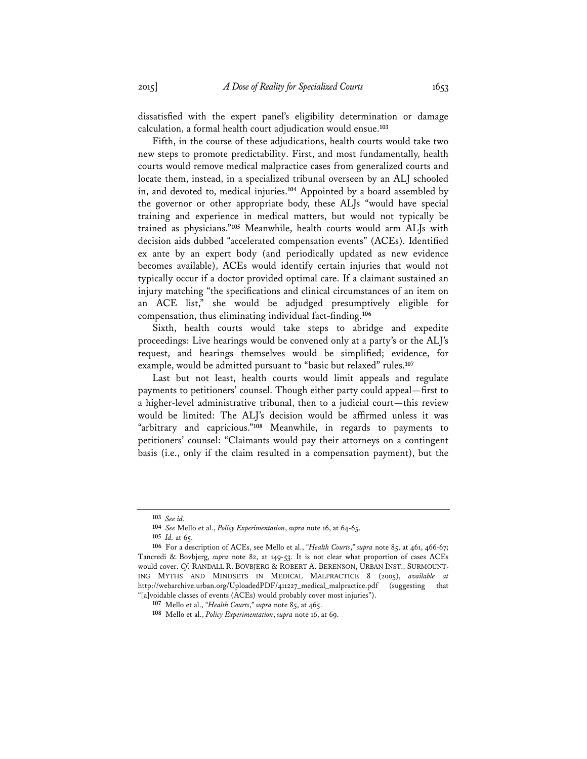dissatisfied with the expert panel's eligibility determination or damage calculation, a formal health court adjudication would ensue.**<sup>103</sup>**

Fifth, in the course of these adjudications, health courts would take two new steps to promote predictability. First, and most fundamentally, health courts would remove medical malpractice cases from generalized courts and locate them, instead, in a specialized tribunal overseen by an ALJ schooled in, and devoted to, medical injuries.**<sup>104</sup>** Appointed by a board assembled by the governor or other appropriate body, these ALJs "would have special training and experience in medical matters, but would not typically be trained as physicians."**<sup>105</sup>** Meanwhile, health courts would arm ALJs with decision aids dubbed "accelerated compensation events" (ACEs). Identified ex ante by an expert body (and periodically updated as new evidence becomes available), ACEs would identify certain injuries that would not typically occur if a doctor provided optimal care. If a claimant sustained an injury matching "the specifications and clinical circumstances of an item on an ACE list," she would be adjudged presumptively eligible for compensation, thus eliminating individual fact-finding.**<sup>106</sup>**

Sixth, health courts would take steps to abridge and expedite proceedings: Live hearings would be convened only at a party's or the ALJ's request, and hearings themselves would be simplified; evidence, for example, would be admitted pursuant to "basic but relaxed" rules.**<sup>107</sup>**

Last but not least, health courts would limit appeals and regulate payments to petitioners' counsel. Though either party could appeal—first to a higher-level administrative tribunal, then to a judicial court—this review would be limited: The ALJ's decision would be affirmed unless it was "arbitrary and capricious."**<sup>108</sup>** Meanwhile, in regards to payments to petitioners' counsel: "Claimants would pay their attorneys on a contingent basis (i.e., only if the claim resulted in a compensation payment), but the

**<sup>103</sup>** *See id.*

**<sup>104</sup>** *See* Mello et al., *Policy Experimentation*, *supra* note 16, at 64-65.

**<sup>105</sup>** *Id.* at 65.

**<sup>106</sup>** For a description of ACEs, see Mello et al., *"Health Courts*,*" supra* note 85, at 461, 466-67; Tancredi & Bovbjerg, *supra* note 82, at 149-53. It is not clear what proportion of cases ACEs would cover. *Cf.* RANDALL R. BOVBJERG & ROBERT A. BERENSON, URBAN INST., SURMOUNT-ING MYTHS AND MINDSETS IN MEDICAL MALPRACTICE 8 (2005), *available at* http://webarchive.urban.org/UploadedPDF/411227\_medical\_malpractice.pdf (suggesting that "[a]voidable classes of events (ACEs) would probably cover most injuries").

**<sup>107</sup>** Mello et al., *"Health Courts*,*" supra* note 85, at 465.

**<sup>108</sup>** Mello et al., *Policy Experimentation*, *supra* note 16, at 69.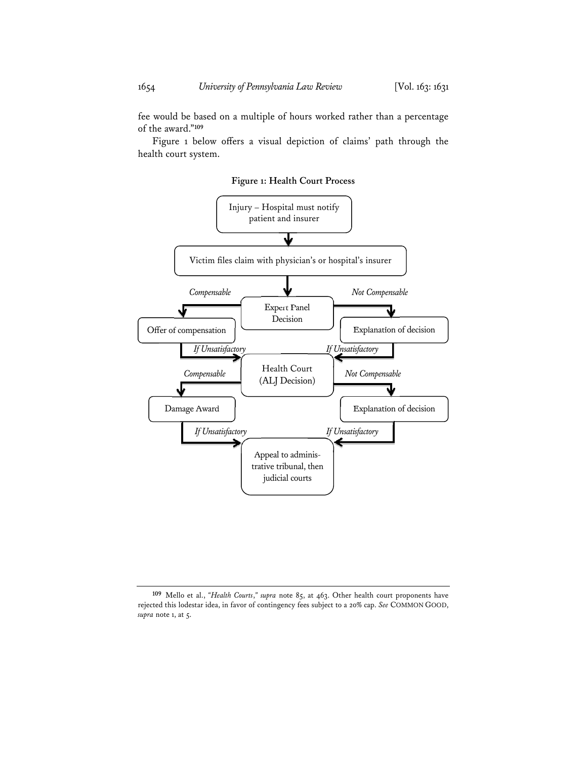fee would be based on a multiple of hours worked rather than a percentage of the award."**<sup>109</sup>**

Figure 1 below offers a visual depiction of claims' path through the health court system.

**Figure 1: Health Court Process** 



**<sup>109</sup>** Mello et al., *"Health Courts*,*" supra* note 85, at 463. Other health court proponents have rejected this lodestar idea, in favor of contingency fees subject to a 20% cap. *See* COMMON GOOD, *supra* note 1, at 5.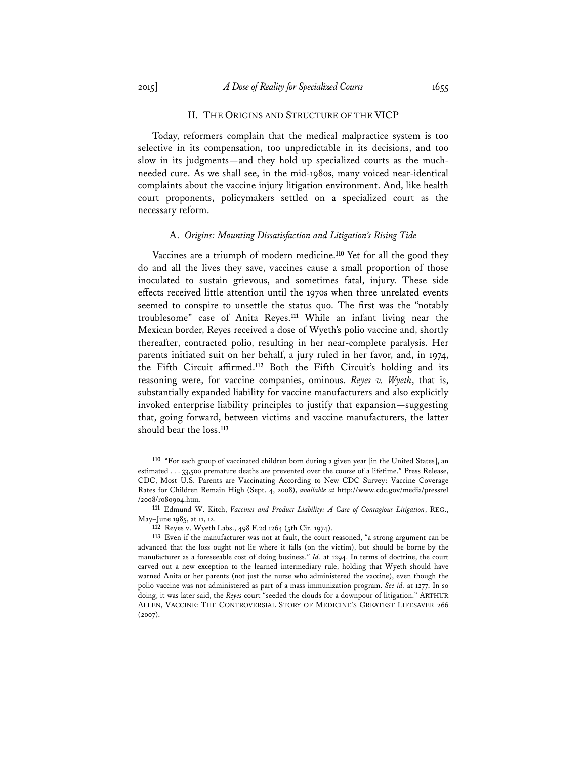### II. THE ORIGINS AND STRUCTURE OF THE VICP

Today, reformers complain that the medical malpractice system is too selective in its compensation, too unpredictable in its decisions, and too slow in its judgments—and they hold up specialized courts as the muchneeded cure. As we shall see, in the mid-1980s, many voiced near-identical complaints about the vaccine injury litigation environment. And, like health court proponents, policymakers settled on a specialized court as the necessary reform.

#### A. *Origins: Mounting Dissatisfaction and Litigation's Rising Tide*

Vaccines are a triumph of modern medicine.**<sup>110</sup>** Yet for all the good they do and all the lives they save, vaccines cause a small proportion of those inoculated to sustain grievous, and sometimes fatal, injury. These side effects received little attention until the 1970s when three unrelated events seemed to conspire to unsettle the status quo. The first was the "notably troublesome" case of Anita Reyes.**<sup>111</sup>** While an infant living near the Mexican border, Reyes received a dose of Wyeth's polio vaccine and, shortly thereafter, contracted polio, resulting in her near-complete paralysis. Her parents initiated suit on her behalf, a jury ruled in her favor, and, in 1974, the Fifth Circuit affirmed.**<sup>112</sup>** Both the Fifth Circuit's holding and its reasoning were, for vaccine companies, ominous. *Reyes v. Wyeth*, that is, substantially expanded liability for vaccine manufacturers and also explicitly invoked enterprise liability principles to justify that expansion—suggesting that, going forward, between victims and vaccine manufacturers, the latter should bear the loss.**<sup>113</sup>**

**<sup>110</sup>** "For each group of vaccinated children born during a given year [in the United States], an estimated . . . 33,500 premature deaths are prevented over the course of a lifetime." Press Release, CDC, Most U.S. Parents are Vaccinating According to New CDC Survey: Vaccine Coverage Rates for Children Remain High (Sept. 4, 2008), *available at* http://www.cdc.gov/media/pressrel /2008/r080904.htm.

**<sup>111</sup>** Edmund W. Kitch, *Vaccines and Product Liability: A Case of Contagious Litigation*, REG., May–June 1985, at 11, 12.

**<sup>112</sup>** Reyes v. Wyeth Labs., 498 F.2d 1264 (5th Cir. 1974).

**<sup>113</sup>** Even if the manufacturer was not at fault, the court reasoned, "a strong argument can be advanced that the loss ought not lie where it falls (on the victim), but should be borne by the manufacturer as a foreseeable cost of doing business." *Id.* at 1294. In terms of doctrine, the court carved out a new exception to the learned intermediary rule, holding that Wyeth should have warned Anita or her parents (not just the nurse who administered the vaccine), even though the polio vaccine was not administered as part of a mass immunization program. *See id.* at 1277. In so doing, it was later said, the *Reyes* court "seeded the clouds for a downpour of litigation." ARTHUR ALLEN, VACCINE: THE CONTROVERSIAL STORY OF MEDICINE'S GREATEST LIFESAVER 266 (2007).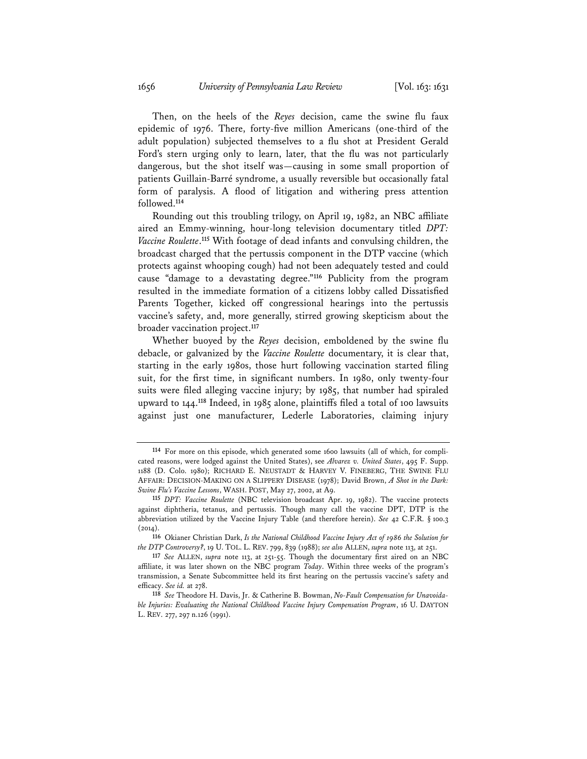Then, on the heels of the *Reyes* decision, came the swine flu faux epidemic of 1976. There, forty-five million Americans (one-third of the adult population) subjected themselves to a flu shot at President Gerald Ford's stern urging only to learn, later, that the flu was not particularly dangerous, but the shot itself was—causing in some small proportion of patients Guillain-Barré syndrome, a usually reversible but occasionally fatal form of paralysis. A flood of litigation and withering press attention followed.**<sup>114</sup>**

Rounding out this troubling trilogy, on April 19, 1982, an NBC affiliate aired an Emmy-winning, hour-long television documentary titled *DPT: Vaccine Roulette*. **<sup>115</sup>** With footage of dead infants and convulsing children, the broadcast charged that the pertussis component in the DTP vaccine (which protects against whooping cough) had not been adequately tested and could cause "damage to a devastating degree."**<sup>116</sup>** Publicity from the program resulted in the immediate formation of a citizens lobby called Dissatisfied Parents Together, kicked off congressional hearings into the pertussis vaccine's safety, and, more generally, stirred growing skepticism about the broader vaccination project.**<sup>117</sup>**

Whether buoyed by the *Reyes* decision, emboldened by the swine flu debacle, or galvanized by the *Vaccine Roulette* documentary, it is clear that, starting in the early 1980s, those hurt following vaccination started filing suit, for the first time, in significant numbers. In 1980, only twenty-four suits were filed alleging vaccine injury; by 1985, that number had spiraled upward to 144.**<sup>118</sup>** Indeed, in 1985 alone, plaintiffs filed a total of 100 lawsuits against just one manufacturer, Lederle Laboratories, claiming injury

**<sup>114</sup>** For more on this episode, which generated some 1600 lawsuits (all of which, for complicated reasons, were lodged against the United States), see *Alvarez v. United States*, 495 F. Supp. 1188 (D. Colo. 1980); RICHARD E. NEUSTADT & HARVEY V. FINEBERG, THE SWINE FLU AFFAIR: DECISION-MAKING ON A SLIPPERY DISEASE (1978); David Brown, *A Shot in the Dark: Swine Flu's Vaccine Lessons*, WASH. POST, May 27, 2002, at A9.

**<sup>115</sup>** *DPT: Vaccine Roulette* (NBC television broadcast Apr. 19, 1982). The vaccine protects against diphtheria, tetanus, and pertussis. Though many call the vaccine DPT, DTP is the abbreviation utilized by the Vaccine Injury Table (and therefore herein). *See* 42 C.F.R. § 100.3  $(2014)$ .

**<sup>116</sup>** Okianer Christian Dark, *Is the National Childhood Vaccine Injury Act of 1986 the Solution for the DTP Controversy?*, 19 U. TOL. L. REV. 799, 839 (1988); *see also* ALLEN, *supra* note 113, at 251.

**<sup>117</sup>** *See* ALLEN, *supra* note 113, at 251-55. Though the documentary first aired on an NBC affiliate, it was later shown on the NBC program *Today*. Within three weeks of the program's transmission, a Senate Subcommittee held its first hearing on the pertussis vaccine's safety and efficacy. *See id.* at 278.

**<sup>118</sup>** *See* Theodore H. Davis, Jr. & Catherine B. Bowman, *No-Fault Compensation for Unavoidable Injuries: Evaluating the National Childhood Vaccine Injury Compensation Program*, 16 U. DAYTON L. REV. 277, 297 n.126 (1991).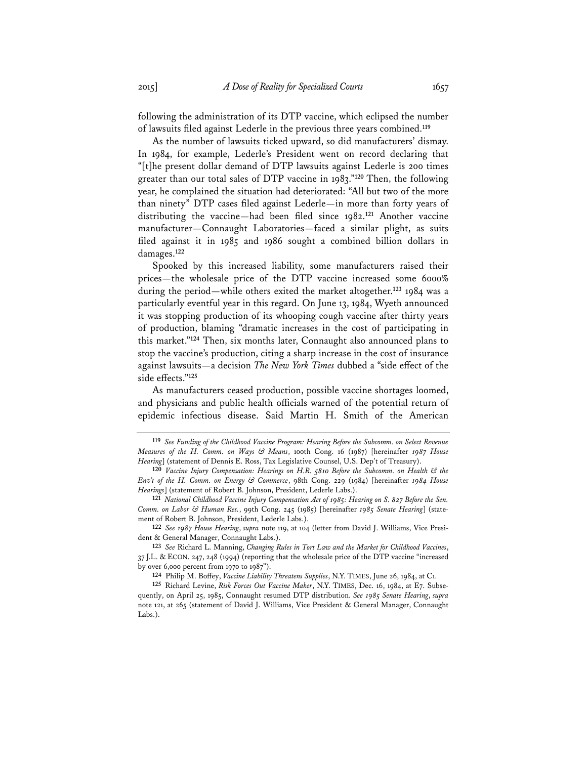following the administration of its DTP vaccine, which eclipsed the number of lawsuits filed against Lederle in the previous three years combined.**<sup>119</sup>**

As the number of lawsuits ticked upward, so did manufacturers' dismay. In 1984, for example, Lederle's President went on record declaring that "[t]he present dollar demand of DTP lawsuits against Lederle is 200 times greater than our total sales of DTP vaccine in 1983."**<sup>120</sup>** Then, the following year, he complained the situation had deteriorated: "All but two of the more than ninety" DTP cases filed against Lederle—in more than forty years of distributing the vaccine—had been filed since 1982.**<sup>121</sup>** Another vaccine manufacturer—Connaught Laboratories—faced a similar plight, as suits filed against it in 1985 and 1986 sought a combined billion dollars in damages.**<sup>122</sup>**

Spooked by this increased liability, some manufacturers raised their prices—the wholesale price of the DTP vaccine increased some 6000% during the period—while others exited the market altogether.**<sup>123</sup>** 1984 was a particularly eventful year in this regard. On June 13, 1984, Wyeth announced it was stopping production of its whooping cough vaccine after thirty years of production, blaming "dramatic increases in the cost of participating in this market."**<sup>124</sup>** Then, six months later, Connaught also announced plans to stop the vaccine's production, citing a sharp increase in the cost of insurance against lawsuits—a decision *The New York Times* dubbed a "side effect of the side effects."**<sup>125</sup>**

As manufacturers ceased production, possible vaccine shortages loomed, and physicians and public health officials warned of the potential return of epidemic infectious disease. Said Martin H. Smith of the American

**121** *National Childhood Vaccine Injury Compensation Act of 1985: Hearing on S. 827 Before the Sen. Comm. on Labor & Human Res.*, 99th Cong. 245 (1985) [hereinafter *1985 Senate Hearing*] (statement of Robert B. Johnson, President, Lederle Labs.).

**122** *See 1987 House Hearing*, *supra* note 119, at 104 (letter from David J. Williams, Vice President & General Manager, Connaught Labs.).

**123** *See* Richard L. Manning, *Changing Rules in Tort Law and the Market for Childhood Vaccines*, 37 J.L. & ECON. 247, 248 (1994) (reporting that the wholesale price of the DTP vaccine "increased by over 6,000 percent from 1970 to 1987").

**124** Philip M. Boffey, *Vaccine Liability Threatens Supplies*, N.Y. TIMES, June 26, 1984, at C1.

**125** Richard Levine, *Risk Forces Out Vaccine Maker*, N.Y. TIMES, Dec. 16, 1984, at E7. Subsequently, on April 25, 1985, Connaught resumed DTP distribution. *See 1985 Senate Hearing*, *supra* note 121, at 265 (statement of David J. Williams, Vice President & General Manager, Connaught Labs.).

**<sup>119</sup>** *See Funding of the Childhood Vaccine Program: Hearing Before the Subcomm. on Select Revenue Measures of the H. Comm. on Ways & Means*, 100th Cong. 16 (1987) [hereinafter *1987 House*  Hearing] (statement of Dennis E. Ross, Tax Legislative Counsel, U.S. Dep't of Treasury).

**<sup>120</sup>** *Vaccine Injury Compensation: Hearings on H.R. 5810 Before the Subcomm. on Health & the Env't of the H. Comm. on Energy & Commerce*, 98th Cong. 229 (1984) [hereinafter *1984 House Hearings*] (statement of Robert B. Johnson, President, Lederle Labs.).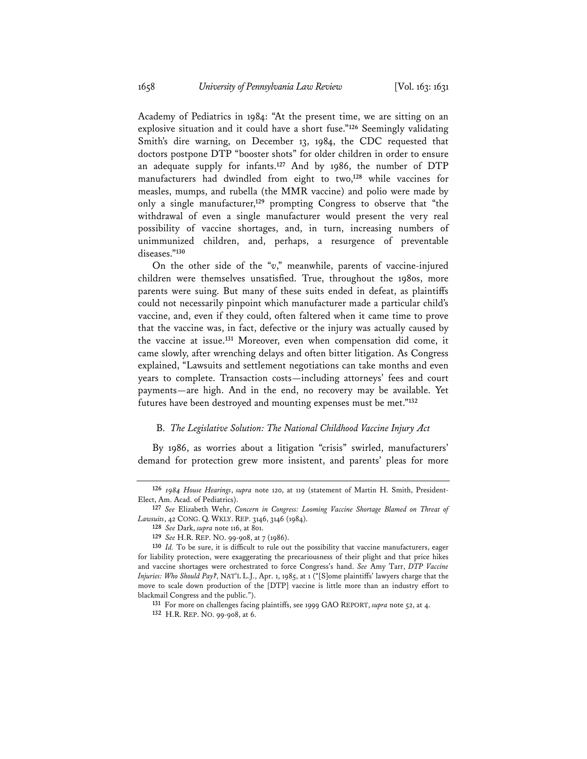Academy of Pediatrics in 1984: "At the present time, we are sitting on an explosive situation and it could have a short fuse."**<sup>126</sup>** Seemingly validating Smith's dire warning, on December 13, 1984, the CDC requested that doctors postpone DTP "booster shots" for older children in order to ensure an adequate supply for infants.**<sup>127</sup>** And by 1986, the number of DTP manufacturers had dwindled from eight to two,**<sup>128</sup>** while vaccines for measles, mumps, and rubella (the MMR vaccine) and polio were made by only a single manufacturer,**<sup>129</sup>** prompting Congress to observe that "the withdrawal of even a single manufacturer would present the very real possibility of vaccine shortages, and, in turn, increasing numbers of unimmunized children, and, perhaps, a resurgence of preventable diseases."**<sup>130</sup>**

On the other side of the "*v*," meanwhile, parents of vaccine-injured children were themselves unsatisfied. True, throughout the 1980s, more parents were suing. But many of these suits ended in defeat, as plaintiffs could not necessarily pinpoint which manufacturer made a particular child's vaccine, and, even if they could, often faltered when it came time to prove that the vaccine was, in fact, defective or the injury was actually caused by the vaccine at issue.**<sup>131</sup>** Moreover, even when compensation did come, it came slowly, after wrenching delays and often bitter litigation. As Congress explained, "Lawsuits and settlement negotiations can take months and even years to complete. Transaction costs—including attorneys' fees and court payments—are high. And in the end, no recovery may be available. Yet futures have been destroyed and mounting expenses must be met."**<sup>132</sup>**

### B. *The Legislative Solution: The National Childhood Vaccine Injury Act*

By 1986, as worries about a litigation "crisis" swirled, manufacturers' demand for protection grew more insistent, and parents' pleas for more

**<sup>126</sup>** *1984 House Hearings*, *supra* note 120, at 119 (statement of Martin H. Smith, President-Elect, Am. Acad. of Pediatrics).

**<sup>127</sup>** *See* Elizabeth Wehr, *Concern in Congress: Looming Vaccine Shortage Blamed on Threat of Lawsuits*, 42 CONG. Q. WKLY. REP. 3146, 3146 (1984).

**<sup>128</sup>** *See* Dark, *supra* note 116, at 801.

**<sup>129</sup>** *See* H.R. REP. NO. 99-908, at 7 (1986).

**<sup>130</sup>** *Id.* To be sure, it is difficult to rule out the possibility that vaccine manufacturers, eager for liability protection, were exaggerating the precariousness of their plight and that price hikes and vaccine shortages were orchestrated to force Congress's hand. *See* Amy Tarr, *DTP Vaccine Injuries: Who Should Pay?*, NAT'L L.J., Apr. 1, 1985, at 1 ("[S]ome plaintiffs' lawyers charge that the move to scale down production of the [DTP] vaccine is little more than an industry effort to blackmail Congress and the public.").

**<sup>131</sup>** For more on challenges facing plaintiffs, see 1999 GAO REPORT, *supra* note 52, at 4.

**<sup>132</sup>** H.R. REP. NO. 99-908, at 6.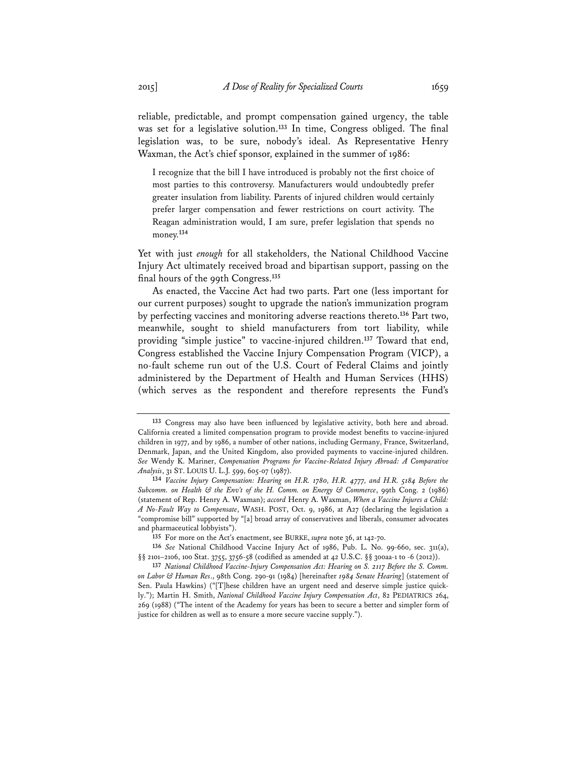reliable, predictable, and prompt compensation gained urgency, the table was set for a legislative solution.**<sup>133</sup>** In time, Congress obliged. The final legislation was, to be sure, nobody's ideal. As Representative Henry Waxman, the Act's chief sponsor, explained in the summer of 1986:

I recognize that the bill I have introduced is probably not the first choice of most parties to this controversy. Manufacturers would undoubtedly prefer greater insulation from liability. Parents of injured children would certainly prefer larger compensation and fewer restrictions on court activity. The Reagan administration would, I am sure, prefer legislation that spends no money.**<sup>134</sup>**

Yet with just *enough* for all stakeholders, the National Childhood Vaccine Injury Act ultimately received broad and bipartisan support, passing on the final hours of the 99th Congress.**<sup>135</sup>**

As enacted, the Vaccine Act had two parts. Part one (less important for our current purposes) sought to upgrade the nation's immunization program by perfecting vaccines and monitoring adverse reactions thereto.**<sup>136</sup>** Part two, meanwhile, sought to shield manufacturers from tort liability, while providing "simple justice" to vaccine-injured children.**<sup>137</sup>** Toward that end, Congress established the Vaccine Injury Compensation Program (VICP), a no-fault scheme run out of the U.S. Court of Federal Claims and jointly administered by the Department of Health and Human Services (HHS) (which serves as the respondent and therefore represents the Fund's

**<sup>133</sup>** Congress may also have been influenced by legislative activity, both here and abroad. California created a limited compensation program to provide modest benefits to vaccine-injured children in 1977, and by 1986, a number of other nations, including Germany, France, Switzerland, Denmark, Japan, and the United Kingdom, also provided payments to vaccine-injured children. *See* Wendy K. Mariner, *Compensation Programs for Vaccine-Related Injury Abroad: A Comparative Analysis*, 31 ST. LOUIS U. L.J. 599, 605-07 (1987).

**<sup>134</sup>** *Vaccine Injury Compensation: Hearing on H.R. 1780, H.R. 4777, and H.R. 5184 Before the Subcomm. on Health & the Env't of the H. Comm. on Energy & Commerce*, 99th Cong. 2 (1986) (statement of Rep. Henry A. Waxman); *accord* Henry A. Waxman, *When a Vaccine Injures a Child: A No-Fault Way to Compensate*, WASH. POST, Oct. 9, 1986, at A27 (declaring the legislation a "compromise bill" supported by "[a] broad array of conservatives and liberals, consumer advocates and pharmaceutical lobbyists").

**<sup>135</sup>** For more on the Act's enactment, see BURKE, *supra* note 36, at 142-70.

**<sup>136</sup>** *See* National Childhood Vaccine Injury Act of 1986, Pub. L. No. 99-660, sec. 311(a), §§ 2101-2106, 100 Stat. 3755, 3756-58 (codified as amended at 42 U.S.C. §§ 300aa-1 to -6 (2012)).

**<sup>137</sup>** *National Childhood Vaccine-Injury Compensation Act: Hearing on S. 2117 Before the S. Comm. on Labor & Human Res*., 98th Cong. 290-91 (1984) [hereinafter *1984 Senate Hearing*] (statement of Sen. Paula Hawkins) ("[T]hese children have an urgent need and deserve simple justice quickly."); Martin H. Smith, *National Childhood Vaccine Injury Compensation Act*, 82 PEDIATRICS 264, 269 (1988) ("The intent of the Academy for years has been to secure a better and simpler form of justice for children as well as to ensure a more secure vaccine supply.").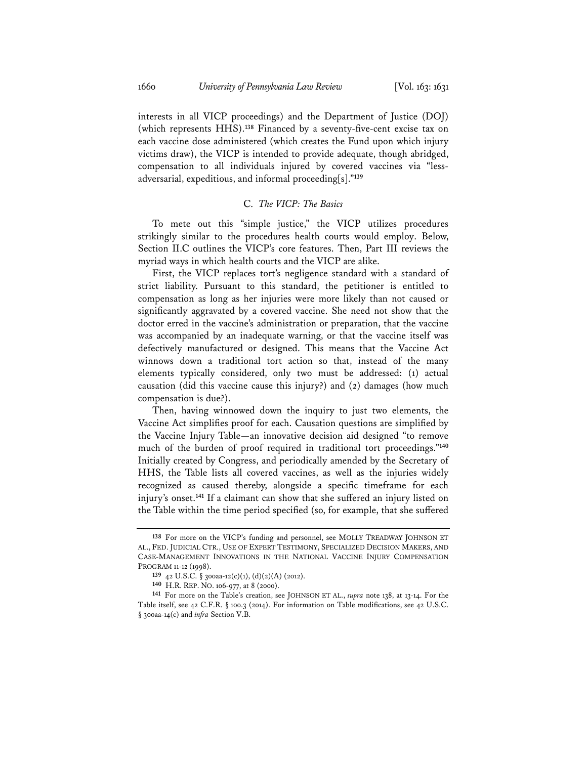interests in all VICP proceedings) and the Department of Justice (DOJ) (which represents HHS).**<sup>138</sup>** Financed by a seventy-five-cent excise tax on each vaccine dose administered (which creates the Fund upon which injury victims draw), the VICP is intended to provide adequate, though abridged, compensation to all individuals injured by covered vaccines via "lessadversarial, expeditious, and informal proceeding[s]."**<sup>139</sup>**

### C. *The VICP: The Basics*

To mete out this "simple justice," the VICP utilizes procedures strikingly similar to the procedures health courts would employ. Below, Section II.C outlines the VICP's core features. Then, Part III reviews the myriad ways in which health courts and the VICP are alike.

First, the VICP replaces tort's negligence standard with a standard of strict liability. Pursuant to this standard, the petitioner is entitled to compensation as long as her injuries were more likely than not caused or significantly aggravated by a covered vaccine. She need not show that the doctor erred in the vaccine's administration or preparation, that the vaccine was accompanied by an inadequate warning, or that the vaccine itself was defectively manufactured or designed. This means that the Vaccine Act winnows down a traditional tort action so that, instead of the many elements typically considered, only two must be addressed: (1) actual causation (did this vaccine cause this injury?) and (2) damages (how much compensation is due?).

Then, having winnowed down the inquiry to just two elements, the Vaccine Act simplifies proof for each. Causation questions are simplified by the Vaccine Injury Table—an innovative decision aid designed "to remove much of the burden of proof required in traditional tort proceedings."**<sup>140</sup>** Initially created by Congress, and periodically amended by the Secretary of HHS, the Table lists all covered vaccines, as well as the injuries widely recognized as caused thereby, alongside a specific timeframe for each injury's onset.**<sup>141</sup>** If a claimant can show that she suffered an injury listed on the Table within the time period specified (so, for example, that she suffered

**<sup>138</sup>** For more on the VICP's funding and personnel, see MOLLY TREADWAY JOHNSON ET AL., FED. JUDICIAL CTR., USE OF EXPERT TESTIMONY, SPECIALIZED DECISION MAKERS, AND CASE-MANAGEMENT INNOVATIONS IN THE NATIONAL VACCINE INJURY COMPENSATION PROGRAM 11-12 (1998).

**<sup>139</sup>** 42 U.S.C. § 300aa-12(c)(1), (d)(2)(A) (2012).

**<sup>140</sup>** H.R. REP. NO. 106-977, at 8 (2000).

**<sup>141</sup>** For more on the Table's creation, see JOHNSON ET AL., *supra* note 138, at 13-14. For the Table itself, see 42 C.F.R. § 100.3 (2014). For information on Table modifications, see 42 U.S.C. § 300aa-14(c) and *infra* Section V.B.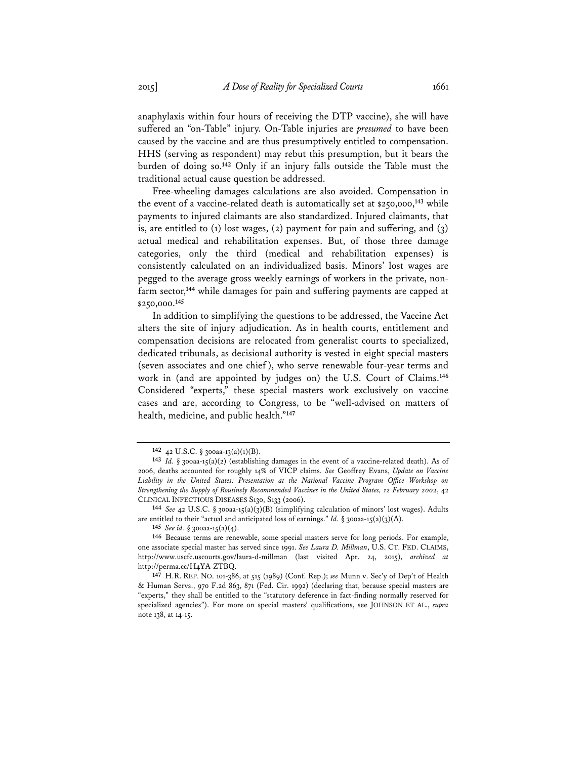anaphylaxis within four hours of receiving the DTP vaccine), she will have suffered an "on-Table" injury. On-Table injuries are *presumed* to have been caused by the vaccine and are thus presumptively entitled to compensation. HHS (serving as respondent) may rebut this presumption, but it bears the burden of doing so.**<sup>142</sup>** Only if an injury falls outside the Table must the traditional actual cause question be addressed.

Free-wheeling damages calculations are also avoided. Compensation in the event of a vaccine-related death is automatically set at \$250,000,**<sup>143</sup>** while payments to injured claimants are also standardized. Injured claimants, that is, are entitled to  $(1)$  lost wages,  $(2)$  payment for pain and suffering, and  $(3)$ actual medical and rehabilitation expenses. But, of those three damage categories, only the third (medical and rehabilitation expenses) is consistently calculated on an individualized basis. Minors' lost wages are pegged to the average gross weekly earnings of workers in the private, nonfarm sector,**<sup>144</sup>** while damages for pain and suffering payments are capped at \$250,000.**<sup>145</sup>**

In addition to simplifying the questions to be addressed, the Vaccine Act alters the site of injury adjudication. As in health courts, entitlement and compensation decisions are relocated from generalist courts to specialized, dedicated tribunals, as decisional authority is vested in eight special masters (seven associates and one chief ), who serve renewable four-year terms and work in (and are appointed by judges on) the U.S. Court of Claims.**<sup>146</sup>** Considered "experts," these special masters work exclusively on vaccine cases and are, according to Congress, to be "well-advised on matters of health, medicine, and public health."**<sup>147</sup>**

**145** *See id.* § 300aa-15(a)(4).

**<sup>142</sup>** 42 U.S.C. § 300aa-13(a)(1)(B).

**<sup>143</sup>** *Id.* § 300aa-15(a)(2) (establishing damages in the event of a vaccine-related death). As of 2006, deaths accounted for roughly 14% of VICP claims. *See* Geoffrey Evans, *Update on Vaccine Liability in the United States: Presentation at the National Vaccine Program Office Workshop on Strengthening the Supply of Routinely Recommended Vaccines in the United States, 12 February 2002*, 42 CLINICAL INFECTIOUS DISEASES S130, S133 (2006).

**<sup>144</sup>** *See* 42 U.S.C. § 300aa-15(a)(3)(B) (simplifying calculation of minors' lost wages). Adults are entitled to their "actual and anticipated loss of earnings." *Id.* § 300aa-15(a)(3)(A).

**<sup>146</sup>** Because terms are renewable, some special masters serve for long periods. For example, one associate special master has served since 1991. *See Laura D. Millman*, U.S. CT. FED. CLAIMS, http://www.uscfc.uscourts.gov/laura-d-millman (last visited Apr. 24, 2015), *archived at* http://perma.cc/H4YA-ZTBQ.

**<sup>147</sup>** H.R. REP. NO. 101-386, at 515 (1989) (Conf. Rep.); *see* Munn v. Sec'y of Dep't of Health & Human Servs., 970 F.2d 863, 871 (Fed. Cir. 1992) (declaring that, because special masters are "experts," they shall be entitled to the "statutory deference in fact-finding normally reserved for specialized agencies"). For more on special masters' qualifications, see JOHNSON ET AL., *supra* note 138, at 14-15.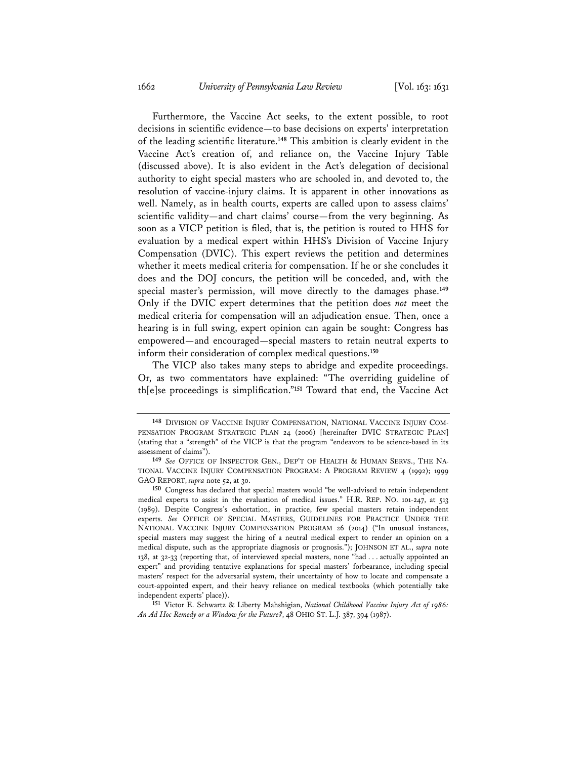Furthermore, the Vaccine Act seeks, to the extent possible, to root decisions in scientific evidence—to base decisions on experts' interpretation of the leading scientific literature.**<sup>148</sup>** This ambition is clearly evident in the Vaccine Act's creation of, and reliance on, the Vaccine Injury Table (discussed above). It is also evident in the Act's delegation of decisional authority to eight special masters who are schooled in, and devoted to, the resolution of vaccine-injury claims. It is apparent in other innovations as well. Namely, as in health courts, experts are called upon to assess claims' scientific validity—and chart claims' course—from the very beginning. As soon as a VICP petition is filed, that is, the petition is routed to HHS for evaluation by a medical expert within HHS's Division of Vaccine Injury Compensation (DVIC). This expert reviews the petition and determines whether it meets medical criteria for compensation. If he or she concludes it does and the DOJ concurs, the petition will be conceded, and, with the special master's permission, will move directly to the damages phase.**<sup>149</sup>** Only if the DVIC expert determines that the petition does *not* meet the medical criteria for compensation will an adjudication ensue. Then, once a hearing is in full swing, expert opinion can again be sought: Congress has empowered—and encouraged—special masters to retain neutral experts to inform their consideration of complex medical questions.**<sup>150</sup>**

The VICP also takes many steps to abridge and expedite proceedings. Or, as two commentators have explained: "The overriding guideline of th[e]se proceedings is simplification."**<sup>151</sup>** Toward that end, the Vaccine Act

**<sup>148</sup>** DIVISION OF VACCINE INJURY COMPENSATION, NATIONAL VACCINE INJURY COM-PENSATION PROGRAM STRATEGIC PLAN 24 (2006) [hereinafter DVIC STRATEGIC PLAN] (stating that a "strength" of the VICP is that the program "endeavors to be science-based in its assessment of claims").

**<sup>149</sup>** *See* OFFICE OF INSPECTOR GEN., DEP'T OF HEALTH & HUMAN SERVS., THE NA-TIONAL VACCINE INJURY COMPENSATION PROGRAM: A PROGRAM REVIEW 4 (1992); 1999 GAO REPORT, *supra* note 52, at 30.

**<sup>150</sup>** Congress has declared that special masters would "be well-advised to retain independent medical experts to assist in the evaluation of medical issues." H.R. REP. NO. 101-247, at 513 (1989). Despite Congress's exhortation, in practice, few special masters retain independent experts. *See* OFFICE OF SPECIAL MASTERS, GUIDELINES FOR PRACTICE UNDER THE NATIONAL VACCINE INJURY COMPENSATION PROGRAM 26 (2014) ("In unusual instances, special masters may suggest the hiring of a neutral medical expert to render an opinion on a medical dispute, such as the appropriate diagnosis or prognosis."); JOHNSON ET AL., *supra* note 138, at 32-33 (reporting that, of interviewed special masters, none "had . . . actually appointed an expert" and providing tentative explanations for special masters' forbearance, including special masters' respect for the adversarial system, their uncertainty of how to locate and compensate a court-appointed expert, and their heavy reliance on medical textbooks (which potentially take independent experts' place)).

**<sup>151</sup>** Victor E. Schwartz & Liberty Mahshigian, *National Childhood Vaccine Injury Act of 1986: An Ad Hoc Remedy or a Window for the Future?*, 48 OHIO ST. L.J. 387, 394 (1987).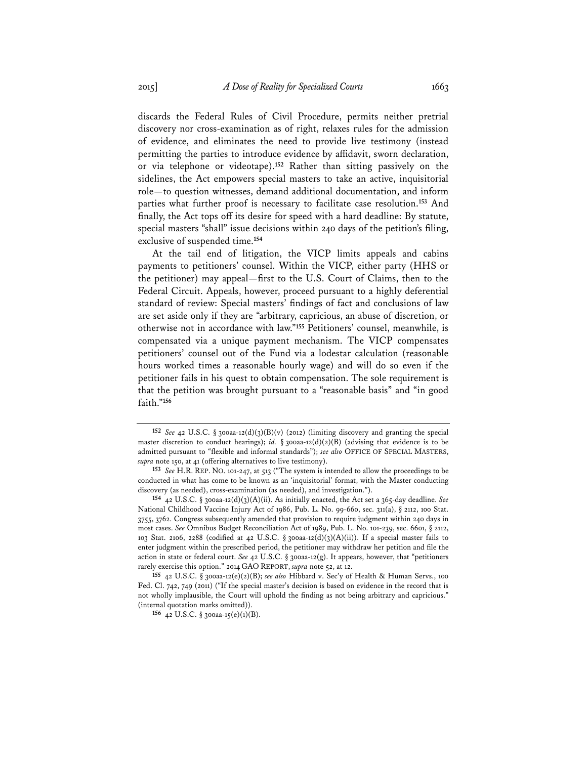discards the Federal Rules of Civil Procedure, permits neither pretrial discovery nor cross-examination as of right, relaxes rules for the admission of evidence, and eliminates the need to provide live testimony (instead permitting the parties to introduce evidence by affidavit, sworn declaration, or via telephone or videotape).**<sup>152</sup>** Rather than sitting passively on the sidelines, the Act empowers special masters to take an active, inquisitorial role—to question witnesses, demand additional documentation, and inform parties what further proof is necessary to facilitate case resolution.**<sup>153</sup>** And finally, the Act tops off its desire for speed with a hard deadline: By statute, special masters "shall" issue decisions within 240 days of the petition's filing, exclusive of suspended time.**<sup>154</sup>**

At the tail end of litigation, the VICP limits appeals and cabins payments to petitioners' counsel. Within the VICP, either party (HHS or the petitioner) may appeal—first to the U.S. Court of Claims, then to the Federal Circuit. Appeals, however, proceed pursuant to a highly deferential standard of review: Special masters' findings of fact and conclusions of law are set aside only if they are "arbitrary, capricious, an abuse of discretion, or otherwise not in accordance with law."**<sup>155</sup>** Petitioners' counsel, meanwhile, is compensated via a unique payment mechanism. The VICP compensates petitioners' counsel out of the Fund via a lodestar calculation (reasonable hours worked times a reasonable hourly wage) and will do so even if the petitioner fails in his quest to obtain compensation. The sole requirement is that the petition was brought pursuant to a "reasonable basis" and "in good faith."**<sup>156</sup>**

**<sup>152</sup>** *See* 42 U.S.C. § 300aa-12(d)(3)(B)(v) (2012) (limiting discovery and granting the special master discretion to conduct hearings); *id.* § 300aa-12(d)(2)(B) (advising that evidence is to be admitted pursuant to "flexible and informal standards"); *see also* OFFICE OF SPECIAL MASTERS, *supra* note 150, at 41 (offering alternatives to live testimony).

**<sup>153</sup>** *See* H.R. REP. NO. 101-247, at 513 ("The system is intended to allow the proceedings to be conducted in what has come to be known as an 'inquisitorial' format, with the Master conducting discovery (as needed), cross-examination (as needed), and investigation.").

**<sup>154</sup>** 42 U.S.C. § 300aa-12(d)(3)(A)(ii). As initially enacted, the Act set a 365-day deadline. *See* National Childhood Vaccine Injury Act of 1986, Pub. L. No. 99-660, sec. 311(a), § 2112, 100 Stat. 3755, 3762. Congress subsequently amended that provision to require judgment within 240 days in most cases. *See* Omnibus Budget Reconciliation Act of 1989, Pub. L. No. 101-239, sec. 6601, § 2112, 103 Stat. 2106, 2288 (codified at 42 U.S.C. § 300aa-12(d)(3)(A)(ii)). If a special master fails to enter judgment within the prescribed period, the petitioner may withdraw her petition and file the action in state or federal court. *See* 42 U.S.C. § 300aa-12(g). It appears, however, that "petitioners rarely exercise this option." 2014 GAO REPORT, *supra* note 52, at 12.

**<sup>155</sup>** 42 U.S.C. § 300aa-12(e)(2)(B); *see also* Hibbard v. Sec'y of Health & Human Servs., 100 Fed. Cl. 742, 749 (2011) ("If the special master's decision is based on evidence in the record that is not wholly implausible, the Court will uphold the finding as not being arbitrary and capricious." (internal quotation marks omitted)).

**<sup>156</sup>** 42 U.S.C. § 300aa-15(e)(1)(B).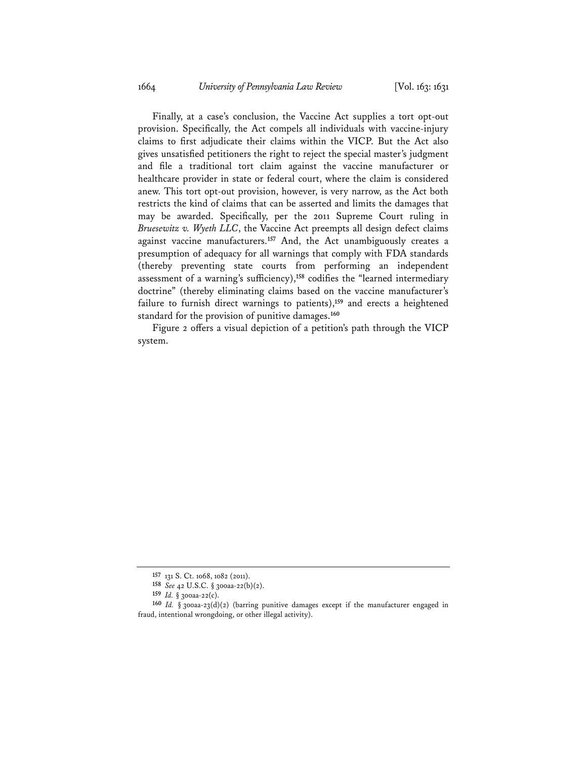Finally, at a case's conclusion, the Vaccine Act supplies a tort opt-out provision. Specifically, the Act compels all individuals with vaccine-injury claims to first adjudicate their claims within the VICP. But the Act also gives unsatisfied petitioners the right to reject the special master's judgment and file a traditional tort claim against the vaccine manufacturer or healthcare provider in state or federal court, where the claim is considered anew. This tort opt-out provision, however, is very narrow, as the Act both restricts the kind of claims that can be asserted and limits the damages that may be awarded. Specifically, per the 2011 Supreme Court ruling in *Bruesewitz v. Wyeth LLC*, the Vaccine Act preempts all design defect claims against vaccine manufacturers.**<sup>157</sup>** And, the Act unambiguously creates a presumption of adequacy for all warnings that comply with FDA standards (thereby preventing state courts from performing an independent assessment of a warning's sufficiency),**<sup>158</sup>** codifies the "learned intermediary doctrine" (thereby eliminating claims based on the vaccine manufacturer's failure to furnish direct warnings to patients),**<sup>159</sup>** and erects a heightened standard for the provision of punitive damages.**<sup>160</sup>**

Figure 2 offers a visual depiction of a petition's path through the VICP system.

**<sup>157</sup>** 131 S. Ct. 1068, 1082 (2011).

**<sup>158</sup>** *See* 42 U.S.C. § 300aa-22(b)(2).

**<sup>159</sup>** *Id.* § 300aa-22(c).

**<sup>160</sup>** *Id.* § 300aa-23(d)(2) (barring punitive damages except if the manufacturer engaged in fraud, intentional wrongdoing, or other illegal activity).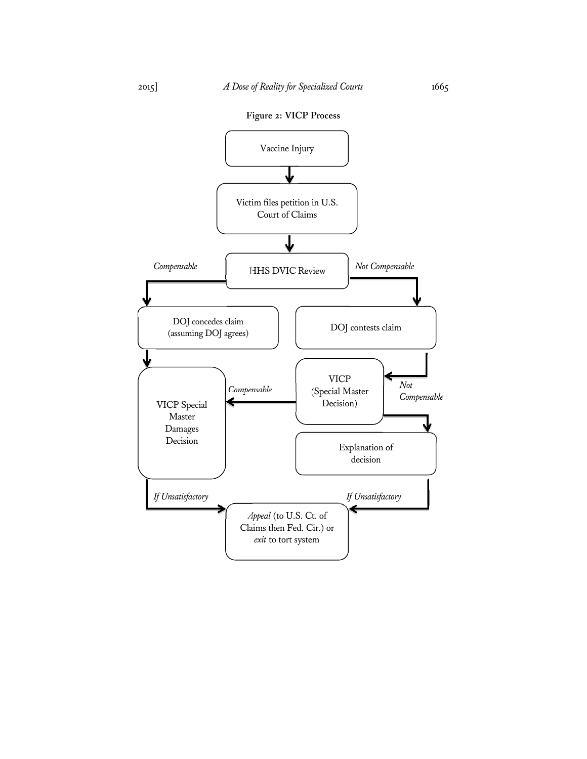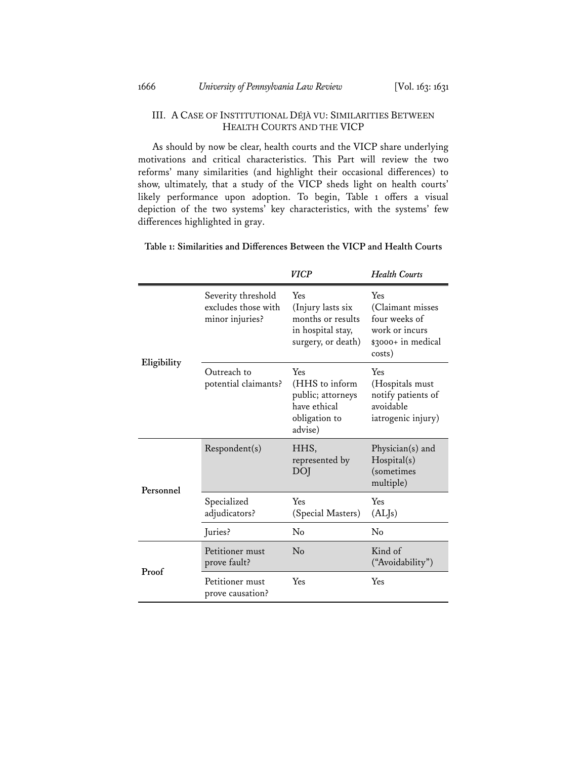### III. A CASE OF INSTITUTIONAL DÉJÀ VU: SIMILARITIES BETWEEN HEALTH COURTS AND THE VICP

As should by now be clear, health courts and the VICP share underlying motivations and critical characteristics. This Part will review the two reforms' many similarities (and highlight their occasional differences) to show, ultimately, that a study of the VICP sheds light on health courts' likely performance upon adoption. To begin, Table 1 offers a visual depiction of the two systems' key characteristics, with the systems' few differences highlighted in gray.

|             |                                                              | <b>VICP</b>                                                                              | <b>Health Courts</b>                                                                       |
|-------------|--------------------------------------------------------------|------------------------------------------------------------------------------------------|--------------------------------------------------------------------------------------------|
|             | Severity threshold<br>excludes those with<br>minor injuries? | Yes<br>(Injury lasts six<br>months or results<br>in hospital stay,<br>surgery, or death) | Yes<br>(Claimant misses<br>four weeks of<br>work or incurs<br>\$3000+ in medical<br>costs) |
| Eligibility | Outreach to<br>potential claimants?                          | Yes<br>(HHS to inform<br>public; attorneys<br>have ethical<br>obligation to<br>advise)   | Yes<br>(Hospitals must<br>notify patients of<br>avoidable<br>iatrogenic injury)            |
| Personnel   | Respondent(s)                                                | HHS,<br>represented by<br>DOI                                                            | Physician(s) and<br>Hospital(s)<br>(sometimes<br>multiple)                                 |
|             | Specialized<br>adjudicators?                                 | Yes<br>(Special Masters)                                                                 | Yes<br>(AL <sub>ls</sub> )                                                                 |
|             | Juries?                                                      | No                                                                                       | $\rm No$                                                                                   |
| Proof       | Petitioner must<br>prove fault?                              | $\rm No$                                                                                 | Kind of<br>("Avoidability")                                                                |
|             | Petitioner must<br>prove causation?                          | Yes                                                                                      | Yes                                                                                        |

**Table 1: Similarities and Differences Between the VICP and Health Courts**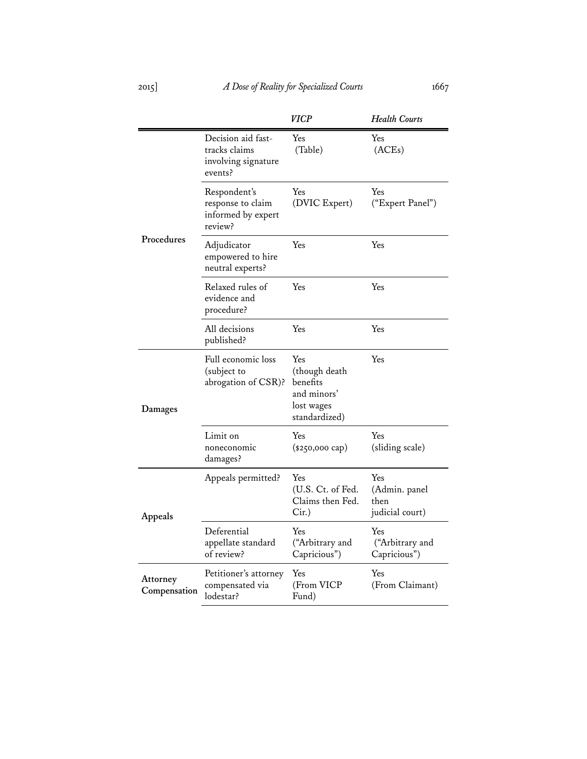2015] *A Dose of Reality for Specialized Courts* 1667

|                          |                                                                       | <b>VICP</b>                                                                    | <b>Health Courts</b>                            |
|--------------------------|-----------------------------------------------------------------------|--------------------------------------------------------------------------------|-------------------------------------------------|
| Procedures               | Decision aid fast-<br>tracks claims<br>involving signature<br>events? | Yes<br>(Table)                                                                 | Yes<br>(ACEs)                                   |
|                          | Respondent's<br>response to claim<br>informed by expert<br>review?    | Yes<br>(DVIC Expert)                                                           | Yes<br>("Expert Panel")                         |
|                          | Adjudicator<br>empowered to hire<br>neutral experts?                  | Yes                                                                            | Yes                                             |
|                          | Relaxed rules of<br>evidence and<br>procedure?                        | Yes                                                                            | Yes                                             |
|                          | All decisions<br>published?                                           | Yes                                                                            | Yes                                             |
| Damages                  | Full economic loss<br>(subject to<br>abrogation of CSR)?              | Yes<br>(though death<br>benefits<br>and minors'<br>lost wages<br>standardized) | Yes                                             |
|                          | Limit on<br>noneconomic<br>damages?                                   | Yes<br>$(*250,000 \text{ cap})$                                                | Yes<br>(sliding scale)                          |
| Appeals                  | Appeals permitted?                                                    | Yes<br>(U.S. Ct. of Fed.<br>Claims then Fed.<br>$Cir.$ )                       | Yes<br>(Admin. panel<br>then<br>judicial court) |
|                          | Deferential<br>appellate standard<br>of review?                       | Yes<br>("Arbitrary and<br>Capricious")                                         | Yes<br>("Arbitrary and<br>Capricious")          |
| Attorney<br>Compensation | Petitioner's attorney<br>compensated via<br>lodestar?                 | Yes<br>(From VICP<br>Fund)                                                     | Yes<br>(From Claimant)                          |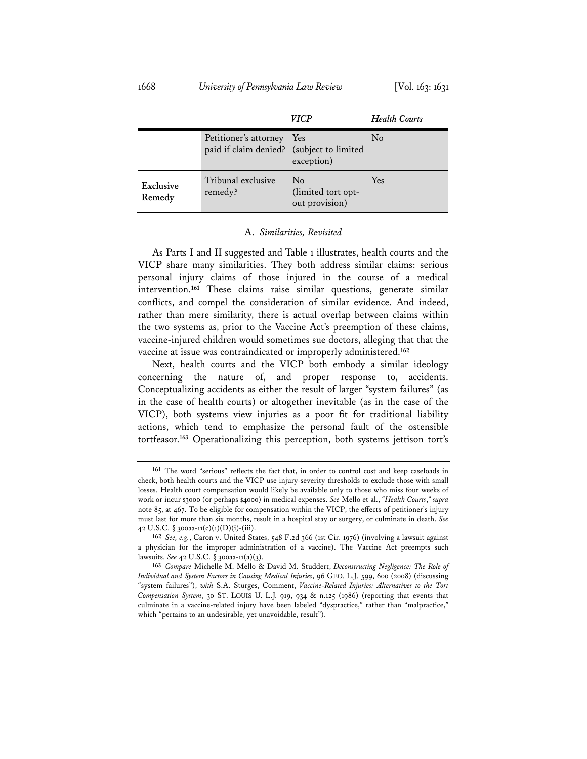|                     |                                                                        | <b>VICP</b>                                      | <b>Health Courts</b> |
|---------------------|------------------------------------------------------------------------|--------------------------------------------------|----------------------|
|                     | Petitioner's attorney Yes<br>paid if claim denied? (subject to limited | exception)                                       | $\rm No$             |
| Exclusive<br>Remedy | Tribunal exclusive<br>remedy?                                          | $\rm No$<br>(limited tort opt-<br>out provision) | <b>Yes</b>           |

#### A. *Similarities, Revisited*

As Parts I and II suggested and Table 1 illustrates, health courts and the VICP share many similarities. They both address similar claims: serious personal injury claims of those injured in the course of a medical intervention.**<sup>161</sup>** These claims raise similar questions, generate similar conflicts, and compel the consideration of similar evidence. And indeed, rather than mere similarity, there is actual overlap between claims within the two systems as, prior to the Vaccine Act's preemption of these claims, vaccine-injured children would sometimes sue doctors, alleging that that the vaccine at issue was contraindicated or improperly administered.**<sup>162</sup>**

Next, health courts and the VICP both embody a similar ideology concerning the nature of, and proper response to, accidents. Conceptualizing accidents as either the result of larger "system failures" (as in the case of health courts) or altogether inevitable (as in the case of the VICP), both systems view injuries as a poor fit for traditional liability actions, which tend to emphasize the personal fault of the ostensible tortfeasor.**<sup>163</sup>** Operationalizing this perception, both systems jettison tort's

**<sup>161</sup>** The word "serious" reflects the fact that, in order to control cost and keep caseloads in check, both health courts and the VICP use injury-severity thresholds to exclude those with small losses. Health court compensation would likely be available only to those who miss four weeks of work or incur \$3000 (or perhaps \$4000) in medical expenses. *See* Mello et al., *"Health Courts*,*" supra* note 85, at 467. To be eligible for compensation within the VICP, the effects of petitioner's injury must last for more than six months, result in a hospital stay or surgery, or culminate in death. *See* 42 U.S.C. § 300aa-11(c)(1)(D)(i)-(iii).

**<sup>162</sup>** *See, e.g.*, Caron v. United States, 548 F.2d 366 (1st Cir. 1976) (involving a lawsuit against a physician for the improper administration of a vaccine). The Vaccine Act preempts such lawsuits. *See* 42 U.S.C. § 300aa-11(a)(3).

**<sup>163</sup>** *Compare* Michelle M. Mello & David M. Studdert, *Deconstructing Negligence: The Role of Individual and System Factors in Causing Medical Injuries*, 96 GEO. L.J. 599, 600 (2008) (discussing "system failures"), *with* S.A. Sturges, Comment, *Vaccine-Related Injuries: Alternatives to the Tort Compensation System*, 30 ST. LOUIS U. L.J. 919, 934 & n.125 (1986) (reporting that events that culminate in a vaccine-related injury have been labeled "dyspractice," rather than "malpractice," which "pertains to an undesirable, yet unavoidable, result").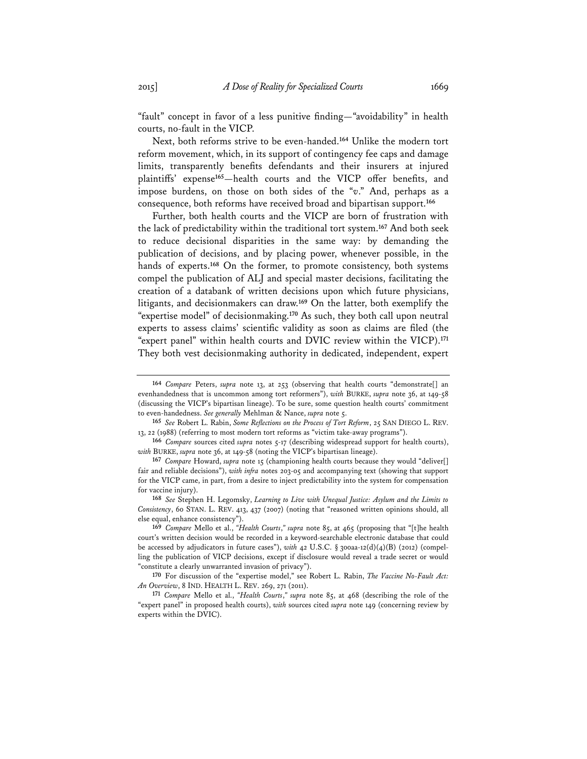"fault" concept in favor of a less punitive finding—"avoidability" in health courts, no-fault in the VICP.

Next, both reforms strive to be even-handed.**<sup>164</sup>** Unlike the modern tort reform movement, which, in its support of contingency fee caps and damage limits, transparently benefits defendants and their insurers at injured plaintiffs' expense**<sup>165</sup>**—health courts and the VICP offer benefits, and impose burdens, on those on both sides of the "*v*." And, perhaps as a consequence, both reforms have received broad and bipartisan support.**<sup>166</sup>**

Further, both health courts and the VICP are born of frustration with the lack of predictability within the traditional tort system.**<sup>167</sup>** And both seek to reduce decisional disparities in the same way: by demanding the publication of decisions, and by placing power, whenever possible, in the hands of experts.**<sup>168</sup>** On the former, to promote consistency, both systems compel the publication of ALJ and special master decisions, facilitating the creation of a databank of written decisions upon which future physicians, litigants, and decisionmakers can draw.**<sup>169</sup>** On the latter, both exemplify the "expertise model" of decisionmaking.**<sup>170</sup>** As such, they both call upon neutral experts to assess claims' scientific validity as soon as claims are filed (the "expert panel" within health courts and DVIC review within the VICP).**<sup>171</sup>** They both vest decisionmaking authority in dedicated, independent, expert

**<sup>164</sup>** *Compare* Peters, *supra* note 13, at 253 (observing that health courts "demonstrate[] an evenhandedness that is uncommon among tort reformers"), *with* BURKE, *supra* note 36, at 149-58 (discussing the VICP's bipartisan lineage). To be sure, some question health courts' commitment to even-handedness. *See generally* Mehlman & Nance, *supra* note 5.

**<sup>165</sup>** *See* Robert L. Rabin, *Some Reflections on the Process of Tort Reform*, 25 SAN DIEGO L. REV. 13, 22 (1988) (referring to most modern tort reforms as "victim take-away programs").

**<sup>166</sup>** *Compare* sources cited *supra* notes 5-17 (describing widespread support for health courts), *with* BURKE, *supra* note 36, at 149-58 (noting the VICP's bipartisan lineage).

**<sup>167</sup>** *Compare* Howard, *supra* note 15 (championing health courts because they would "deliver[] fair and reliable decisions"), *with infra* notes 203-05 and accompanying text (showing that support for the VICP came, in part, from a desire to inject predictability into the system for compensation for vaccine injury).

**<sup>168</sup>** *See* Stephen H. Legomsky, *Learning to Live with Unequal Justice: Asylum and the Limits to Consistency*, 60 STAN. L. REV. 413, 437 (2007) (noting that "reasoned written opinions should, all else equal, enhance consistency").

**<sup>169</sup>** *Compare* Mello et al., *"Health Courts*,*" supra* note 85, at 465 (proposing that "[t]he health court's written decision would be recorded in a keyword-searchable electronic database that could be accessed by adjudicators in future cases"), *with* 42 U.S.C. § 300aa-12(d)(4)(B) (2012) (compelling the publication of VICP decisions, except if disclosure would reveal a trade secret or would "constitute a clearly unwarranted invasion of privacy").

**<sup>170</sup>** For discussion of the "expertise model," see Robert L. Rabin, *The Vaccine No-Fault Act: An Overview*, 8 IND. HEALTH L. REV. 269, 271 (2011).

**<sup>171</sup>** *Compare* Mello et al., *"Health Courts*,*" supra* note 85, at 468 (describing the role of the "expert panel" in proposed health courts), *with* sources cited *supra* note 149 (concerning review by experts within the DVIC).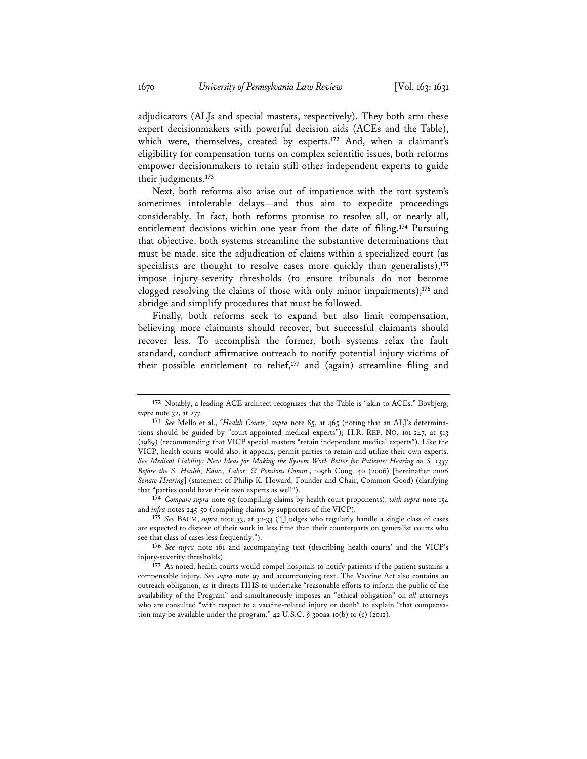adjudicators (ALJs and special masters, respectively). They both arm these expert decisionmakers with powerful decision aids (ACEs and the Table), which were, themselves, created by experts.**<sup>172</sup>** And, when a claimant's eligibility for compensation turns on complex scientific issues, both reforms empower decisionmakers to retain still other independent experts to guide their judgments.**<sup>173</sup>**

Next, both reforms also arise out of impatience with the tort system's sometimes intolerable delays—and thus aim to expedite proceedings considerably. In fact, both reforms promise to resolve all, or nearly all, entitlement decisions within one year from the date of filing.**<sup>174</sup>** Pursuing that objective, both systems streamline the substantive determinations that must be made, site the adjudication of claims within a specialized court (as specialists are thought to resolve cases more quickly than generalists),**<sup>175</sup>** impose injury-severity thresholds (to ensure tribunals do not become clogged resolving the claims of those with only minor impairments),**<sup>176</sup>** and abridge and simplify procedures that must be followed.

Finally, both reforms seek to expand but also limit compensation, believing more claimants should recover, but successful claimants should recover less. To accomplish the former, both systems relax the fault standard, conduct affirmative outreach to notify potential injury victims of their possible entitlement to relief,**<sup>177</sup>** and (again) streamline filing and

**174** *Compare supra* note 95 (compiling claims by health court proponents), *with supra* note 154 and *infra* notes 245-50 (compiling claims by supporters of the VICP).

**175** *See* BAUM, *supra* note 33, at 32-33 ("[J]udges who regularly handle a single class of cases are expected to dispose of their work in less time than their counterparts on generalist courts who see that class of cases less frequently.").

**176** *See supra* note 161 and accompanying text (describing health courts' and the VICP's injury-severity thresholds).

**<sup>172</sup>** Notably, a leading ACE architect recognizes that the Table is "akin to ACEs." Bovbjerg, *supra* note 32, at 277.

**<sup>173</sup>** *See* Mello et al., *"Health Courts*,*" supra* note 85, at 465 (noting that an ALJ's determinations should be guided by "court-appointed medical experts"); H.R. REP. NO. 101-247, at 513 (1989) (recommending that VICP special masters "retain independent medical experts"). Like the VICP, health courts would also, it appears, permit parties to retain and utilize their own experts. *See Medical Liability: New Ideas for Making the System Work Better for Patients: Hearing on S. 1337 Before the S. Health, Educ., Labor, & Pensions Comm.*, 109th Cong. 40 (2006) [hereinafter *2006 Senate Hearing*] (statement of Philip K. Howard, Founder and Chair, Common Good) (clarifying that "parties could have their own experts as well").

**<sup>177</sup>** As noted, health courts would compel hospitals to notify patients if the patient sustains a compensable injury. *See supra* note 97 and accompanying text. The Vaccine Act also contains an outreach obligation, as it directs HHS to undertake "reasonable efforts to inform the public of the availability of the Program" and simultaneously imposes an "ethical obligation" on *all* attorneys who are consulted "with respect to a vaccine-related injury or death" to explain "that compensation may be available under the program."  $42$  U.S.C. § 300aa-10(b) to (c) (2012).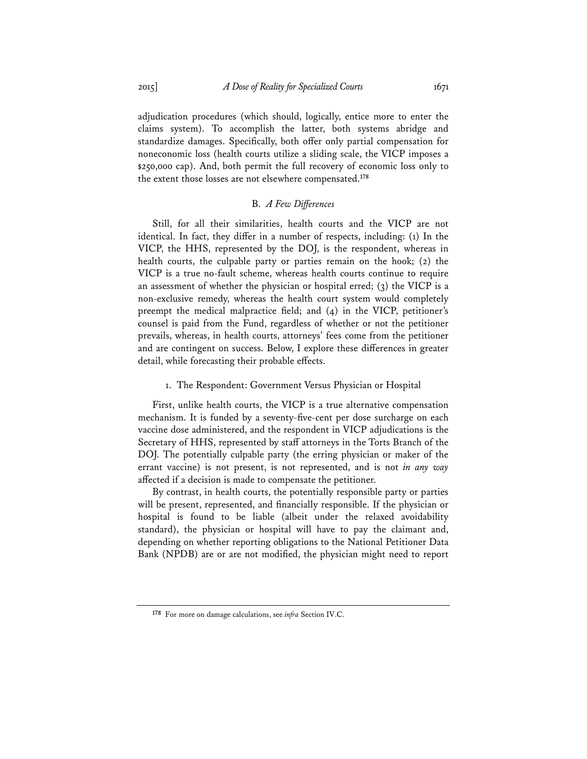adjudication procedures (which should, logically, entice more to enter the claims system). To accomplish the latter, both systems abridge and standardize damages. Specifically, both offer only partial compensation for noneconomic loss (health courts utilize a sliding scale, the VICP imposes a \$250,000 cap). And, both permit the full recovery of economic loss only to the extent those losses are not elsewhere compensated.**<sup>178</sup>**

## B. *A Few Differences*

Still, for all their similarities, health courts and the VICP are not identical. In fact, they differ in a number of respects, including: (1) In the VICP, the HHS, represented by the DOJ, is the respondent, whereas in health courts, the culpable party or parties remain on the hook; (2) the VICP is a true no-fault scheme, whereas health courts continue to require an assessment of whether the physician or hospital erred;  $(3)$  the VICP is a non-exclusive remedy, whereas the health court system would completely preempt the medical malpractice field; and (4) in the VICP, petitioner's counsel is paid from the Fund, regardless of whether or not the petitioner prevails, whereas, in health courts, attorneys' fees come from the petitioner and are contingent on success. Below, I explore these differences in greater detail, while forecasting their probable effects.

## 1. The Respondent: Government Versus Physician or Hospital

First, unlike health courts, the VICP is a true alternative compensation mechanism. It is funded by a seventy-five-cent per dose surcharge on each vaccine dose administered, and the respondent in VICP adjudications is the Secretary of HHS, represented by staff attorneys in the Torts Branch of the DOJ. The potentially culpable party (the erring physician or maker of the errant vaccine) is not present, is not represented, and is not *in any way* affected if a decision is made to compensate the petitioner.

By contrast, in health courts, the potentially responsible party or parties will be present, represented, and financially responsible. If the physician or hospital is found to be liable (albeit under the relaxed avoidability standard), the physician or hospital will have to pay the claimant and, depending on whether reporting obligations to the National Petitioner Data Bank (NPDB) are or are not modified, the physician might need to report

**<sup>178</sup>** For more on damage calculations, see *infra* Section IV.C.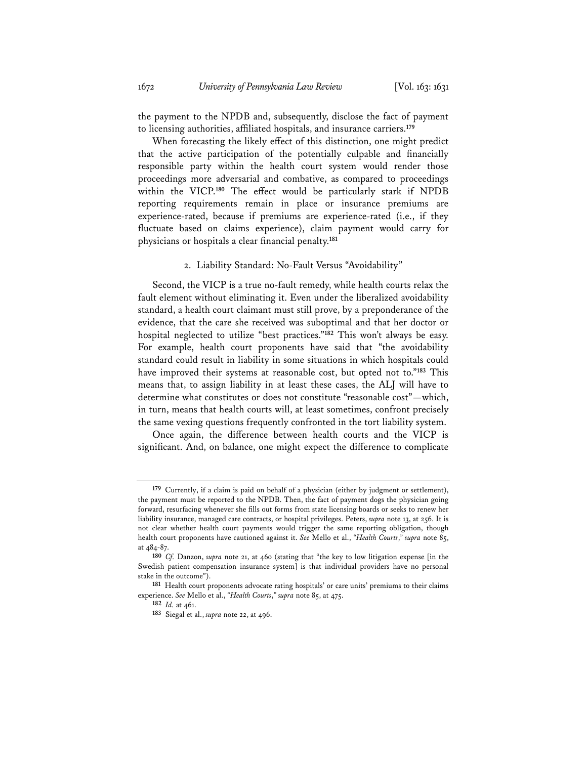the payment to the NPDB and, subsequently, disclose the fact of payment to licensing authorities, affiliated hospitals, and insurance carriers.**<sup>179</sup>**

When forecasting the likely effect of this distinction, one might predict that the active participation of the potentially culpable and financially responsible party within the health court system would render those proceedings more adversarial and combative, as compared to proceedings within the VICP.**<sup>180</sup>** The effect would be particularly stark if NPDB reporting requirements remain in place or insurance premiums are experience-rated, because if premiums are experience-rated (i.e., if they fluctuate based on claims experience), claim payment would carry for physicians or hospitals a clear financial penalty.**<sup>181</sup>**

2. Liability Standard: No-Fault Versus "Avoidability"

Second, the VICP is a true no-fault remedy, while health courts relax the fault element without eliminating it. Even under the liberalized avoidability standard, a health court claimant must still prove, by a preponderance of the evidence, that the care she received was suboptimal and that her doctor or hospital neglected to utilize "best practices."**<sup>182</sup>** This won't always be easy. For example, health court proponents have said that "the avoidability standard could result in liability in some situations in which hospitals could have improved their systems at reasonable cost, but opted not to."**<sup>183</sup>** This means that, to assign liability in at least these cases, the ALJ will have to determine what constitutes or does not constitute "reasonable cost"—which, in turn, means that health courts will, at least sometimes, confront precisely the same vexing questions frequently confronted in the tort liability system.

Once again, the difference between health courts and the VICP is significant. And, on balance, one might expect the difference to complicate

**<sup>179</sup>** Currently, if a claim is paid on behalf of a physician (either by judgment or settlement), the payment must be reported to the NPDB. Then, the fact of payment dogs the physician going forward, resurfacing whenever she fills out forms from state licensing boards or seeks to renew her liability insurance, managed care contracts, or hospital privileges. Peters, *supra* note 13, at 256. It is not clear whether health court payments would trigger the same reporting obligation, though health court proponents have cautioned against it. *See* Mello et al., *"Health Courts*,*" supra* note 85, at 484-87.

**<sup>180</sup>** *Cf.* Danzon, *supra* note 21, at 460 (stating that "the key to low litigation expense [in the Swedish patient compensation insurance system] is that individual providers have no personal stake in the outcome").

**<sup>181</sup>** Health court proponents advocate rating hospitals' or care units' premiums to their claims experience. *See* Mello et al., *"Health Courts*,*" supra* note 85, at 475.

**<sup>182</sup>** *Id.* at 461.

**<sup>183</sup>** Siegal et al., *supra* note 22, at 496.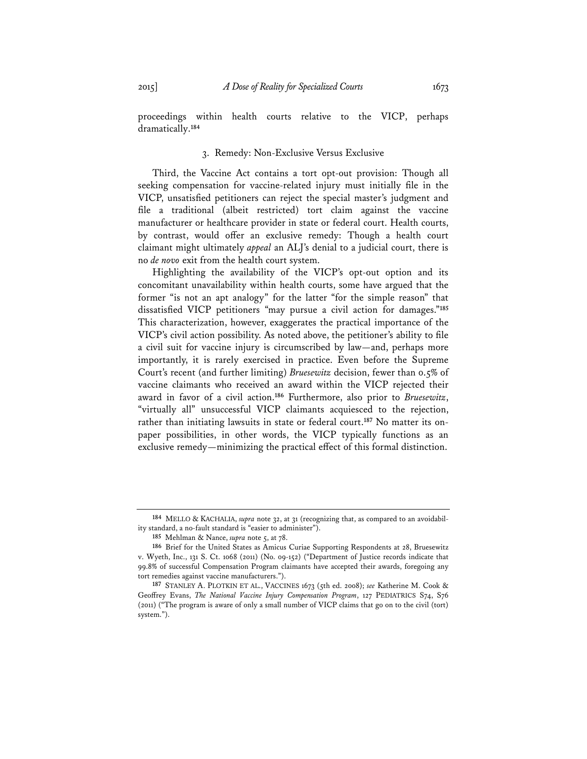proceedings within health courts relative to the VICP, perhaps dramatically.**<sup>184</sup>**

## 3. Remedy: Non-Exclusive Versus Exclusive

Third, the Vaccine Act contains a tort opt-out provision: Though all seeking compensation for vaccine-related injury must initially file in the VICP, unsatisfied petitioners can reject the special master's judgment and file a traditional (albeit restricted) tort claim against the vaccine manufacturer or healthcare provider in state or federal court. Health courts, by contrast, would offer an exclusive remedy: Though a health court claimant might ultimately *appeal* an ALJ's denial to a judicial court, there is no *de novo* exit from the health court system.

Highlighting the availability of the VICP's opt-out option and its concomitant unavailability within health courts, some have argued that the former "is not an apt analogy" for the latter "for the simple reason" that dissatisfied VICP petitioners "may pursue a civil action for damages."**<sup>185</sup>** This characterization, however, exaggerates the practical importance of the VICP's civil action possibility. As noted above, the petitioner's ability to file a civil suit for vaccine injury is circumscribed by law—and, perhaps more importantly, it is rarely exercised in practice. Even before the Supreme Court's recent (and further limiting) *Bruesewitz* decision, fewer than 0.5% of vaccine claimants who received an award within the VICP rejected their award in favor of a civil action.**<sup>186</sup>** Furthermore, also prior to *Bruesewitz*, "virtually all" unsuccessful VICP claimants acquiesced to the rejection, rather than initiating lawsuits in state or federal court.**187** No matter its onpaper possibilities, in other words, the VICP typically functions as an exclusive remedy—minimizing the practical effect of this formal distinction.

**<sup>184</sup>** MELLO & KACHALIA, *supra* note 32, at 31 (recognizing that, as compared to an avoidability standard, a no-fault standard is "easier to administer").

**<sup>185</sup>** Mehlman & Nance, *supra* note 5, at 78.

**<sup>186</sup>** Brief for the United States as Amicus Curiae Supporting Respondents at 28, Bruesewitz v. Wyeth, Inc., 131 S. Ct. 1068 (2011) (No. 09-152) ("Department of Justice records indicate that 99.8% of successful Compensation Program claimants have accepted their awards, foregoing any tort remedies against vaccine manufacturers.").

**<sup>187</sup>** STANLEY A. PLOTKIN ET AL., VACCINES 1673 (5th ed. 2008); *see* Katherine M. Cook & Geoffrey Evans, *The National Vaccine Injury Compensation Program*, 127 PEDIATRICS S74, S76 (2011) ("The program is aware of only a small number of VICP claims that go on to the civil (tort) system.").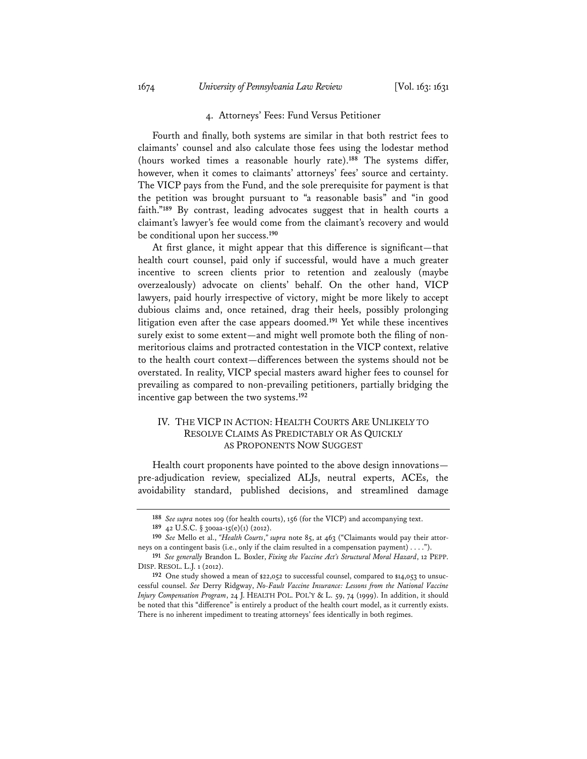## 4. Attorneys' Fees: Fund Versus Petitioner

Fourth and finally, both systems are similar in that both restrict fees to claimants' counsel and also calculate those fees using the lodestar method (hours worked times a reasonable hourly rate).**<sup>188</sup>** The systems differ, however, when it comes to claimants' attorneys' fees' source and certainty. The VICP pays from the Fund, and the sole prerequisite for payment is that the petition was brought pursuant to "a reasonable basis" and "in good faith."**<sup>189</sup>** By contrast, leading advocates suggest that in health courts a claimant's lawyer's fee would come from the claimant's recovery and would be conditional upon her success.**<sup>190</sup>**

At first glance, it might appear that this difference is significant—that health court counsel, paid only if successful, would have a much greater incentive to screen clients prior to retention and zealously (maybe overzealously) advocate on clients' behalf. On the other hand, VICP lawyers, paid hourly irrespective of victory, might be more likely to accept dubious claims and, once retained, drag their heels, possibly prolonging litigation even after the case appears doomed.**<sup>191</sup>** Yet while these incentives surely exist to some extent—and might well promote both the filing of nonmeritorious claims and protracted contestation in the VICP context, relative to the health court context—differences between the systems should not be overstated. In reality, VICP special masters award higher fees to counsel for prevailing as compared to non-prevailing petitioners, partially bridging the incentive gap between the two systems.**<sup>192</sup>**

# IV. THE VICP IN ACTION: HEALTH COURTS ARE UNLIKELY TO RESOLVE CLAIMS AS PREDICTABLY OR AS QUICKLY AS PROPONENTS NOW SUGGEST

Health court proponents have pointed to the above design innovations pre-adjudication review, specialized ALJs, neutral experts, ACEs, the avoidability standard, published decisions, and streamlined damage

**<sup>188</sup>** *See supra* notes 109 (for health courts), 156 (for the VICP) and accompanying text.

**<sup>189</sup>** 42 U.S.C. § 300aa-15(e)(1) (2012).

**<sup>190</sup>** *See* Mello et al., *"Health Courts*,*" supra* note 85, at 463 ("Claimants would pay their attorneys on a contingent basis (i.e., only if the claim resulted in a compensation payment) . . . .").

**<sup>191</sup>** *See generally* Brandon L. Boxler, *Fixing the Vaccine Act's Structural Moral Hazard*, 12 PEPP. DISP. RESOL. L.J. 1 (2012).

**<sup>192</sup>** One study showed a mean of \$22,052 to successful counsel, compared to \$14,053 to unsuccessful counsel. *See* Derry Ridgway, *No-Fault Vaccine Insurance: Lessons from the National Vaccine Injury Compensation Program*, 24 J. HEALTH POL. POL'Y & L. 59, 74 (1999). In addition, it should be noted that this "difference" is entirely a product of the health court model, as it currently exists. There is no inherent impediment to treating attorneys' fees identically in both regimes.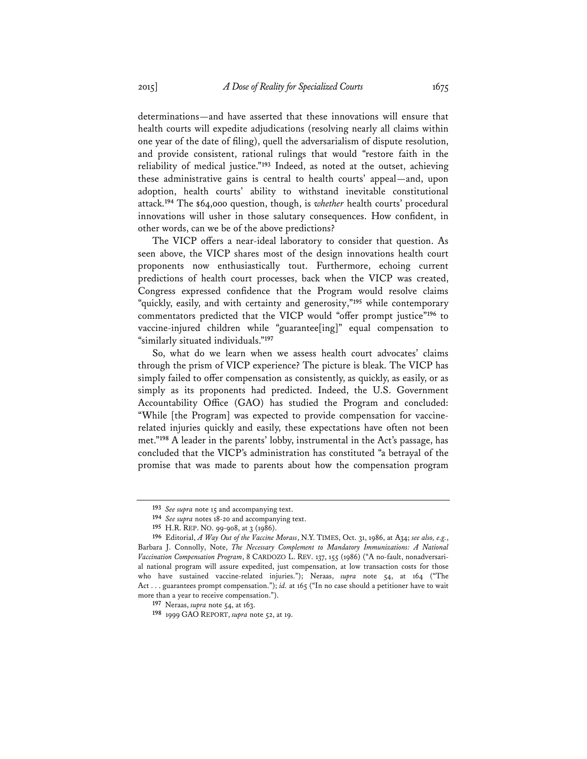determinations—and have asserted that these innovations will ensure that health courts will expedite adjudications (resolving nearly all claims within one year of the date of filing), quell the adversarialism of dispute resolution, and provide consistent, rational rulings that would "restore faith in the reliability of medical justice."**<sup>193</sup>** Indeed, as noted at the outset, achieving these administrative gains is central to health courts' appeal—and, upon adoption, health courts' ability to withstand inevitable constitutional attack.**<sup>194</sup>** The \$64,000 question, though, is *whether* health courts' procedural innovations will usher in those salutary consequences. How confident, in other words, can we be of the above predictions?

The VICP offers a near-ideal laboratory to consider that question. As seen above, the VICP shares most of the design innovations health court proponents now enthusiastically tout. Furthermore, echoing current predictions of health court processes, back when the VICP was created, Congress expressed confidence that the Program would resolve claims "quickly, easily, and with certainty and generosity,"**<sup>195</sup>** while contemporary commentators predicted that the VICP would "offer prompt justice"**<sup>196</sup>** to vaccine-injured children while "guarantee[ing]" equal compensation to "similarly situated individuals."**<sup>197</sup>**

So, what do we learn when we assess health court advocates' claims through the prism of VICP experience? The picture is bleak. The VICP has simply failed to offer compensation as consistently, as quickly, as easily, or as simply as its proponents had predicted. Indeed, the U.S. Government Accountability Office (GAO) has studied the Program and concluded: "While [the Program] was expected to provide compensation for vaccinerelated injuries quickly and easily, these expectations have often not been met."**<sup>198</sup>** A leader in the parents' lobby, instrumental in the Act's passage, has concluded that the VICP's administration has constituted "a betrayal of the promise that was made to parents about how the compensation program

**<sup>193</sup>** *See supra* note 15 and accompanying text.

**<sup>194</sup>** *See supra* notes 18-20 and accompanying text.

**<sup>195</sup>** H.R. REP. NO. 99-908, at 3 (1986).

**<sup>196</sup>** Editorial, *A Way Out of the Vaccine Morass*, N.Y. TIMES, Oct. 31, 1986, at A34; *see also, e.g.*, Barbara J. Connolly, Note, *The Necessary Complement to Mandatory Immunizations: A National Vaccination Compensation Program*, 8 CARDOZO L. REV. 137, 155 (1986) ("A no-fault, nonadversarial national program will assure expedited, just compensation, at low transaction costs for those who have sustained vaccine-related injuries."); Neraas, *supra* note 54, at 164 ("The Act . . . guarantees prompt compensation."); *id.* at 165 ("In no case should a petitioner have to wait more than a year to receive compensation.").

**<sup>197</sup>** Neraas, *supra* note 54, at 163.

**<sup>198</sup>** 1999 GAO REPORT, *supra* note 52, at 19.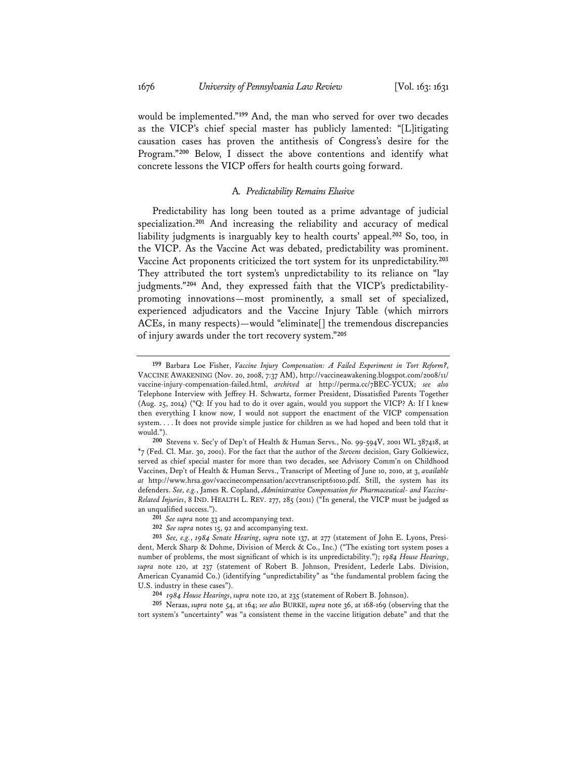would be implemented."**<sup>199</sup>** And, the man who served for over two decades as the VICP's chief special master has publicly lamented: "[L]itigating causation cases has proven the antithesis of Congress's desire for the Program."**<sup>200</sup>** Below, I dissect the above contentions and identify what concrete lessons the VICP offers for health courts going forward.

#### A*. Predictability Remains Elusive*

Predictability has long been touted as a prime advantage of judicial specialization.**<sup>201</sup>** And increasing the reliability and accuracy of medical liability judgments is inarguably key to health courts' appeal.**<sup>202</sup>** So, too, in the VICP. As the Vaccine Act was debated, predictability was prominent. Vaccine Act proponents criticized the tort system for its unpredictability.**<sup>203</sup>** They attributed the tort system's unpredictability to its reliance on "lay judgments."**204** And, they expressed faith that the VICP's predictabilitypromoting innovations—most prominently, a small set of specialized, experienced adjudicators and the Vaccine Injury Table (which mirrors ACEs, in many respects)—would "eliminate[] the tremendous discrepancies of injury awards under the tort recovery system."**<sup>205</sup>**

**204** *1984 House Hearings*, *supra* note 120, at 235 (statement of Robert B. Johnson).

**205** Neraas, *supra* note 54, at 164; *see also* BURKE, *supra* note 36, at 168-169 (observing that the tort system's "uncertainty" was "a consistent theme in the vaccine litigation debate" and that the

**<sup>199</sup>** Barbara Loe Fisher, *Vaccine Injury Compensation: A Failed Experiment in Tort Reform?*, VACCINE AWAKENING (Nov. 20, 2008, 7:37 AM), http://vaccineawakening.blogspot.com/2008/11/ vaccine-injury-compensation-failed.html, *archived at* http://perma.cc/7BEC-YCUX; *see also* Telephone Interview with Jeffrey H. Schwartz, former President, Dissatisfied Parents Together (Aug. 25, 2014) ("Q: If you had to do it over again, would you support the VICP? A: If I knew then everything I know now, I would not support the enactment of the VICP compensation system. . . . It does not provide simple justice for children as we had hoped and been told that it would.").

**<sup>200</sup>** Stevens v. Sec'y of Dep't of Health & Human Servs., No. 99-594V, 2001 WL 387418, at \*7 (Fed. Cl. Mar. 30, 2001). For the fact that the author of the *Stevens* decision, Gary Golkiewicz, served as chief special master for more than two decades, see Advisory Comm'n on Childhood Vaccines, Dep't of Health & Human Servs., Transcript of Meeting of June 10, 2010, at 3, *available at* http://www.hrsa.gov/vaccinecompensation/accvtranscript61010.pdf. Still, the system has its defenders. *See, e.g.*, James R. Copland, *Administrative Compensation for Pharmaceutical- and Vaccine-Related Injuries*, 8 IND. HEALTH L. REV. 277, 285 (2011) ("In general, the VICP must be judged as an unqualified success.").

**<sup>201</sup>** *See supra* note 33 and accompanying text.

**<sup>202</sup>** *See supra* notes 15, 92 and accompanying text.

**<sup>203</sup>** *See, e.g.*, *1984 Senate Hearing*, *supra* note 137, at 277 (statement of John E. Lyons, President, Merck Sharp & Dohme, Division of Merck & Co., Inc.) ("The existing tort system poses a number of problems, the most significant of which is its unpredictability."); *1984 House Hearings*, *supra* note 120, at 237 (statement of Robert B. Johnson, President, Lederle Labs. Division, American Cyanamid Co.) (identifying "unpredictability" as "the fundamental problem facing the U.S. industry in these cases").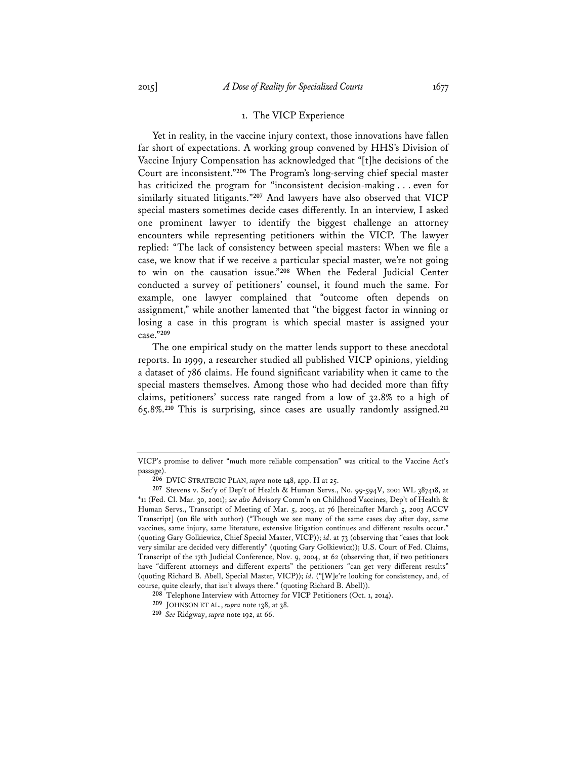#### 1. The VICP Experience

Yet in reality, in the vaccine injury context, those innovations have fallen far short of expectations. A working group convened by HHS's Division of Vaccine Injury Compensation has acknowledged that "[t]he decisions of the Court are inconsistent."**<sup>206</sup>** The Program's long-serving chief special master has criticized the program for "inconsistent decision-making . . . even for similarly situated litigants."**<sup>207</sup>** And lawyers have also observed that VICP special masters sometimes decide cases differently. In an interview, I asked one prominent lawyer to identify the biggest challenge an attorney encounters while representing petitioners within the VICP. The lawyer replied: "The lack of consistency between special masters: When we file a case, we know that if we receive a particular special master, we're not going to win on the causation issue."**<sup>208</sup>** When the Federal Judicial Center conducted a survey of petitioners' counsel, it found much the same. For example, one lawyer complained that "outcome often depends on assignment," while another lamented that "the biggest factor in winning or losing a case in this program is which special master is assigned your case."**<sup>209</sup>**

The one empirical study on the matter lends support to these anecdotal reports. In 1999, a researcher studied all published VICP opinions, yielding a dataset of 786 claims. He found significant variability when it came to the special masters themselves. Among those who had decided more than fifty claims, petitioners' success rate ranged from a low of 32.8% to a high of 65.8%.**<sup>210</sup>** This is surprising, since cases are usually randomly assigned.**<sup>211</sup>**

VICP's promise to deliver "much more reliable compensation" was critical to the Vaccine Act's passage).

**<sup>206</sup>** DVIC STRATEGIC PLAN, *supra* note 148, app. H at 25.

**<sup>207</sup>** Stevens v. Sec'y of Dep't of Health & Human Servs., No. 99-594V, 2001 WL 387418, at \*11 (Fed. Cl. Mar. 30, 2001); *see also* Advisory Comm'n on Childhood Vaccines, Dep't of Health & Human Servs., Transcript of Meeting of Mar. 5, 2003, at 76 [hereinafter March 5, 2003 ACCV Transcript] (on file with author) ("Though we see many of the same cases day after day, same vaccines, same injury, same literature, extensive litigation continues and different results occur." (quoting Gary Golkiewicz, Chief Special Master, VICP)); *id*. at 73 (observing that "cases that look very similar are decided very differently" (quoting Gary Golkiewicz)); U.S. Court of Fed. Claims, Transcript of the 17th Judicial Conference, Nov. 9, 2004, at 62 (observing that, if two petitioners have "different attorneys and different experts" the petitioners "can get very different results" (quoting Richard B. Abell, Special Master, VICP)); *id*. ("[W]e're looking for consistency, and, of course, quite clearly, that isn't always there." (quoting Richard B. Abell)).

**<sup>208</sup>** Telephone Interview with Attorney for VICP Petitioners (Oct. 1, 2014).

**<sup>209</sup>** JOHNSON ET AL., *supra* note 138, at 38.

**<sup>210</sup>** *See* Ridgway, *supra* note 192, at 66.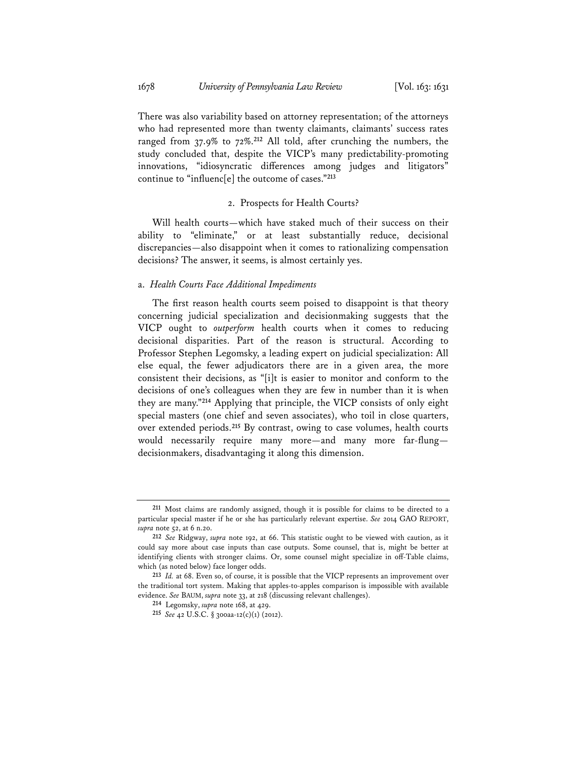There was also variability based on attorney representation; of the attorneys who had represented more than twenty claimants, claimants' success rates ranged from 37.9% to 72%.**<sup>212</sup>** All told, after crunching the numbers, the study concluded that, despite the VICP's many predictability-promoting innovations, "idiosyncratic differences among judges and litigators" continue to "influenc[e] the outcome of cases."**<sup>213</sup>**

#### 2. Prospects for Health Courts?

Will health courts—which have staked much of their success on their ability to "eliminate," or at least substantially reduce, decisional discrepancies—also disappoint when it comes to rationalizing compensation decisions? The answer, it seems, is almost certainly yes.

## a. *Health Courts Face Additional Impediments*

The first reason health courts seem poised to disappoint is that theory concerning judicial specialization and decisionmaking suggests that the VICP ought to *outperform* health courts when it comes to reducing decisional disparities. Part of the reason is structural. According to Professor Stephen Legomsky, a leading expert on judicial specialization: All else equal, the fewer adjudicators there are in a given area, the more consistent their decisions, as "[i]t is easier to monitor and conform to the decisions of one's colleagues when they are few in number than it is when they are many."**<sup>214</sup>** Applying that principle, the VICP consists of only eight special masters (one chief and seven associates), who toil in close quarters, over extended periods.**<sup>215</sup>** By contrast, owing to case volumes, health courts would necessarily require many more—and many more far-flung decisionmakers, disadvantaging it along this dimension.

**<sup>211</sup>** Most claims are randomly assigned, though it is possible for claims to be directed to a particular special master if he or she has particularly relevant expertise. *See* 2014 GAO REPORT, *supra* note 52, at 6 n.20.

**<sup>212</sup>** *See* Ridgway, *supra* note 192, at 66. This statistic ought to be viewed with caution, as it could say more about case inputs than case outputs. Some counsel, that is, might be better at identifying clients with stronger claims. Or, some counsel might specialize in off-Table claims, which (as noted below) face longer odds.

**<sup>213</sup>** *Id.* at 68. Even so, of course, it is possible that the VICP represents an improvement over the traditional tort system. Making that apples-to-apples comparison is impossible with available evidence. *See* BAUM, *supra* note 33, at 218 (discussing relevant challenges).

**<sup>214</sup>** Legomsky, *supra* note 168, at 429.

**<sup>215</sup>** *See* 42 U.S.C. § 300aa-12(c)(1) (2012).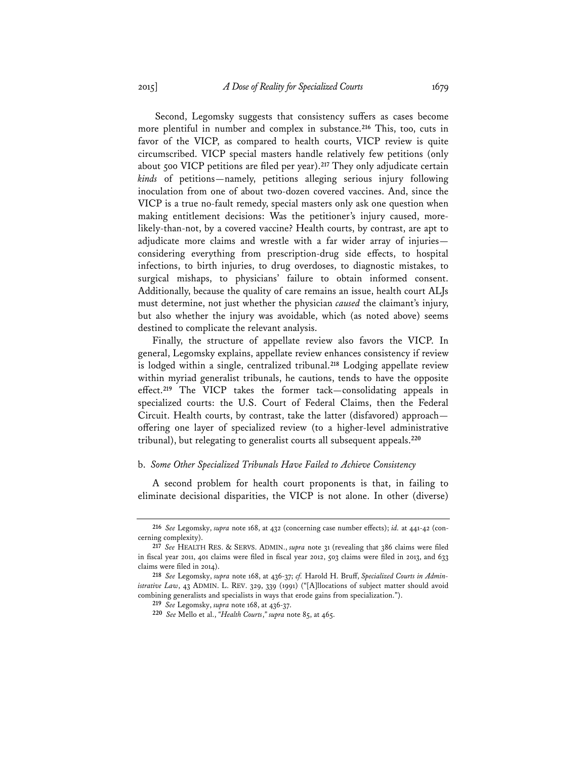Second, Legomsky suggests that consistency suffers as cases become more plentiful in number and complex in substance.**<sup>216</sup>** This, too, cuts in favor of the VICP, as compared to health courts, VICP review is quite circumscribed. VICP special masters handle relatively few petitions (only about 500 VICP petitions are filed per year).**<sup>217</sup>** They only adjudicate certain *kinds* of petitions—namely, petitions alleging serious injury following inoculation from one of about two-dozen covered vaccines. And, since the VICP is a true no-fault remedy, special masters only ask one question when making entitlement decisions: Was the petitioner's injury caused, morelikely-than-not, by a covered vaccine? Health courts, by contrast, are apt to adjudicate more claims and wrestle with a far wider array of injuries considering everything from prescription-drug side effects, to hospital infections, to birth injuries, to drug overdoses, to diagnostic mistakes, to surgical mishaps, to physicians' failure to obtain informed consent. Additionally, because the quality of care remains an issue, health court ALJs must determine, not just whether the physician *caused* the claimant's injury, but also whether the injury was avoidable, which (as noted above) seems destined to complicate the relevant analysis.

Finally, the structure of appellate review also favors the VICP. In general, Legomsky explains, appellate review enhances consistency if review is lodged within a single, centralized tribunal.**<sup>218</sup>** Lodging appellate review within myriad generalist tribunals, he cautions, tends to have the opposite effect.**<sup>219</sup>** The VICP takes the former tack—consolidating appeals in specialized courts: the U.S. Court of Federal Claims, then the Federal Circuit. Health courts, by contrast, take the latter (disfavored) approach offering one layer of specialized review (to a higher-level administrative tribunal), but relegating to generalist courts all subsequent appeals.**<sup>220</sup>**

#### b. *Some Other Specialized Tribunals Have Failed to Achieve Consistency*

A second problem for health court proponents is that, in failing to eliminate decisional disparities, the VICP is not alone. In other (diverse)

**<sup>216</sup>** *See* Legomsky, *supra* note 168, at 432 (concerning case number effects); *id.* at 441-42 (concerning complexity).

**<sup>217</sup>** *See* HEALTH RES. & SERVS. ADMIN., *supra* note 31 (revealing that 386 claims were filed in fiscal year 2011, 401 claims were filed in fiscal year 2012, 503 claims were filed in 2013, and 633 claims were filed in 2014).

**<sup>218</sup>** *See* Legomsky, *supra* note 168, at 436-37; *cf.* Harold H. Bruff, *Specialized Courts in Administrative Law*, 43 ADMIN. L. REV. 329, 339 (1991) ("[A]llocations of subject matter should avoid combining generalists and specialists in ways that erode gains from specialization.").

**<sup>219</sup>** *See* Legomsky, *supra* note 168, at 436-37.

**<sup>220</sup>** *See* Mello et al., *"Health Courts*,*" supra* note 85, at 465.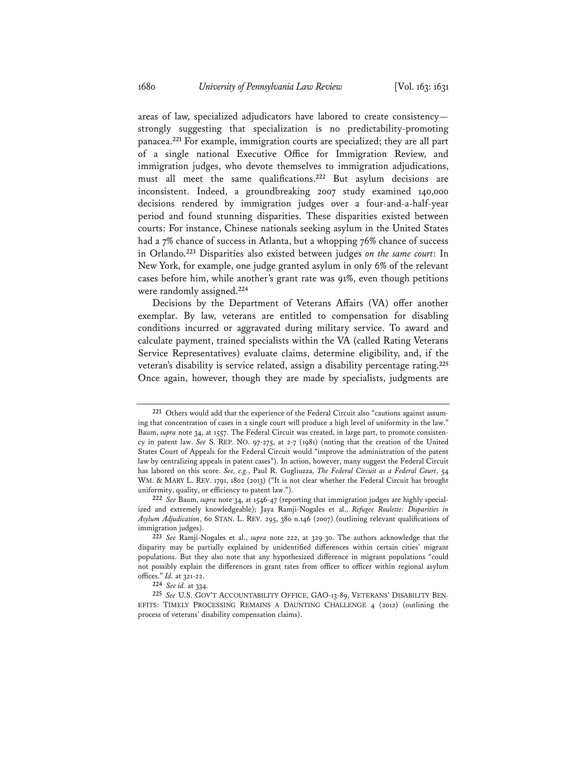areas of law, specialized adjudicators have labored to create consistency strongly suggesting that specialization is no predictability-promoting panacea.**<sup>221</sup>** For example, immigration courts are specialized; they are all part of a single national Executive Office for Immigration Review, and immigration judges, who devote themselves to immigration adjudications, must all meet the same qualifications.**<sup>222</sup>** But asylum decisions are inconsistent. Indeed, a groundbreaking 2007 study examined 140,000 decisions rendered by immigration judges over a four-and-a-half-year period and found stunning disparities. These disparities existed between courts: For instance, Chinese nationals seeking asylum in the United States had a 7% chance of success in Atlanta, but a whopping 76% chance of success in Orlando.**<sup>223</sup>** Disparities also existed between judges *on the same court*: In New York, for example, one judge granted asylum in only 6% of the relevant cases before him, while another's grant rate was 91%, even though petitions were randomly assigned.**<sup>224</sup>**

Decisions by the Department of Veterans Affairs (VA) offer another exemplar. By law, veterans are entitled to compensation for disabling conditions incurred or aggravated during military service. To award and calculate payment, trained specialists within the VA (called Rating Veterans Service Representatives) evaluate claims, determine eligibility, and, if the veteran's disability is service related, assign a disability percentage rating.**<sup>225</sup>** Once again, however, though they are made by specialists, judgments are

**<sup>221</sup>** Others would add that the experience of the Federal Circuit also "cautions against assuming that concentration of cases in a single court will produce a high level of uniformity in the law." Baum, *supra* note 34, at 1557. The Federal Circuit was created, in large part, to promote consistency in patent law. *See* S. REP. NO. 97-275, at 2-7 (1981) (noting that the creation of the United States Court of Appeals for the Federal Circuit would "improve the administration of the patent law by centralizing appeals in patent cases"). In action, however, many suggest the Federal Circuit has labored on this score. *See, e.g.*, Paul R. Gugliuzza, *The Federal Circuit as a Federal Court*, 54 WM. & MARY L. REV. 1791, 1802 (2013) ("It is not clear whether the Federal Circuit has brought uniformity, quality, or efficiency to patent law.").

**<sup>222</sup>** *See* Baum, *supra* note 34, at 1546-47 (reporting that immigration judges are highly specialized and extremely knowledgeable); Jaya Ramji-Nogales et al., *Refugee Roulette: Disparities in Asylum Adjudication*, 60 STAN. L. REV. 295, 380 n.146 (2007) (outlining relevant qualifications of immigration judges).

**<sup>223</sup>** *See* Ramji-Nogales et al., *supra* note 222, at 329-30. The authors acknowledge that the disparity may be partially explained by unidentified differences within certain cities' migrant populations. But they also note that any hypothesized difference in migrant populations "could not possibly explain the differences in grant rates from officer to officer within regional asylum offices." *Id.* at 321-22.

**<sup>224</sup>** *See id.* at 334.

**<sup>225</sup>** *See* U.S. GOV'T ACCOUNTABILITY OFFICE, GAO-13-89, VETERANS' DISABILITY BEN-EFITS: TIMELY PROCESSING REMAINS A DAUNTING CHALLENGE 4 (2012) (outlining the process of veterans' disability compensation claims).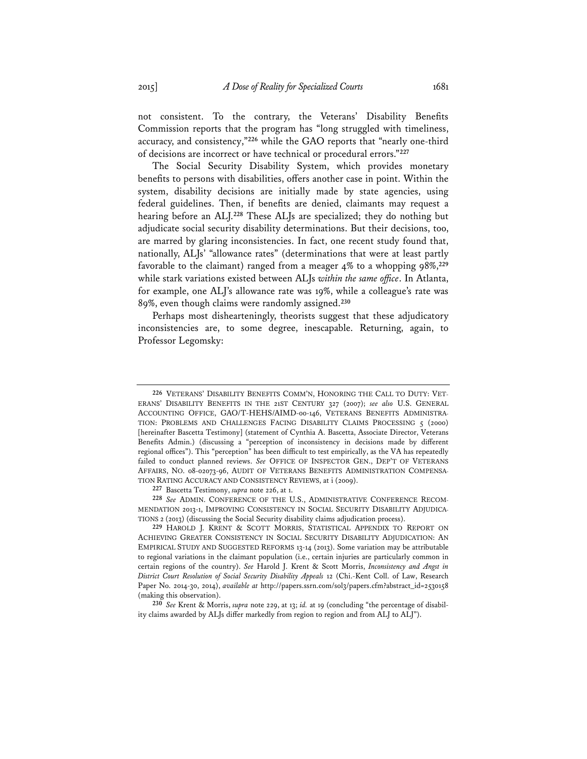not consistent. To the contrary, the Veterans' Disability Benefits Commission reports that the program has "long struggled with timeliness, accuracy, and consistency,"**<sup>226</sup>** while the GAO reports that "nearly one-third of decisions are incorrect or have technical or procedural errors."**<sup>227</sup>**

The Social Security Disability System, which provides monetary benefits to persons with disabilities, offers another case in point. Within the system, disability decisions are initially made by state agencies, using federal guidelines. Then, if benefits are denied, claimants may request a hearing before an ALJ.**<sup>228</sup>** These ALJs are specialized; they do nothing but adjudicate social security disability determinations. But their decisions, too, are marred by glaring inconsistencies. In fact, one recent study found that, nationally, ALJs' "allowance rates" (determinations that were at least partly favorable to the claimant) ranged from a meager 4% to a whopping 98%,**<sup>229</sup>** while stark variations existed between ALJs *within the same office*. In Atlanta, for example, one ALJ's allowance rate was 19%, while a colleague's rate was 89%, even though claims were randomly assigned.**<sup>230</sup>**

Perhaps most dishearteningly, theorists suggest that these adjudicatory inconsistencies are, to some degree, inescapable. Returning, again, to Professor Legomsky:

**227** Bascetta Testimony, *supra* note 226, at 1.

**228** *See* ADMIN. CONFERENCE OF THE U.S., ADMINISTRATIVE CONFERENCE RECOM-MENDATION 2013-1, IMPROVING CONSISTENCY IN SOCIAL SECURITY DISABILITY ADJUDICA-TIONS 2 (2013) (discussing the Social Security disability claims adjudication process).

**229** HAROLD J. KRENT & SCOTT MORRIS, STATISTICAL APPENDIX TO REPORT ON ACHIEVING GREATER CONSISTENCY IN SOCIAL SECURITY DISABILITY ADJUDICATION: AN EMPIRICAL STUDY AND SUGGESTED REFORMS 13-14 (2013). Some variation may be attributable to regional variations in the claimant population (i.e., certain injuries are particularly common in certain regions of the country). *See* Harold J. Krent & Scott Morris, *Inconsistency and Angst in District Court Resolution of Social Security Disability Appeals* 12 (Chi.-Kent Coll. of Law, Research Paper No. 2014-30, 2014), *available at* http://papers.ssrn.com/sol3/papers.cfm?abstract\_id=2530158 (making this observation).

**230** *See* Krent & Morris, *supra* note 229, at 13; *id.* at 19 (concluding "the percentage of disability claims awarded by ALJs differ markedly from region to region and from ALJ to ALJ").

**<sup>226</sup>** VETERANS' DISABILITY BENEFITS COMM'N, HONORING THE CALL TO DUTY: VET-ERANS' DISABILITY BENEFITS IN THE 21ST CENTURY 327 (2007); *see also* U.S. GENERAL ACCOUNTING OFFICE, GAO/T-HEHS/AIMD-00-146, VETERANS BENEFITS ADMINISTRA-TION: PROBLEMS AND CHALLENGES FACING DISABILITY CLAIMS PROCESSING 5 (2000) [hereinafter Bascetta Testimony] (statement of Cynthia A. Bascetta, Associate Director, Veterans Benefits Admin.) (discussing a "perception of inconsistency in decisions made by different regional offices"). This "perception" has been difficult to test empirically, as the VA has repeatedly failed to conduct planned reviews. *See* OFFICE OF INSPECTOR GEN., DEP'T OF VETERANS AFFAIRS, NO. 08-02073-96, AUDIT OF VETERANS BENEFITS ADMINISTRATION COMPENSA-TION RATING ACCURACY AND CONSISTENCY REVIEWS, at i (2009).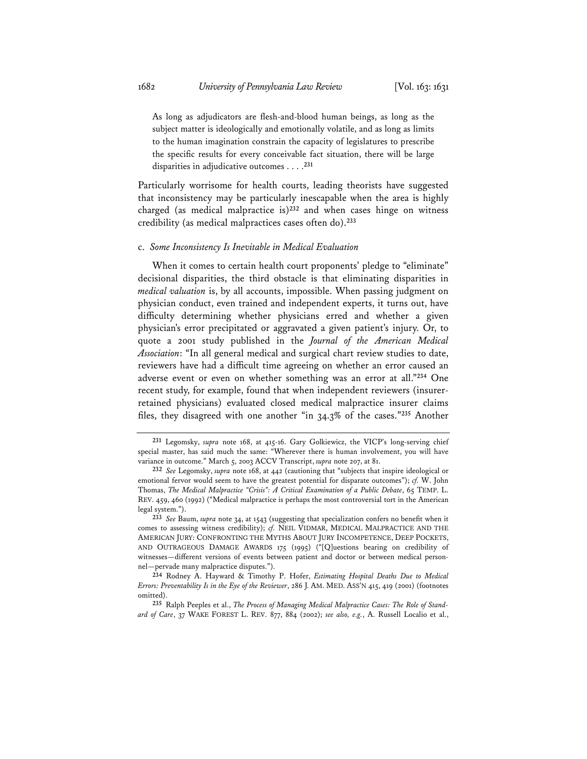As long as adjudicators are flesh-and-blood human beings, as long as the subject matter is ideologically and emotionally volatile, and as long as limits to the human imagination constrain the capacity of legislatures to prescribe the specific results for every conceivable fact situation, there will be large disparities in adjudicative outcomes . . . .**<sup>231</sup>**

Particularly worrisome for health courts, leading theorists have suggested that inconsistency may be particularly inescapable when the area is highly charged (as medical malpractice is)**<sup>232</sup>** and when cases hinge on witness credibility (as medical malpractices cases often do).**<sup>233</sup>**

#### c. *Some Inconsistency Is Inevitable in Medical Evaluation*

When it comes to certain health court proponents' pledge to "eliminate" decisional disparities, the third obstacle is that eliminating disparities in *medical valuation* is, by all accounts, impossible. When passing judgment on physician conduct, even trained and independent experts, it turns out, have difficulty determining whether physicians erred and whether a given physician's error precipitated or aggravated a given patient's injury. Or, to quote a 2001 study published in the *Journal of the American Medical Association*: "In all general medical and surgical chart review studies to date, reviewers have had a difficult time agreeing on whether an error caused an adverse event or even on whether something was an error at all."**<sup>234</sup>** One recent study, for example, found that when independent reviewers (insurerretained physicians) evaluated closed medical malpractice insurer claims files, they disagreed with one another "in 34.3% of the cases."**<sup>235</sup>** Another

**<sup>231</sup>** Legomsky, *supra* note 168, at 415-16. Gary Golkiewicz, the VICP's long-serving chief special master, has said much the same: "Wherever there is human involvement, you will have variance in outcome." March 5, 2003 ACCV Transcript, *supra* note 207, at 81.

**<sup>232</sup>** *See* Legomsky, *supra* note 168, at 442 (cautioning that "subjects that inspire ideological or emotional fervor would seem to have the greatest potential for disparate outcomes"); *cf.* W. John Thomas, *The Medical Malpractice "Crisis": A Critical Examination of a Public Debate*, 65 TEMP. L. REV. 459, 460 (1992) ("Medical malpractice is perhaps the most controversial tort in the American legal system.").

**<sup>233</sup>** *See* Baum, *supra* note 34, at 1543 (suggesting that specialization confers no benefit when it comes to assessing witness credibility); *cf.* NEIL VIDMAR, MEDICAL MALPRACTICE AND THE AMERICAN JURY: CONFRONTING THE MYTHS ABOUT JURY INCOMPETENCE, DEEP POCKETS, AND OUTRAGEOUS DAMAGE AWARDS 175 (1995) ("[Q]uestions bearing on credibility of witnesses—different versions of events between patient and doctor or between medical personnel—pervade many malpractice disputes.").

**<sup>234</sup>** Rodney A. Hayward & Timothy P. Hofer, *Estimating Hospital Deaths Due to Medical Errors: Preventability Is in the Eye of the Reviewer*, 286 J. AM. MED. ASS'N 415, 419 (2001) (footnotes omitted).

**<sup>235</sup>** Ralph Peeples et al., *The Process of Managing Medical Malpractice Cases: The Role of Standard of Care*, 37 WAKE FOREST L. REV. 877, 884 (2002); *see also, e.g.*, A. Russell Localio et al.,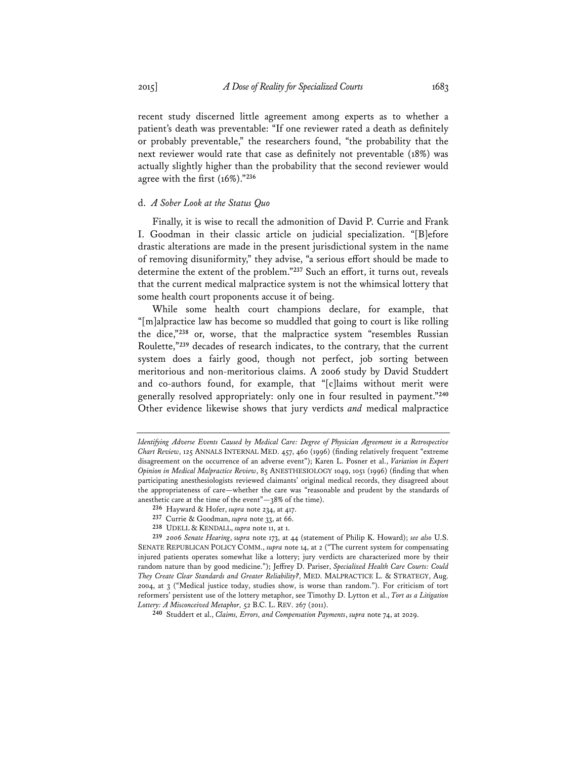recent study discerned little agreement among experts as to whether a patient's death was preventable: "If one reviewer rated a death as definitely or probably preventable," the researchers found, "the probability that the next reviewer would rate that case as definitely not preventable (18%) was actually slightly higher than the probability that the second reviewer would agree with the first (16%)."**<sup>236</sup>**

#### d. *A Sober Look at the Status Quo*

Finally, it is wise to recall the admonition of David P. Currie and Frank I. Goodman in their classic article on judicial specialization. "[B]efore drastic alterations are made in the present jurisdictional system in the name of removing disuniformity," they advise, "a serious effort should be made to determine the extent of the problem."**<sup>237</sup>** Such an effort, it turns out, reveals that the current medical malpractice system is not the whimsical lottery that some health court proponents accuse it of being.

While some health court champions declare, for example, that "[m]alpractice law has become so muddled that going to court is like rolling the dice,"**<sup>238</sup>** or, worse, that the malpractice system "resembles Russian Roulette,"**<sup>239</sup>** decades of research indicates, to the contrary, that the current system does a fairly good, though not perfect, job sorting between meritorious and non-meritorious claims. A 2006 study by David Studdert and co-authors found, for example, that "[c]laims without merit were generally resolved appropriately: only one in four resulted in payment."**<sup>240</sup>** Other evidence likewise shows that jury verdicts *and* medical malpractice

**238** UDELL & KENDALL, *supra* note 11, at 1.

*Identifying Adverse Events Caused by Medical Care: Degree of Physician Agreement in a Retrospective Chart Review*, 125 ANNALS INTERNAL MED. 457, 460 (1996) (finding relatively frequent "extreme disagreement on the occurrence of an adverse event"); Karen L. Posner et al., *Variation in Expert Opinion in Medical Malpractice Review*, 85 ANESTHESIOLOGY 1049, 1051 (1996) (finding that when participating anesthesiologists reviewed claimants' original medical records, they disagreed about the appropriateness of care—whether the care was "reasonable and prudent by the standards of anesthetic care at the time of the event"—38% of the time).

**<sup>236</sup>** Hayward & Hofer, *supra* note 234, at 417.

**<sup>237</sup>** Currie & Goodman, *supra* note 33, at 66.

**<sup>239</sup>** *2006 Senate Hearing*, *supra* note 173, at 44 (statement of Philip K. Howard); *see also* U.S. SENATE REPUBLICAN POLICY COMM., *supra* note 14, at 2 ("The current system for compensating injured patients operates somewhat like a lottery; jury verdicts are characterized more by their random nature than by good medicine."); Jeffrey D. Pariser, *Specialized Health Care Courts: Could They Create Clear Standards and Greater Reliability?*, MED. MALPRACTICE L. & STRATEGY, Aug. 2004, at 3 ("Medical justice today, studies show, is worse than random."). For criticism of tort reformers' persistent use of the lottery metaphor, see Timothy D. Lytton et al., *Tort as a Litigation Lottery: A Misconceived Metaphor,* 52 B.C. L. REV. 267 (2011).

**<sup>240</sup>** Studdert et al., *Claims, Errors, and Compensation Payments*, *supra* note 74, at 2029.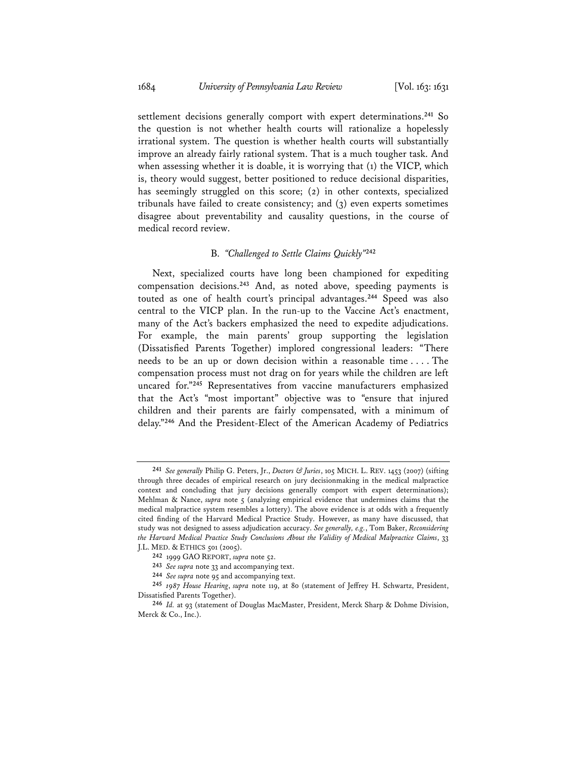settlement decisions generally comport with expert determinations.**<sup>241</sup>** So the question is not whether health courts will rationalize a hopelessly irrational system. The question is whether health courts will substantially improve an already fairly rational system. That is a much tougher task. And when assessing whether it is doable, it is worrying that (1) the VICP, which is, theory would suggest, better positioned to reduce decisional disparities, has seemingly struggled on this score; (2) in other contexts, specialized tribunals have failed to create consistency; and (3) even experts sometimes disagree about preventability and causality questions, in the course of medical record review.

## B. *"Challenged to Settle Claims Quickly"***<sup>242</sup>**

Next, specialized courts have long been championed for expediting compensation decisions.**<sup>243</sup>** And, as noted above, speeding payments is touted as one of health court's principal advantages.**<sup>244</sup>** Speed was also central to the VICP plan. In the run-up to the Vaccine Act's enactment, many of the Act's backers emphasized the need to expedite adjudications. For example, the main parents' group supporting the legislation (Dissatisfied Parents Together) implored congressional leaders: "There needs to be an up or down decision within a reasonable time . . . . The compensation process must not drag on for years while the children are left uncared for."**<sup>245</sup>** Representatives from vaccine manufacturers emphasized that the Act's "most important" objective was to "ensure that injured children and their parents are fairly compensated, with a minimum of delay."**<sup>246</sup>** And the President-Elect of the American Academy of Pediatrics

**<sup>241</sup>** *See generally* Philip G. Peters, Jr., *Doctors & Juries*, 105 MICH. L. REV. 1453 (2007) (sifting through three decades of empirical research on jury decisionmaking in the medical malpractice context and concluding that jury decisions generally comport with expert determinations); Mehlman & Nance, *supra* note 5 (analyzing empirical evidence that undermines claims that the medical malpractice system resembles a lottery). The above evidence is at odds with a frequently cited finding of the Harvard Medical Practice Study. However, as many have discussed, that study was not designed to assess adjudication accuracy. *See generally, e.g.*, Tom Baker, *Reconsidering the Harvard Medical Practice Study Conclusions About the Validity of Medical Malpractice Claims*, 33 J.L. MED. & ETHICS 501 (2005).

**<sup>242</sup>** 1999 GAO REPORT, *supra* note 52.

**<sup>243</sup>** *See supra* note 33 and accompanying text.

**<sup>244</sup>** *See supra* note 95 and accompanying text.

**<sup>245</sup>** *1987 House Hearing*, *supra* note 119, at 80 (statement of Jeffrey H. Schwartz, President, Dissatisfied Parents Together).

**<sup>246</sup>** *Id.* at 93 (statement of Douglas MacMaster, President, Merck Sharp & Dohme Division, Merck & Co., Inc.).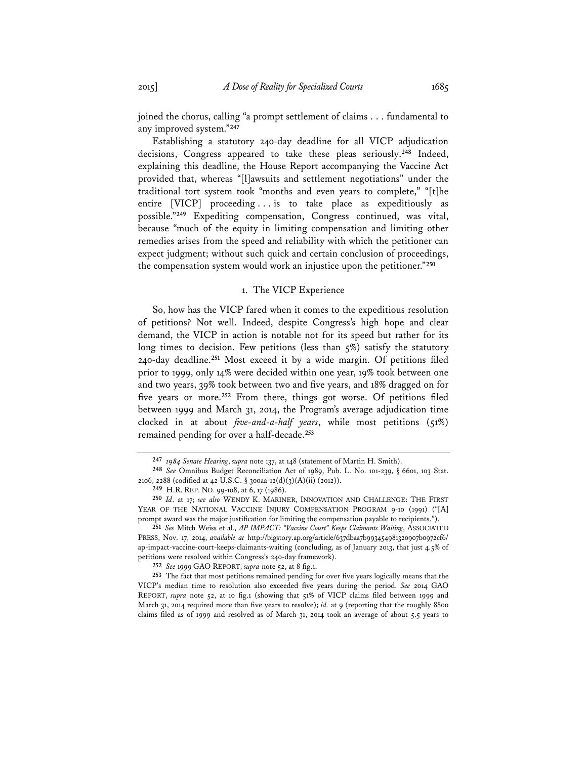joined the chorus, calling "a prompt settlement of claims . . . fundamental to any improved system."**<sup>247</sup>**

Establishing a statutory 240-day deadline for all VICP adjudication decisions, Congress appeared to take these pleas seriously.**<sup>248</sup>** Indeed, explaining this deadline, the House Report accompanying the Vaccine Act provided that, whereas "[l]awsuits and settlement negotiations" under the traditional tort system took "months and even years to complete," "[t]he entire [VICP] proceeding . . . is to take place as expeditiously as possible."**<sup>249</sup>** Expediting compensation, Congress continued, was vital, because "much of the equity in limiting compensation and limiting other remedies arises from the speed and reliability with which the petitioner can expect judgment; without such quick and certain conclusion of proceedings, the compensation system would work an injustice upon the petitioner."**<sup>250</sup>**

#### 1. The VICP Experience

So, how has the VICP fared when it comes to the expeditious resolution of petitions? Not well. Indeed, despite Congress's high hope and clear demand, the VICP in action is notable not for its speed but rather for its long times to decision. Few petitions (less than 5%) satisfy the statutory 240-day deadline.**<sup>251</sup>** Most exceed it by a wide margin. Of petitions filed prior to 1999, only 14% were decided within one year, 19% took between one and two years, 39% took between two and five years, and 18% dragged on for five years or more.**<sup>252</sup>** From there, things got worse. Of petitions filed between 1999 and March 31, 2014, the Program's average adjudication time clocked in at about *five-and-a-half years*, while most petitions (51%) remained pending for over a half-decade.**<sup>253</sup>**

**<sup>247</sup>** *1984 Senate Hearing*, *supra* note 137, at 148 (statement of Martin H. Smith).

**<sup>248</sup>** *See* Omnibus Budget Reconciliation Act of 1989, Pub. L. No. 101-239, § 6601, 103 Stat. 2106, 2288 (codified at 42 U.S.C. § 300aa-12(d)(3)(A)(ii) (2012)).

**<sup>249</sup>** H.R. REP. NO. 99-108, at 6, 17 (1986).

**<sup>250</sup>** *Id*. at 17; *see also* WENDY K. MARINER, INNOVATION AND CHALLENGE: THE FIRST YEAR OF THE NATIONAL VACCINE INJURY COMPENSATION PROGRAM 9-10 (1991) ("[A] prompt award was the major justification for limiting the compensation payable to recipients.").

**<sup>251</sup>** *See* Mitch Weiss et al., *AP IMPACT: "Vaccine Court" Keeps Claimants Waiting*, ASSOCIATED PRESS, Nov. 17, 2014, *available at* http://bigstory.ap.org/article/637dbaa7b993454981320907b0972cf6/ ap-impact-vaccine-court-keeps-claimants-waiting (concluding, as of January 2013, that just 4.5% of petitions were resolved within Congress's 240-day framework).

**<sup>252</sup>** *See* 1999 GAO REPORT, *supra* note 52, at 8 fig.1.

**<sup>253</sup>** The fact that most petitions remained pending for over five years logically means that the VICP's median time to resolution also exceeded five years during the period. *See* 2014 GAO REPORT, *supra* note 52, at 10 fig.1 (showing that 51% of VICP claims filed between 1999 and March 31, 2014 required more than five years to resolve); *id.* at 9 (reporting that the roughly 8800 claims filed as of 1999 and resolved as of March 31, 2014 took an average of about 5.5 years to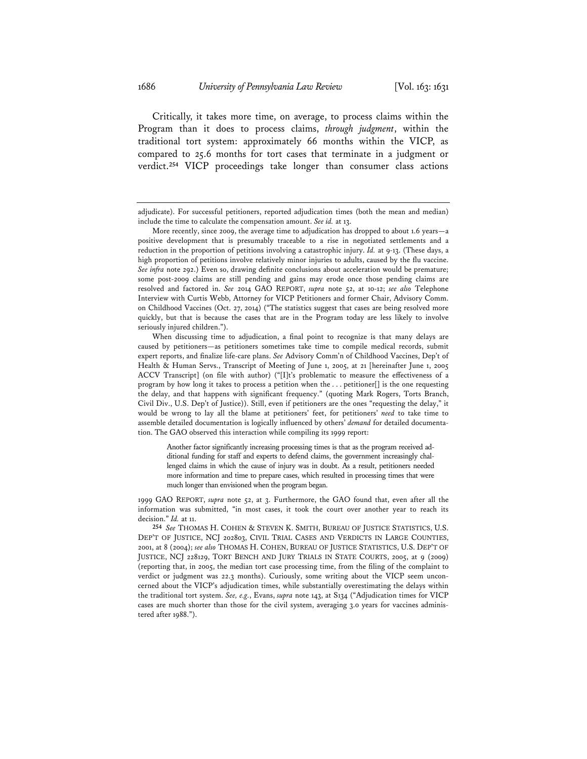Critically, it takes more time, on average, to process claims within the Program than it does to process claims, *through judgment*, within the traditional tort system: approximately 66 months within the VICP, as compared to 25.6 months for tort cases that terminate in a judgment or verdict.**<sup>254</sup>** VICP proceedings take longer than consumer class actions

Another factor significantly increasing processing times is that as the program received additional funding for staff and experts to defend claims, the government increasingly challenged claims in which the cause of injury was in doubt. As a result, petitioners needed more information and time to prepare cases, which resulted in processing times that were much longer than envisioned when the program began.

1999 GAO REPORT, *supra* note 52, at 3. Furthermore, the GAO found that, even after all the information was submitted, "in most cases, it took the court over another year to reach its decision." *Id.* at 11.

**254** *See* THOMAS H. COHEN & STEVEN K. SMITH, BUREAU OF JUSTICE STATISTICS, U.S. DEP'T OF JUSTICE, NCJ 202803, CIVIL TRIAL CASES AND VERDICTS IN LARGE COUNTIES, 2001, at 8 (2004); *see also* THOMAS H. COHEN, BUREAU OF JUSTICE STATISTICS, U.S. DEP'T OF JUSTICE, NCJ 228129, TORT BENCH AND JURY TRIALS IN STATE COURTS, 2005, at 9 (2009) (reporting that, in 2005, the median tort case processing time, from the filing of the complaint to verdict or judgment was 22.3 months). Curiously, some writing about the VICP seem unconcerned about the VICP's adjudication times, while substantially overestimating the delays within the traditional tort system. *See, e.g.*, Evans, *supra* note 143, at S134 ("Adjudication times for VICP cases are much shorter than those for the civil system, averaging 3.0 years for vaccines administered after 1988.").

adjudicate). For successful petitioners, reported adjudication times (both the mean and median) include the time to calculate the compensation amount. *See id.* at 13.

More recently, since 2009, the average time to adjudication has dropped to about 1.6 years—a positive development that is presumably traceable to a rise in negotiated settlements and a reduction in the proportion of petitions involving a catastrophic injury. *Id.* at 9-13. (These days, a high proportion of petitions involve relatively minor injuries to adults, caused by the flu vaccine. *See infra* note 292.) Even so, drawing definite conclusions about acceleration would be premature; some post-2009 claims are still pending and gains may erode once those pending claims are resolved and factored in. *See* 2014 GAO REPORT, *supra* note 52, at 10-12; *see also* Telephone Interview with Curtis Webb, Attorney for VICP Petitioners and former Chair, Advisory Comm. on Childhood Vaccines (Oct. 27, 2014) ("The statistics suggest that cases are being resolved more quickly, but that is because the cases that are in the Program today are less likely to involve seriously injured children.").

When discussing time to adjudication, a final point to recognize is that many delays are caused by petitioners—as petitioners sometimes take time to compile medical records, submit expert reports, and finalize life-care plans. *See* Advisory Comm'n of Childhood Vaccines, Dep't of Health & Human Servs., Transcript of Meeting of June 1, 2005, at 21 [hereinafter June 1, 2005 ACCV Transcript] (on file with author) ("[I]t's problematic to measure the effectiveness of a program by how long it takes to process a petition when the . . . petitioner[] is the one requesting the delay, and that happens with significant frequency." (quoting Mark Rogers, Torts Branch, Civil Div., U.S. Dep't of Justice)). Still, even if petitioners are the ones "requesting the delay," it would be wrong to lay all the blame at petitioners' feet, for petitioners' *need* to take time to assemble detailed documentation is logically influenced by others' *demand* for detailed documentation. The GAO observed this interaction while compiling its 1999 report: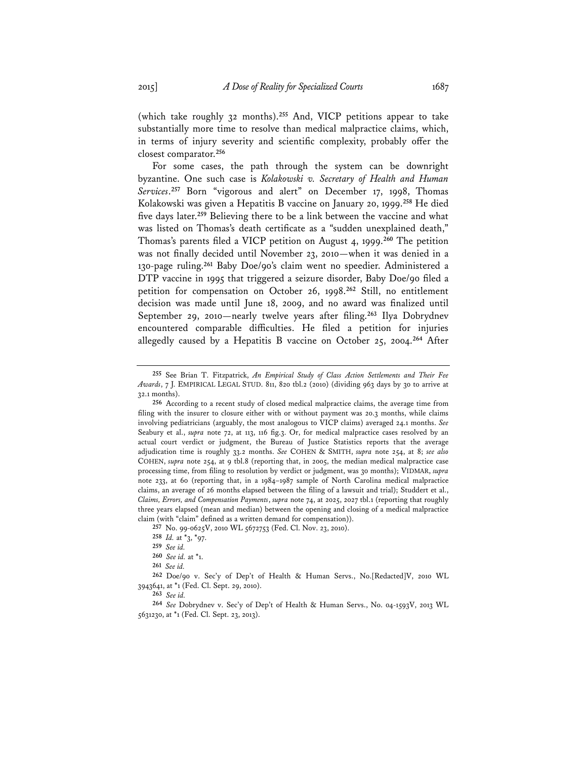(which take roughly 32 months).**<sup>255</sup>** And, VICP petitions appear to take substantially more time to resolve than medical malpractice claims, which, in terms of injury severity and scientific complexity, probably offer the closest comparator.**<sup>256</sup>**

For some cases, the path through the system can be downright byzantine. One such case is *Kolakowski v. Secretary of Health and Human Services*. **<sup>257</sup>** Born "vigorous and alert" on December 17, 1998, Thomas Kolakowski was given a Hepatitis B vaccine on January 20, 1999.**<sup>258</sup>** He died five days later.**<sup>259</sup>** Believing there to be a link between the vaccine and what was listed on Thomas's death certificate as a "sudden unexplained death," Thomas's parents filed a VICP petition on August 4, 1999.**<sup>260</sup>** The petition was not finally decided until November 23, 2010—when it was denied in a 130-page ruling.**<sup>261</sup>** Baby Doe/90's claim went no speedier. Administered a DTP vaccine in 1995 that triggered a seizure disorder, Baby Doe/90 filed a petition for compensation on October 26, 1998.**<sup>262</sup>** Still, no entitlement decision was made until June 18, 2009, and no award was finalized until September 29, 2010—nearly twelve years after filing.**<sup>263</sup>** Ilya Dobrydnev encountered comparable difficulties. He filed a petition for injuries allegedly caused by a Hepatitis B vaccine on October 25, 2004.**<sup>264</sup>** After

**<sup>255</sup>** See Brian T. Fitzpatrick, *An Empirical Study of Class Action Settlements and Their Fee Awards*, 7 J. EMPIRICAL LEGAL STUD. 811, 820 tbl.2 (2010) (dividing 963 days by 30 to arrive at 32.1 months).

**<sup>256</sup>** According to a recent study of closed medical malpractice claims, the average time from filing with the insurer to closure either with or without payment was 20.3 months, while claims involving pediatricians (arguably, the most analogous to VICP claims) averaged 24.1 months. *See* Seabury et al., *supra* note 72, at 113, 116 fig.3. Or, for medical malpractice cases resolved by an actual court verdict or judgment, the Bureau of Justice Statistics reports that the average adjudication time is roughly 33.2 months. *See* COHEN & SMITH, *supra* note 254, at 8; *see also* COHEN, *supra* note 254, at 9 tbl.8 (reporting that, in 2005, the median medical malpractice case processing time, from filing to resolution by verdict or judgment, was 30 months); VIDMAR, *supra* note 233, at 60 (reporting that, in a 1984–1987 sample of North Carolina medical malpractice claims, an average of 26 months elapsed between the filing of a lawsuit and trial); Studdert et al., *Claims, Errors, and Compensation Payments*, *supra* note 74, at 2025, 2027 tbl.1 (reporting that roughly three years elapsed (mean and median) between the opening and closing of a medical malpractice claim (with "claim" defined as a written demand for compensation)).

**<sup>257</sup>** No. 99-0625V, 2010 WL 5672753 (Fed. Cl. Nov. 23, 2010).

**<sup>258</sup>** *Id.* at \*3, \*97.

**<sup>259</sup>** *See id.* 

**<sup>260</sup>** *See id.* at \*1.

**<sup>261</sup>** *See id.*

**<sup>262</sup>** Doe/90 v. Sec'y of Dep't of Health & Human Servs., No.[Redacted]V, 2010 WL 3943641, at \*1 (Fed. Cl. Sept. 29, 2010).

**<sup>263</sup>** *See id.*

**<sup>264</sup>** *See* Dobrydnev v. Sec'y of Dep't of Health & Human Servs., No. 04-1593V, 2013 WL 5631230, at \*1 (Fed. Cl. Sept. 23, 2013).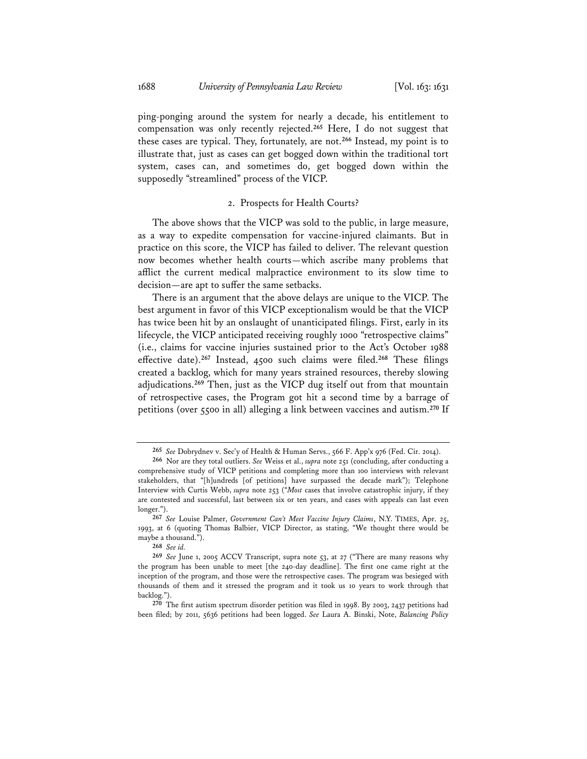ping-ponging around the system for nearly a decade, his entitlement to compensation was only recently rejected.**<sup>265</sup>** Here, I do not suggest that these cases are typical. They, fortunately, are not.**<sup>266</sup>** Instead, my point is to illustrate that, just as cases can get bogged down within the traditional tort system, cases can, and sometimes do, get bogged down within the supposedly "streamlined" process of the VICP.

#### 2. Prospects for Health Courts?

The above shows that the VICP was sold to the public, in large measure, as a way to expedite compensation for vaccine-injured claimants. But in practice on this score, the VICP has failed to deliver. The relevant question now becomes whether health courts—which ascribe many problems that afflict the current medical malpractice environment to its slow time to decision—are apt to suffer the same setbacks.

There is an argument that the above delays are unique to the VICP. The best argument in favor of this VICP exceptionalism would be that the VICP has twice been hit by an onslaught of unanticipated filings. First, early in its lifecycle, the VICP anticipated receiving roughly 1000 "retrospective claims" (i.e., claims for vaccine injuries sustained prior to the Act's October 1988 effective date).**<sup>267</sup>** Instead, 4500 such claims were filed.**<sup>268</sup>** These filings created a backlog, which for many years strained resources, thereby slowing adjudications.**<sup>269</sup>** Then, just as the VICP dug itself out from that mountain of retrospective cases, the Program got hit a second time by a barrage of petitions (over 5500 in all) alleging a link between vaccines and autism.**<sup>270</sup>** If

**<sup>265</sup>** *See* Dobrydnev v. Sec'y of Health & Human Servs., 566 F. App'x 976 (Fed. Cir. 2014).

**<sup>266</sup>** Nor are they total outliers. *See* Weiss et al., *supra* note 251 (concluding, after conducting a comprehensive study of VICP petitions and completing more than 100 interviews with relevant stakeholders, that "[h]undreds [of petitions] have surpassed the decade mark"); Telephone Interview with Curtis Webb, *supra* note 253 ("*Most* cases that involve catastrophic injury, if they are contested and successful, last between six or ten years, and cases with appeals can last even longer.").

**<sup>267</sup>** *See* Louise Palmer, *Government Can't Meet Vaccine Injury Claims*, N.Y. TIMES, Apr. 25, 1993, at 6 (quoting Thomas Balbier, VICP Director, as stating, "We thought there would be maybe a thousand.").

**<sup>268</sup>** *See id.*

**<sup>269</sup>** *See* June 1, 2005 ACCV Transcript, supra note 53, at 27 ("There are many reasons why the program has been unable to meet [the 240-day deadline]. The first one came right at the inception of the program, and those were the retrospective cases. The program was besieged with thousands of them and it stressed the program and it took us 10 years to work through that backlog.").

**<sup>270</sup>** The first autism spectrum disorder petition was filed in 1998. By 2003, 2437 petitions had been filed; by 2011, 5636 petitions had been logged. *See* Laura A. Binski, Note, *Balancing Policy*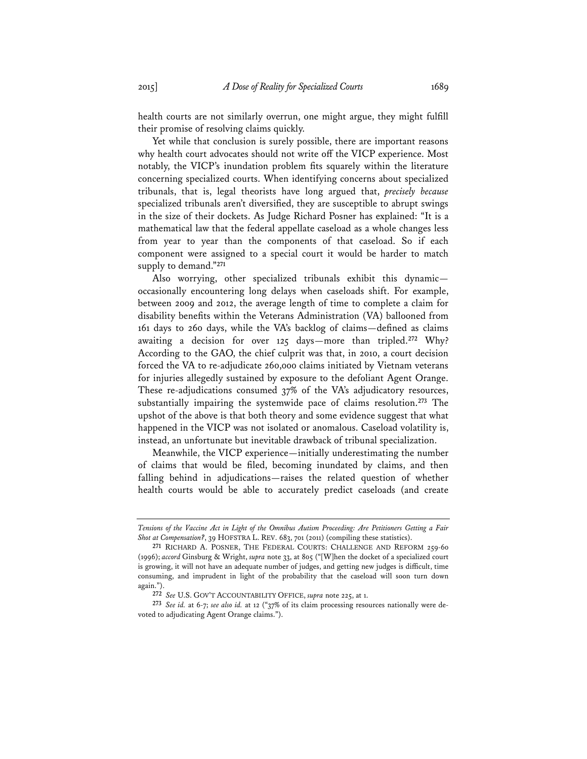health courts are not similarly overrun, one might argue, they might fulfill their promise of resolving claims quickly.

Yet while that conclusion is surely possible, there are important reasons why health court advocates should not write off the VICP experience. Most notably, the VICP's inundation problem fits squarely within the literature concerning specialized courts. When identifying concerns about specialized tribunals, that is, legal theorists have long argued that, *precisely because* specialized tribunals aren't diversified, they are susceptible to abrupt swings in the size of their dockets. As Judge Richard Posner has explained: "It is a mathematical law that the federal appellate caseload as a whole changes less from year to year than the components of that caseload. So if each component were assigned to a special court it would be harder to match supply to demand."**<sup>271</sup>**

Also worrying, other specialized tribunals exhibit this dynamic occasionally encountering long delays when caseloads shift. For example, between 2009 and 2012, the average length of time to complete a claim for disability benefits within the Veterans Administration (VA) ballooned from 161 days to 260 days, while the VA's backlog of claims—defined as claims awaiting a decision for over 125 days—more than tripled.**<sup>272</sup>** Why? According to the GAO, the chief culprit was that, in 2010, a court decision forced the VA to re-adjudicate 260,000 claims initiated by Vietnam veterans for injuries allegedly sustained by exposure to the defoliant Agent Orange. These re-adjudications consumed 37% of the VA's adjudicatory resources, substantially impairing the systemwide pace of claims resolution.**<sup>273</sup>** The upshot of the above is that both theory and some evidence suggest that what happened in the VICP was not isolated or anomalous. Caseload volatility is, instead, an unfortunate but inevitable drawback of tribunal specialization.

Meanwhile, the VICP experience—initially underestimating the number of claims that would be filed, becoming inundated by claims, and then falling behind in adjudications—raises the related question of whether health courts would be able to accurately predict caseloads (and create

*Tensions of the Vaccine Act in Light of the Omnibus Autism Proceeding: Are Petitioners Getting a Fair Shot at Compensation?*, 39 HOFSTRA L. REV. 683, 701 (2011) (compiling these statistics).

**<sup>271</sup>** RICHARD A. POSNER, THE FEDERAL COURTS: CHALLENGE AND REFORM 259-60 (1996); *accord* Ginsburg & Wright, *supra* note 33, at 805 ("[W]hen the docket of a specialized court is growing, it will not have an adequate number of judges, and getting new judges is difficult, time consuming, and imprudent in light of the probability that the caseload will soon turn down again.").

**<sup>272</sup>** *See* U.S. GOV'T ACCOUNTABILITY OFFICE, *supra* note 225, at 1.

**<sup>273</sup>** *See id.* at 6-7; *see also id.* at 12 ("37% of its claim processing resources nationally were devoted to adjudicating Agent Orange claims.").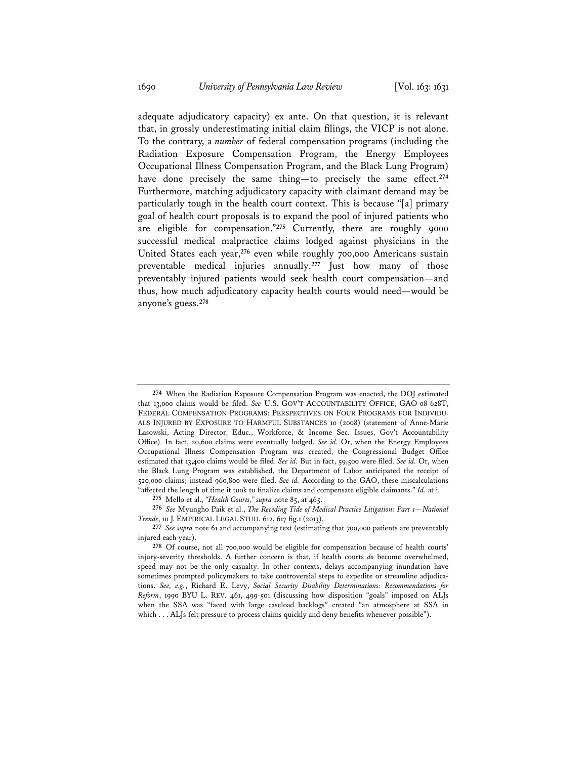adequate adjudicatory capacity) ex ante. On that question, it is relevant that, in grossly underestimating initial claim filings, the VICP is not alone. To the contrary, a *number* of federal compensation programs (including the Radiation Exposure Compensation Program, the Energy Employees Occupational Illness Compensation Program, and the Black Lung Program) have done precisely the same thing—to precisely the same effect.**<sup>274</sup>** Furthermore, matching adjudicatory capacity with claimant demand may be particularly tough in the health court context. This is because "[a] primary goal of health court proposals is to expand the pool of injured patients who are eligible for compensation."**<sup>275</sup>** Currently, there are roughly 9000 successful medical malpractice claims lodged against physicians in the United States each year,**<sup>276</sup>** even while roughly 700,000 Americans sustain preventable medical injuries annually.**<sup>277</sup>** Just how many of those preventably injured patients would seek health court compensation—and thus, how much adjudicatory capacity health courts would need—would be anyone's guess.**<sup>278</sup>**

**<sup>274</sup>** When the Radiation Exposure Compensation Program was enacted, the DOJ estimated that 13,000 claims would be filed. *See* U.S. GOV'T ACCOUNTABILITY OFFICE, GAO-08-628T, FEDERAL COMPENSATION PROGRAMS: PERSPECTIVES ON FOUR PROGRAMS FOR INDIVIDU-ALS INJURED BY EXPOSURE TO HARMFUL SUBSTANCES 10 (2008) (statement of Anne-Marie Lasowski, Acting Director, Educ., Workforce, & Income Sec. Issues, Gov't Accountability Office). In fact, 20,600 claims were eventually lodged. *See id.* Or, when the Energy Employees Occupational Illness Compensation Program was created, the Congressional Budget Office estimated that 13,400 claims would be filed. *See id.* But in fact, 59,500 were filed. *See id.* Or, when the Black Lung Program was established, the Department of Labor anticipated the receipt of 520,000 claims; instead 960,800 were filed. *See id.* According to the GAO, these miscalculations "affected the length of time it took to finalize claims and compensate eligible claimants." *Id.* at i.

**<sup>275</sup>** Mello et al., *"Health Courts*,*" supra* note 85, at 465.

**<sup>276</sup>** *See* Myungho Paik et al., *The Receding Tide of Medical Practice Litigation: Part 1—National Trends*, 10 J. EMPIRICAL LEGAL STUD. 612, 617 fig.1 (2013).

**<sup>277</sup>** *See supra* note 61 and accompanying text (estimating that 700,000 patients are preventably injured each year).

**<sup>278</sup>** Of course, not all 700,000 would be eligible for compensation because of health courts' injury-severity thresholds. A further concern is that, if health courts *do* become overwhelmed, speed may not be the only casualty. In other contexts, delays accompanying inundation have sometimes prompted policymakers to take controversial steps to expedite or streamline adjudications. *See, e.g.*, Richard E. Levy, *Social Security Disability Determinations: Recommendations for Reform*, 1990 BYU L. REV. 461, 499-501 (discussing how disposition "goals" imposed on ALJs when the SSA was "faced with large caseload backlogs" created "an atmosphere at SSA in which . . . ALJs felt pressure to process claims quickly and deny benefits whenever possible").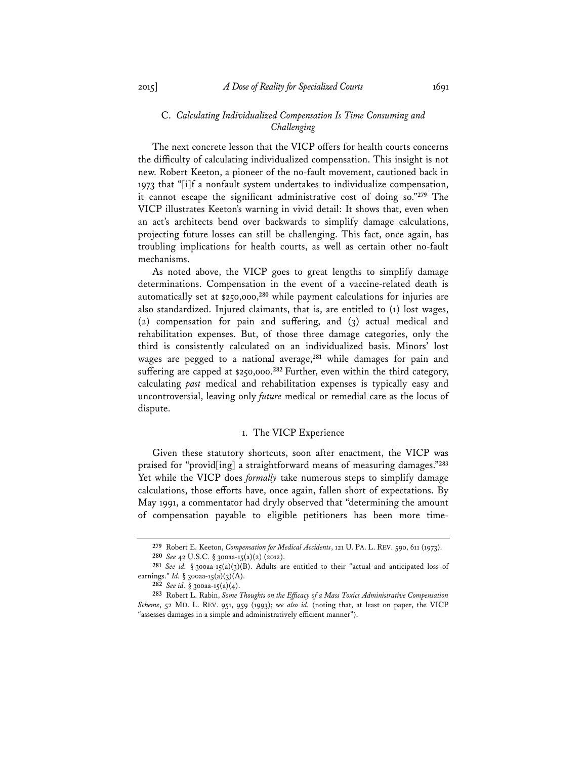## C. *Calculating Individualized Compensation Is Time Consuming and Challenging*

The next concrete lesson that the VICP offers for health courts concerns the difficulty of calculating individualized compensation. This insight is not new. Robert Keeton, a pioneer of the no-fault movement, cautioned back in 1973 that "[i]f a nonfault system undertakes to individualize compensation, it cannot escape the significant administrative cost of doing so."**<sup>279</sup>** The VICP illustrates Keeton's warning in vivid detail: It shows that, even when an act's architects bend over backwards to simplify damage calculations, projecting future losses can still be challenging. This fact, once again, has troubling implications for health courts, as well as certain other no-fault mechanisms.

As noted above, the VICP goes to great lengths to simplify damage determinations. Compensation in the event of a vaccine-related death is automatically set at \$250,000,**<sup>280</sup>** while payment calculations for injuries are also standardized. Injured claimants, that is, are entitled to (1) lost wages, (2) compensation for pain and suffering, and (3) actual medical and rehabilitation expenses. But, of those three damage categories, only the third is consistently calculated on an individualized basis. Minors' lost wages are pegged to a national average,**<sup>281</sup>** while damages for pain and suffering are capped at \$250,000.**<sup>282</sup>**Further, even within the third category, calculating *past* medical and rehabilitation expenses is typically easy and uncontroversial, leaving only *future* medical or remedial care as the locus of dispute.

## 1. The VICP Experience

Given these statutory shortcuts, soon after enactment, the VICP was praised for "provid[ing] a straightforward means of measuring damages."**<sup>283</sup>** Yet while the VICP does *formally* take numerous steps to simplify damage calculations, those efforts have, once again, fallen short of expectations. By May 1991, a commentator had dryly observed that "determining the amount of compensation payable to eligible petitioners has been more time-

**<sup>279</sup>** Robert E. Keeton, *Compensation for Medical Accidents*, 121 U. PA. L. REV. 590, 611 (1973). **280** *See* 42 U.S.C. § 300aa-15(a)(2) (2012).

**<sup>281</sup>** *See id.* § 300aa-15(a)(3)(B). Adults are entitled to their "actual and anticipated loss of earnings." *Id.* § 300aa-15(a)(3)(A).

**<sup>282</sup>** *See id.* § 300aa-15(a)(4).

**<sup>283</sup>** Robert L. Rabin, *Some Thoughts on the Efficacy of a Mass Toxics Administrative Compensation Scheme*, 52 MD. L. REV. 951, 959 (1993); *see also id.* (noting that, at least on paper, the VICP "assesses damages in a simple and administratively efficient manner").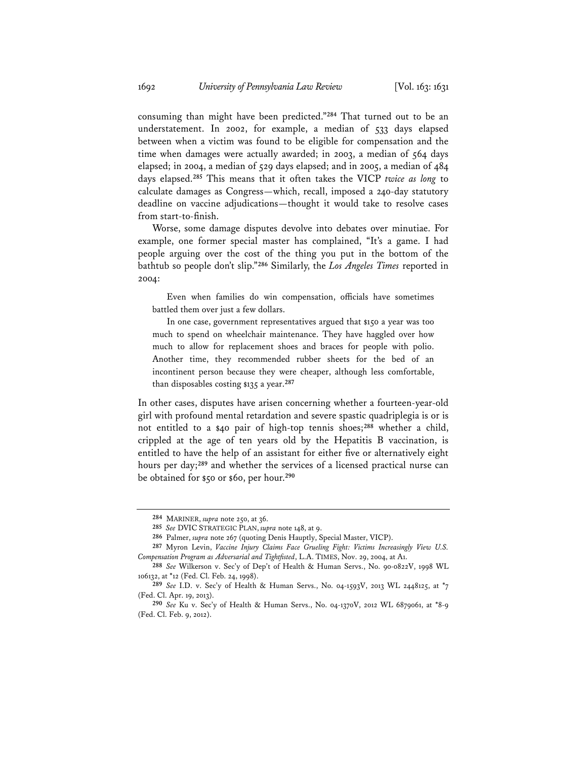consuming than might have been predicted."**<sup>284</sup>** That turned out to be an understatement. In 2002, for example, a median of 533 days elapsed between when a victim was found to be eligible for compensation and the time when damages were actually awarded; in 2003, a median of 564 days elapsed; in 2004, a median of 529 days elapsed; and in 2005, a median of 484 days elapsed.**<sup>285</sup>** This means that it often takes the VICP *twice as long* to calculate damages as Congress—which, recall, imposed a 240-day statutory deadline on vaccine adjudications—thought it would take to resolve cases from start-to-finish.

Worse, some damage disputes devolve into debates over minutiae. For example, one former special master has complained, "It's a game. I had people arguing over the cost of the thing you put in the bottom of the bathtub so people don't slip."**<sup>286</sup>** Similarly, the *Los Angeles Times* reported in 2004:

 Even when families do win compensation, officials have sometimes battled them over just a few dollars.

In one case, government representatives argued that \$150 a year was too much to spend on wheelchair maintenance. They have haggled over how much to allow for replacement shoes and braces for people with polio. Another time, they recommended rubber sheets for the bed of an incontinent person because they were cheaper, although less comfortable, than disposables costing \$135 a year.**<sup>287</sup>**

In other cases, disputes have arisen concerning whether a fourteen-year-old girl with profound mental retardation and severe spastic quadriplegia is or is not entitled to a \$40 pair of high-top tennis shoes;**<sup>288</sup>** whether a child, crippled at the age of ten years old by the Hepatitis B vaccination, is entitled to have the help of an assistant for either five or alternatively eight hours per day;**<sup>289</sup>** and whether the services of a licensed practical nurse can be obtained for \$50 or \$60, per hour.**<sup>290</sup>**

**<sup>284</sup>** MARINER, *supra* note 250, at 36.

**<sup>285</sup>** *See* DVIC STRATEGIC PLAN, *supra* note 148, at 9.

**<sup>286</sup>** Palmer, *supra* note 267 (quoting Denis Hauptly, Special Master, VICP).

**<sup>287</sup>** Myron Levin, *Vaccine Injury Claims Face Grueling Fight: Victims Increasingly View U.S. Compensation Program as Adversarial and Tightfisted*, L.A. TIMES, Nov. 29, 2004, at A1.

**<sup>288</sup>** *See* Wilkerson v. Sec'y of Dep't of Health & Human Servs., No. 90-0822V, 1998 WL 106132, at \*12 (Fed. Cl. Feb. 24, 1998).

**<sup>289</sup>** *See* I.D. v. Sec'y of Health & Human Servs., No. 04-1593V, 2013 WL 2448125, at \*7 (Fed. Cl. Apr. 19, 2013).

**<sup>290</sup>** *See* Ku v. Sec'y of Health & Human Servs., No. 04-1370V, 2012 WL 6879061, at \*8-9 (Fed. Cl. Feb. 9, 2012).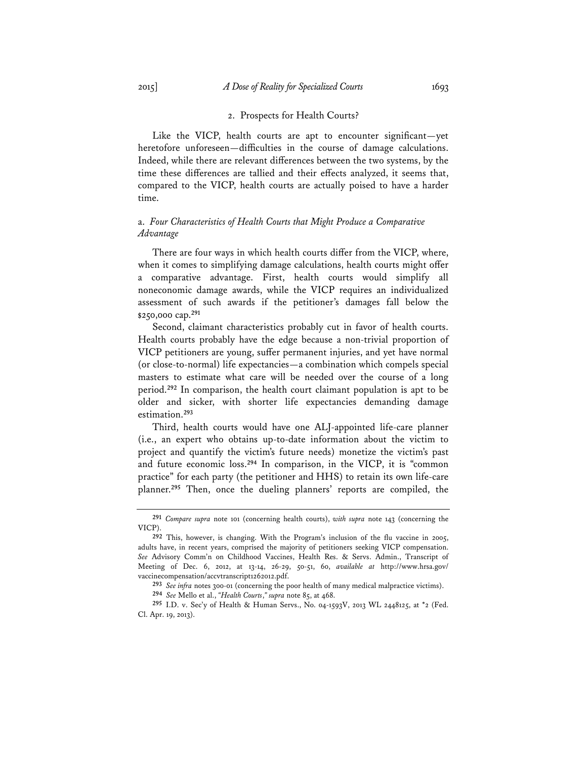Like the VICP, health courts are apt to encounter significant—yet heretofore unforeseen—difficulties in the course of damage calculations. Indeed, while there are relevant differences between the two systems, by the time these differences are tallied and their effects analyzed, it seems that, compared to the VICP, health courts are actually poised to have a harder time.

# a. *Four Characteristics of Health Courts that Might Produce a Comparative Advantage*

There are four ways in which health courts differ from the VICP, where, when it comes to simplifying damage calculations, health courts might offer a comparative advantage. First, health courts would simplify all noneconomic damage awards, while the VICP requires an individualized assessment of such awards if the petitioner's damages fall below the \$250,000 cap.**<sup>291</sup>**

Second, claimant characteristics probably cut in favor of health courts. Health courts probably have the edge because a non-trivial proportion of VICP petitioners are young, suffer permanent injuries, and yet have normal (or close-to-normal) life expectancies—a combination which compels special masters to estimate what care will be needed over the course of a long period.**<sup>292</sup>** In comparison, the health court claimant population is apt to be older and sicker, with shorter life expectancies demanding damage estimation.**<sup>293</sup>**

Third, health courts would have one ALJ-appointed life-care planner (i.e., an expert who obtains up-to-date information about the victim to project and quantify the victim's future needs) monetize the victim's past and future economic loss.**<sup>294</sup>** In comparison, in the VICP, it is "common practice" for each party (the petitioner and HHS) to retain its own life-care planner.**<sup>295</sup>** Then, once the dueling planners' reports are compiled, the

**<sup>291</sup>** *Compare supra* note 101 (concerning health courts), *with supra* note 143 (concerning the VICP)

**<sup>292</sup>** This, however, is changing. With the Program's inclusion of the flu vaccine in 2005, adults have, in recent years, comprised the majority of petitioners seeking VICP compensation. *See* Advisory Comm'n on Childhood Vaccines, Health Res. & Servs. Admin., Transcript of Meeting of Dec. 6, 2012, at 13-14, 26-29, 50-51, 60, *available at* http://www.hrsa.gov/ vaccinecompensation/accvtranscript1262012.pdf.

**<sup>293</sup>** *See infra* notes 300-01 (concerning the poor health of many medical malpractice victims).

**<sup>294</sup>** *See* Mello et al., *"Health Courts*,*" supra* note 85, at 468.

**<sup>295</sup>** I.D. v. Sec'y of Health & Human Servs., No. 04-1593V, 2013 WL 2448125, at \*2 (Fed. Cl. Apr. 19, 2013).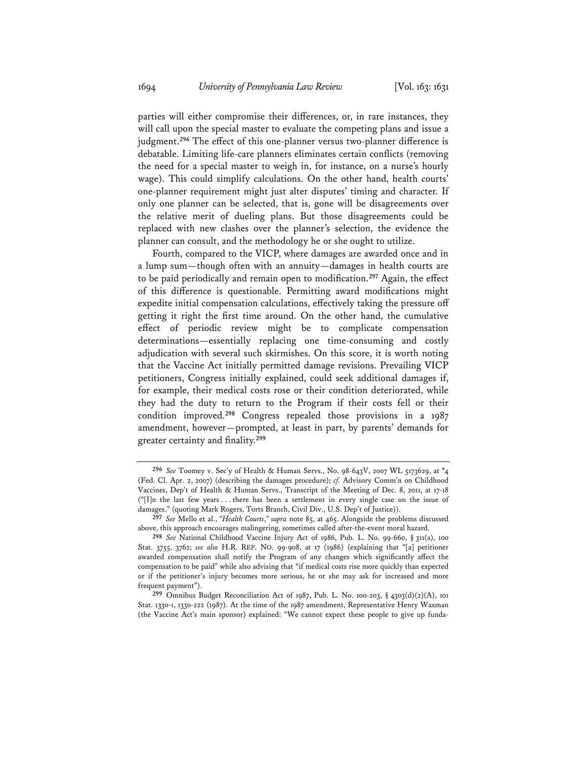parties will either compromise their differences, or, in rare instances, they will call upon the special master to evaluate the competing plans and issue a judgment.**<sup>296</sup>** The effect of this one-planner versus two-planner difference is debatable. Limiting life-care planners eliminates certain conflicts (removing the need for a special master to weigh in, for instance, on a nurse's hourly wage). This could simplify calculations. On the other hand, health courts' one-planner requirement might just alter disputes' timing and character. If only one planner can be selected, that is, gone will be disagreements over the relative merit of dueling plans. But those disagreements could be replaced with new clashes over the planner's selection, the evidence the planner can consult, and the methodology he or she ought to utilize.

Fourth, compared to the VICP, where damages are awarded once and in a lump sum—though often with an annuity—damages in health courts are to be paid periodically and remain open to modification.**<sup>297</sup>** Again, the effect of this difference is questionable. Permitting award modifications might expedite initial compensation calculations, effectively taking the pressure off getting it right the first time around. On the other hand, the cumulative effect of periodic review might be to complicate compensation determinations—essentially replacing one time-consuming and costly adjudication with several such skirmishes. On this score, it is worth noting that the Vaccine Act initially permitted damage revisions. Prevailing VICP petitioners, Congress initially explained, could seek additional damages if, for example, their medical costs rose or their condition deteriorated, while they had the duty to return to the Program if their costs fell or their condition improved.**<sup>298</sup>** Congress repealed those provisions in a 1987 amendment, however—prompted, at least in part, by parents' demands for greater certainty and finality.**<sup>299</sup>**

**<sup>296</sup>** *See* Toomey v. Sec'y of Health & Human Servs., No. 98-643V, 2007 WL 5173629, at \*4 (Fed. Cl. Apr. 2, 2007) (describing the damages procedure); *cf.* Advisory Comm'n on Childhood Vaccines, Dep't of Health & Human Servs., Transcript of the Meeting of Dec. 8, 2011, at 17-18 ("[I]n the last few years . . . there has been a settlement in every single case on the issue of damages." (quoting Mark Rogers, Torts Branch, Civil Div., U.S. Dep't of Justice)).

**<sup>297</sup>** *See* Mello et al., *"Health Courts*,*" supra* note 85, at 465. Alongside the problems discussed above, this approach encourages malingering, sometimes called after-the-event moral hazard.

**<sup>298</sup>** *See* National Childhood Vaccine Injury Act of 1986, Pub. L. No. 99-660, § 311(a), 100 Stat. 3755, 3762; *see also* H.R. REP. NO. 99-908, at 17 (1986) (explaining that "[a] petitioner awarded compensation shall notify the Program of any changes which significantly affect the compensation to be paid" while also advising that "if medical costs rise more quickly than expected or if the petitioner's injury becomes more serious, he or she may ask for increased and more frequent payment").

**<sup>299</sup>** Omnibus Budget Reconciliation Act of 1987, Pub. L. No. 100-203, § 4303(d)(2)(A), 101 Stat. 1330-1, 1330-222 (1987). At the time of the 1987 amendment, Representative Henry Waxman (the Vaccine Act's main sponsor) explained: "We cannot expect these people to give up funda-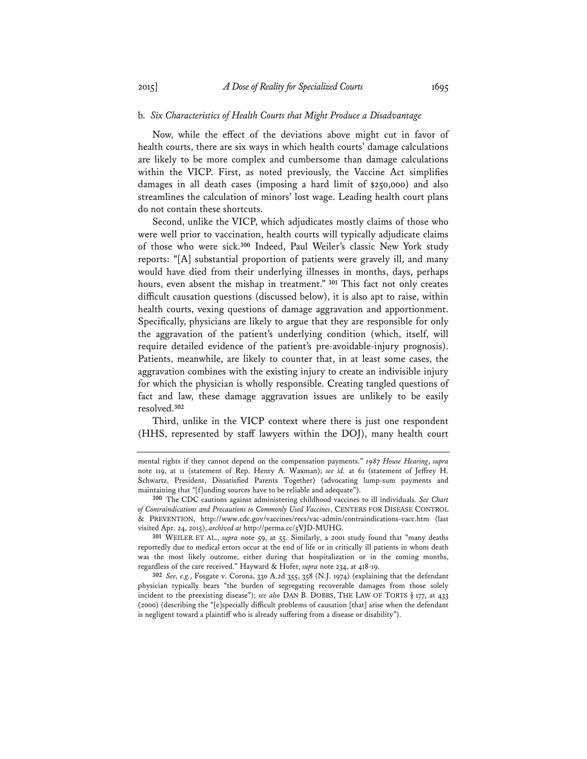## b. *Six Characteristics of Health Courts that Might Produce a Disadvantage*

Now, while the effect of the deviations above might cut in favor of health courts, there are six ways in which health courts' damage calculations are likely to be more complex and cumbersome than damage calculations within the VICP. First, as noted previously, the Vaccine Act simplifies damages in all death cases (imposing a hard limit of \$250,000) and also streamlines the calculation of minors' lost wage. Leading health court plans do not contain these shortcuts.

Second, unlike the VICP, which adjudicates mostly claims of those who were well prior to vaccination, health courts will typically adjudicate claims of those who were sick.**<sup>300</sup>** Indeed, Paul Weiler's classic New York study reports: "[A] substantial proportion of patients were gravely ill, and many would have died from their underlying illnesses in months, days, perhaps hours, even absent the mishap in treatment."**<sup>301</sup>** This fact not only creates difficult causation questions (discussed below), it is also apt to raise, within health courts, vexing questions of damage aggravation and apportionment. Specifically, physicians are likely to argue that they are responsible for only the aggravation of the patient's underlying condition (which, itself, will require detailed evidence of the patient's pre-avoidable-injury prognosis). Patients, meanwhile, are likely to counter that, in at least some cases, the aggravation combines with the existing injury to create an indivisible injury for which the physician is wholly responsible. Creating tangled questions of fact and law, these damage aggravation issues are unlikely to be easily resolved.**<sup>302</sup>**

Third, unlike in the VICP context where there is just one respondent (HHS, represented by staff lawyers within the DOJ), many health court

**301** WEILER ET AL., *supra* note 59, at 55. Similarly, a 2001 study found that "many deaths reportedly due to medical errors occur at the end of life or in critically ill patients in whom death was the most likely outcome, either during that hospitalization or in the coming months, regardless of the care received." Hayward & Hofer, *supra* note 234, at 418-19.

**302** *See, e.g.*, Fosgate v. Corona, 330 A.2d 355, 358 (N.J. 1974) (explaining that the defendant physician typically bears "the burden of segregating recoverable damages from those solely incident to the preexisting disease"); *see also* DAN B. DOBBS, THE LAW OF TORTS § 177, at 433 (2000) (describing the "[e]specially difficult problems of causation [that] arise when the defendant is negligent toward a plaintiff who is already suffering from a disease or disability").

mental rights if they cannot depend on the compensation payments." *1987 House Hearing*, *supra* note 119, at 11 (statement of Rep. Henry A. Waxman); *see id.* at 61 (statement of Jeffrey H. Schwartz, President, Dissatisfied Parents Together) (advocating lump-sum payments and maintaining that "[f]unding sources have to be reliable and adequate").

**<sup>300</sup>** The CDC cautions against administering childhood vaccines to ill individuals. *See Chart of Contraindications and Precautions to Commonly Used Vaccines*, CENTERS FOR DISEASE CONTROL & PREVENTION, http://www.cdc.gov/vaccines/recs/vac-admin/contraindications-vacc.htm (last visited Apr. 24, 2015), *archived at* http://perma.cc/5VJD-MUHG.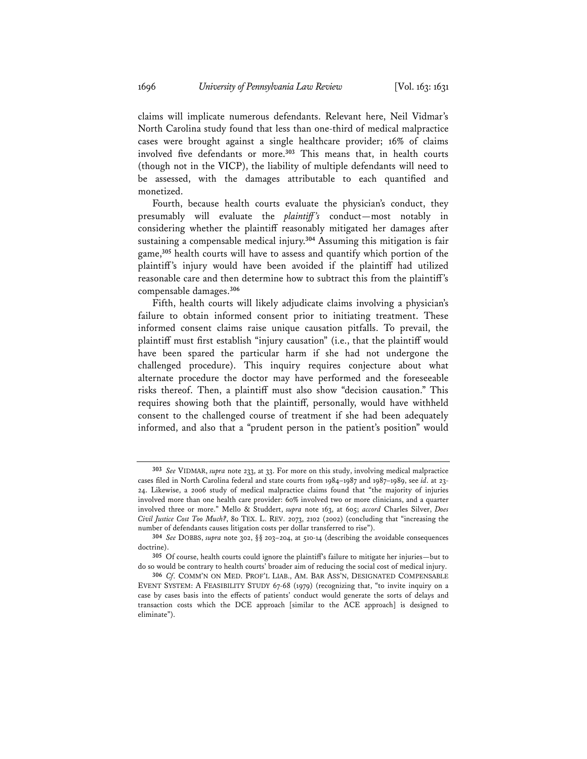claims will implicate numerous defendants. Relevant here, Neil Vidmar's North Carolina study found that less than one-third of medical malpractice cases were brought against a single healthcare provider; 16% of claims involved five defendants or more.**<sup>303</sup>** This means that, in health courts (though not in the VICP), the liability of multiple defendants will need to be assessed, with the damages attributable to each quantified and monetized.

Fourth, because health courts evaluate the physician's conduct, they presumably will evaluate the *plaintiff 's* conduct—most notably in considering whether the plaintiff reasonably mitigated her damages after sustaining a compensable medical injury.**<sup>304</sup>** Assuming this mitigation is fair game,**<sup>305</sup>** health courts will have to assess and quantify which portion of the plaintiff's injury would have been avoided if the plaintiff had utilized reasonable care and then determine how to subtract this from the plaintiff's compensable damages.**<sup>306</sup>**

Fifth, health courts will likely adjudicate claims involving a physician's failure to obtain informed consent prior to initiating treatment. These informed consent claims raise unique causation pitfalls. To prevail, the plaintiff must first establish "injury causation" (i.e., that the plaintiff would have been spared the particular harm if she had not undergone the challenged procedure). This inquiry requires conjecture about what alternate procedure the doctor may have performed and the foreseeable risks thereof. Then, a plaintiff must also show "decision causation." This requires showing both that the plaintiff, personally, would have withheld consent to the challenged course of treatment if she had been adequately informed, and also that a "prudent person in the patient's position" would

**<sup>303</sup>** *See* VIDMAR, *supra* note 233, at 33. For more on this study, involving medical malpractice cases filed in North Carolina federal and state courts from 1984–1987 and 1987–1989, see *id*. at 23- 24. Likewise, a 2006 study of medical malpractice claims found that "the majority of injuries involved more than one health care provider: 60% involved two or more clinicians, and a quarter involved three or more." Mello & Studdert, *supra* note 163, at 605; *accord* Charles Silver, *Does Civil Justice Cost Too Much?*, 80 TEX. L. REV. 2073, 2102 (2002) (concluding that "increasing the number of defendants causes litigation costs per dollar transferred to rise").

**<sup>304</sup>** *See* DOBBS, *supra* note 302, §§ 203–204, at 510-14 (describing the avoidable consequences doctrine).

**<sup>305</sup>** Of course, health courts could ignore the plaintiff's failure to mitigate her injuries—but to do so would be contrary to health courts' broader aim of reducing the social cost of medical injury.

**<sup>306</sup>** *Cf*. COMM'N ON MED. PROF'L LIAB., AM. BAR ASS'N, DESIGNATED COMPENSABLE EVENT SYSTEM: A FEASIBILITY STUDY 67-68 (1979) (recognizing that, "to invite inquiry on a case by cases basis into the effects of patients' conduct would generate the sorts of delays and transaction costs which the DCE approach [similar to the ACE approach] is designed to eliminate").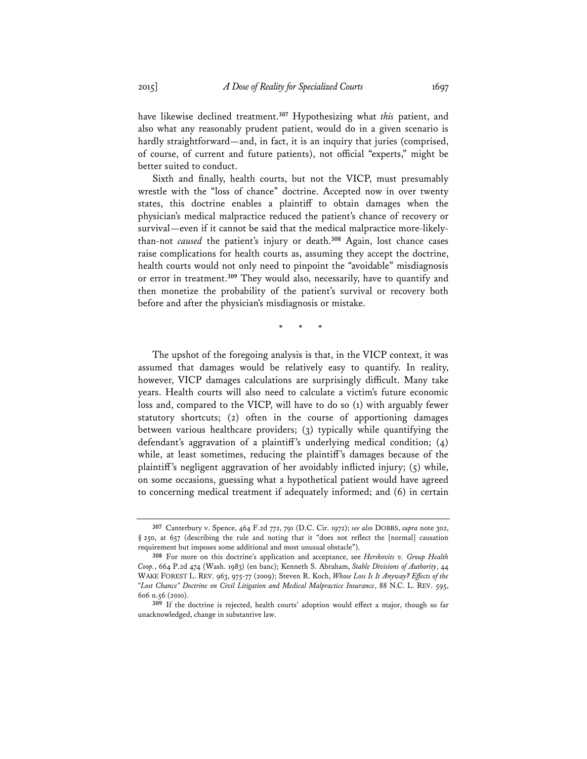have likewise declined treatment.**<sup>307</sup>** Hypothesizing what *this* patient, and also what any reasonably prudent patient, would do in a given scenario is hardly straightforward—and, in fact, it is an inquiry that juries (comprised, of course, of current and future patients), not official "experts," might be better suited to conduct.

Sixth and finally, health courts, but not the VICP, must presumably wrestle with the "loss of chance" doctrine. Accepted now in over twenty states, this doctrine enables a plaintiff to obtain damages when the physician's medical malpractice reduced the patient's chance of recovery or survival—even if it cannot be said that the medical malpractice more-likelythan-not *caused* the patient's injury or death.**<sup>308</sup>** Again, lost chance cases raise complications for health courts as, assuming they accept the doctrine, health courts would not only need to pinpoint the "avoidable" misdiagnosis or error in treatment.**<sup>309</sup>** They would also, necessarily, have to quantify and then monetize the probability of the patient's survival or recovery both before and after the physician's misdiagnosis or mistake.

\* \* \*

The upshot of the foregoing analysis is that, in the VICP context, it was assumed that damages would be relatively easy to quantify. In reality, however, VICP damages calculations are surprisingly difficult. Many take years. Health courts will also need to calculate a victim's future economic loss and, compared to the VICP, will have to do so (1) with arguably fewer statutory shortcuts; (2) often in the course of apportioning damages between various healthcare providers; (3) typically while quantifying the defendant's aggravation of a plaintiff's underlying medical condition; (4) while, at least sometimes, reducing the plaintiff's damages because of the plaintiff's negligent aggravation of her avoidably inflicted injury;  $(5)$  while, on some occasions, guessing what a hypothetical patient would have agreed to concerning medical treatment if adequately informed; and (6) in certain

**<sup>307</sup>** Canterbury v. Spence, 464 F.2d 772, 791 (D.C. Cir. 1972); *see also* DOBBS, *supra* note 302, § 250, at 657 (describing the rule and noting that it "does not reflect the [normal] causation requirement but imposes some additional and most unusual obstacle").

**<sup>308</sup>** For more on this doctrine's application and acceptance, see *Herskovits v. Group Health Coop.*, 664 P.2d 474 (Wash. 1983) (en banc); Kenneth S. Abraham, *Stable Divisions of Authority*, 44 WAKE FOREST L. REV. 963, 975-77 (2009); Steven R. Koch, *Whose Loss Is It Anyway? Effects of the "Lost Chance" Doctrine on Civil Litigation and Medical Malpractice Insurance*, 88 N.C. L. REV. 595, 606 n.56 (2010).

**<sup>309</sup>** If the doctrine is rejected, health courts' adoption would effect a major, though so far unacknowledged, change in substantive law.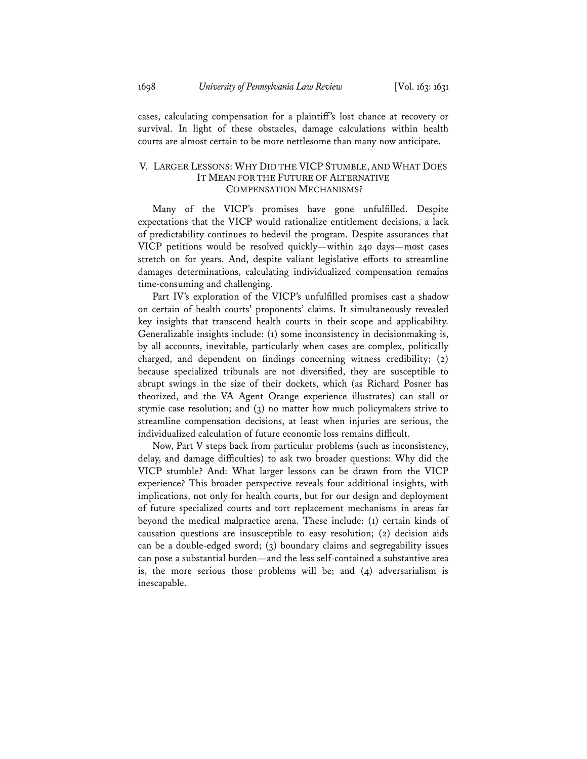cases, calculating compensation for a plaintiff's lost chance at recovery or survival. In light of these obstacles, damage calculations within health courts are almost certain to be more nettlesome than many now anticipate.

# V. LARGER LESSONS: WHY DID THE VICP STUMBLE, AND WHAT DOES IT MEAN FOR THE FUTURE OF ALTERNATIVE COMPENSATION MECHANISMS?

Many of the VICP's promises have gone unfulfilled. Despite expectations that the VICP would rationalize entitlement decisions, a lack of predictability continues to bedevil the program. Despite assurances that VICP petitions would be resolved quickly—within 240 days—most cases stretch on for years. And, despite valiant legislative efforts to streamline damages determinations, calculating individualized compensation remains time-consuming and challenging.

Part IV's exploration of the VICP's unfulfilled promises cast a shadow on certain of health courts' proponents' claims. It simultaneously revealed key insights that transcend health courts in their scope and applicability. Generalizable insights include: (1) some inconsistency in decisionmaking is, by all accounts, inevitable, particularly when cases are complex, politically charged, and dependent on findings concerning witness credibility; (2) because specialized tribunals are not diversified, they are susceptible to abrupt swings in the size of their dockets, which (as Richard Posner has theorized, and the VA Agent Orange experience illustrates) can stall or stymie case resolution; and (3) no matter how much policymakers strive to streamline compensation decisions, at least when injuries are serious, the individualized calculation of future economic loss remains difficult.

Now, Part V steps back from particular problems (such as inconsistency, delay, and damage difficulties) to ask two broader questions: Why did the VICP stumble? And: What larger lessons can be drawn from the VICP experience? This broader perspective reveals four additional insights, with implications, not only for health courts, but for our design and deployment of future specialized courts and tort replacement mechanisms in areas far beyond the medical malpractice arena. These include: (1) certain kinds of causation questions are insusceptible to easy resolution; (2) decision aids can be a double-edged sword; (3) boundary claims and segregability issues can pose a substantial burden—and the less self-contained a substantive area is, the more serious those problems will be; and  $(4)$  adversarialism is inescapable.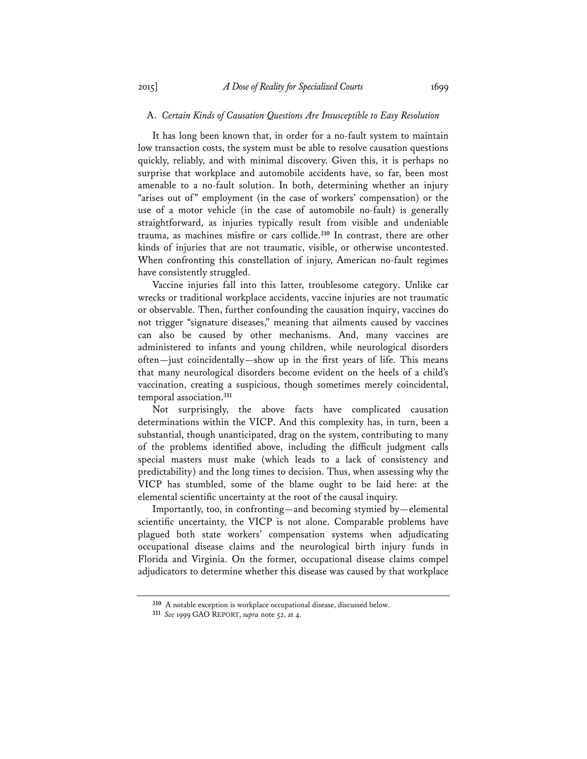## A. *Certain Kinds of Causation Questions Are Insusceptible to Easy Resolution*

It has long been known that, in order for a no-fault system to maintain low transaction costs, the system must be able to resolve causation questions quickly, reliably, and with minimal discovery. Given this, it is perhaps no surprise that workplace and automobile accidents have, so far, been most amenable to a no-fault solution. In both, determining whether an injury "arises out of" employment (in the case of workers' compensation) or the use of a motor vehicle (in the case of automobile no-fault) is generally straightforward, as injuries typically result from visible and undeniable trauma, as machines misfire or cars collide.**<sup>310</sup>** In contrast, there are other kinds of injuries that are not traumatic, visible, or otherwise uncontested. When confronting this constellation of injury, American no-fault regimes have consistently struggled.

Vaccine injuries fall into this latter, troublesome category. Unlike car wrecks or traditional workplace accidents, vaccine injuries are not traumatic or observable. Then, further confounding the causation inquiry, vaccines do not trigger "signature diseases," meaning that ailments caused by vaccines can also be caused by other mechanisms. And, many vaccines are administered to infants and young children, while neurological disorders often—just coincidentally—show up in the first years of life. This means that many neurological disorders become evident on the heels of a child's vaccination, creating a suspicious, though sometimes merely coincidental, temporal association.**<sup>311</sup>**

Not surprisingly, the above facts have complicated causation determinations within the VICP. And this complexity has, in turn, been a substantial, though unanticipated, drag on the system, contributing to many of the problems identified above, including the difficult judgment calls special masters must make (which leads to a lack of consistency and predictability) and the long times to decision. Thus, when assessing why the VICP has stumbled, some of the blame ought to be laid here: at the elemental scientific uncertainty at the root of the causal inquiry.

Importantly, too, in confronting—and becoming stymied by—elemental scientific uncertainty, the VICP is not alone. Comparable problems have plagued both state workers' compensation systems when adjudicating occupational disease claims and the neurological birth injury funds in Florida and Virginia. On the former, occupational disease claims compel adjudicators to determine whether this disease was caused by that workplace

**<sup>310</sup>** A notable exception is workplace occupational disease, discussed below.

**<sup>311</sup>** *See* 1999 GAO REPORT, *supra* note 52, at 4.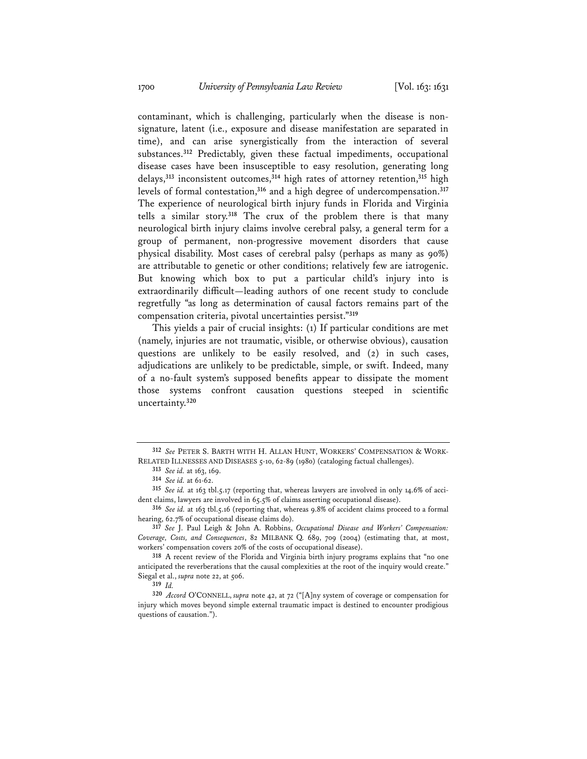contaminant, which is challenging, particularly when the disease is nonsignature, latent (i.e., exposure and disease manifestation are separated in time), and can arise synergistically from the interaction of several substances.**<sup>312</sup>** Predictably, given these factual impediments, occupational disease cases have been insusceptible to easy resolution, generating long delays,**<sup>313</sup>** inconsistent outcomes,**<sup>314</sup>** high rates of attorney retention,**<sup>315</sup>** high levels of formal contestation,**<sup>316</sup>** and a high degree of undercompensation.**<sup>317</sup>** The experience of neurological birth injury funds in Florida and Virginia tells a similar story.**<sup>318</sup>** The crux of the problem there is that many neurological birth injury claims involve cerebral palsy, a general term for a group of permanent, non-progressive movement disorders that cause physical disability. Most cases of cerebral palsy (perhaps as many as 90%) are attributable to genetic or other conditions; relatively few are iatrogenic. But knowing which box to put a particular child's injury into is extraordinarily difficult—leading authors of one recent study to conclude regretfully "as long as determination of causal factors remains part of the compensation criteria, pivotal uncertainties persist."**<sup>319</sup>**

This yields a pair of crucial insights: (1) If particular conditions are met (namely, injuries are not traumatic, visible, or otherwise obvious), causation questions are unlikely to be easily resolved, and (2) in such cases, adjudications are unlikely to be predictable, simple, or swift. Indeed, many of a no-fault system's supposed benefits appear to dissipate the moment those systems confront causation questions steeped in scientific uncertainty.**<sup>320</sup>**

**<sup>312</sup>** *See* PETER S. BARTH WITH H. ALLAN HUNT, WORKERS' COMPENSATION & WORK-RELATED ILLNESSES AND DISEASES 5-10, 62-89 (1980) (cataloging factual challenges).

**<sup>313</sup>** *See id.* at 163, 169.

**<sup>314</sup>** *See id.* at 61-62.

**<sup>315</sup>** *See id.* at 163 tbl.5.17 (reporting that, whereas lawyers are involved in only 14.6% of accident claims, lawyers are involved in 65.5% of claims asserting occupational disease).

**<sup>316</sup>** *See id.* at 163 tbl.5.16 (reporting that, whereas 9.8% of accident claims proceed to a formal hearing, 62.7% of occupational disease claims do).

**<sup>317</sup>** *See* J. Paul Leigh & John A. Robbins, *Occupational Disease and Workers' Compensation: Coverage, Costs, and Consequences*, 82 MILBANK Q. 689, 709 (2004) (estimating that, at most, workers' compensation covers 20% of the costs of occupational disease).

**<sup>318</sup>** A recent review of the Florida and Virginia birth injury programs explains that "no one anticipated the reverberations that the causal complexities at the root of the inquiry would create." Siegal et al., *supra* note 22, at 506.

**<sup>319</sup>** *Id.* 

**<sup>320</sup>** *Accord* O'CONNELL, *supra* note 42, at 72 ("[A]ny system of coverage or compensation for injury which moves beyond simple external traumatic impact is destined to encounter prodigious questions of causation.").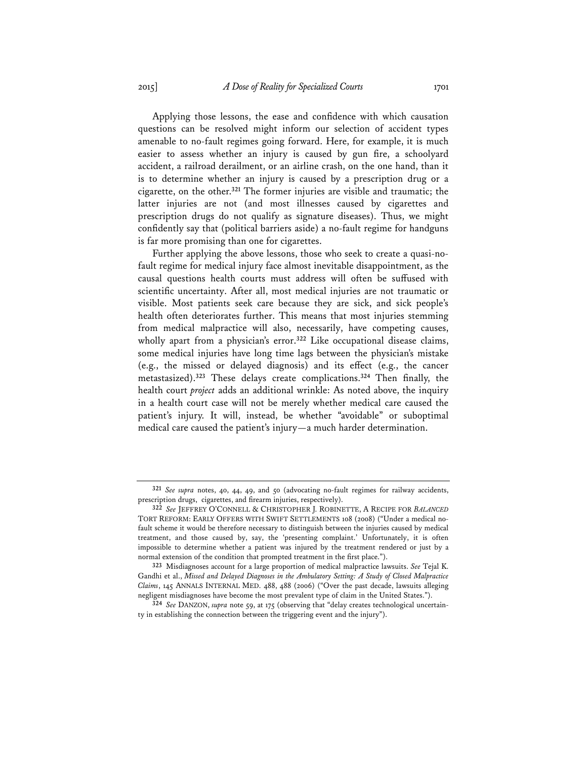Applying those lessons, the ease and confidence with which causation questions can be resolved might inform our selection of accident types amenable to no-fault regimes going forward. Here, for example, it is much easier to assess whether an injury is caused by gun fire, a schoolyard accident, a railroad derailment, or an airline crash, on the one hand, than it is to determine whether an injury is caused by a prescription drug or a cigarette, on the other.**<sup>321</sup>** The former injuries are visible and traumatic; the latter injuries are not (and most illnesses caused by cigarettes and prescription drugs do not qualify as signature diseases). Thus, we might confidently say that (political barriers aside) a no-fault regime for handguns is far more promising than one for cigarettes.

Further applying the above lessons, those who seek to create a quasi-nofault regime for medical injury face almost inevitable disappointment, as the causal questions health courts must address will often be suffused with scientific uncertainty. After all, most medical injuries are not traumatic or visible. Most patients seek care because they are sick, and sick people's health often deteriorates further. This means that most injuries stemming from medical malpractice will also, necessarily, have competing causes, wholly apart from a physician's error.**<sup>322</sup>** Like occupational disease claims, some medical injuries have long time lags between the physician's mistake (e.g., the missed or delayed diagnosis) and its effect (e.g., the cancer metastasized).**<sup>323</sup>** These delays create complications.**<sup>324</sup>** Then finally, the health court *project* adds an additional wrinkle: As noted above, the inquiry in a health court case will not be merely whether medical care caused the patient's injury. It will, instead, be whether "avoidable" or suboptimal medical care caused the patient's injury—a much harder determination.

**<sup>321</sup>** *See supra* notes, 40, 44, 49, and 50 (advocating no-fault regimes for railway accidents, prescription drugs, cigarettes, and firearm injuries, respectively).

**<sup>322</sup>** *See* JEFFREY O'CONNELL & CHRISTOPHER J. ROBINETTE, A RECIPE FOR *BALANCED* TORT REFORM: EARLY OFFERS WITH SWIFT SETTLEMENTS 108 (2008) ("Under a medical nofault scheme it would be therefore necessary to distinguish between the injuries caused by medical treatment, and those caused by, say, the 'presenting complaint.' Unfortunately, it is often impossible to determine whether a patient was injured by the treatment rendered or just by a normal extension of the condition that prompted treatment in the first place.").

**<sup>323</sup>** Misdiagnoses account for a large proportion of medical malpractice lawsuits. *See* Tejal K. Gandhi et al., *Missed and Delayed Diagnoses in the Ambulatory Setting: A Study of Closed Malpractice Claims*, 145 ANNALS INTERNAL MED. 488, 488 (2006) ("Over the past decade, lawsuits alleging negligent misdiagnoses have become the most prevalent type of claim in the United States.").

**<sup>324</sup>** *See* DANZON, *supra* note 59, at 175 (observing that "delay creates technological uncertainty in establishing the connection between the triggering event and the injury").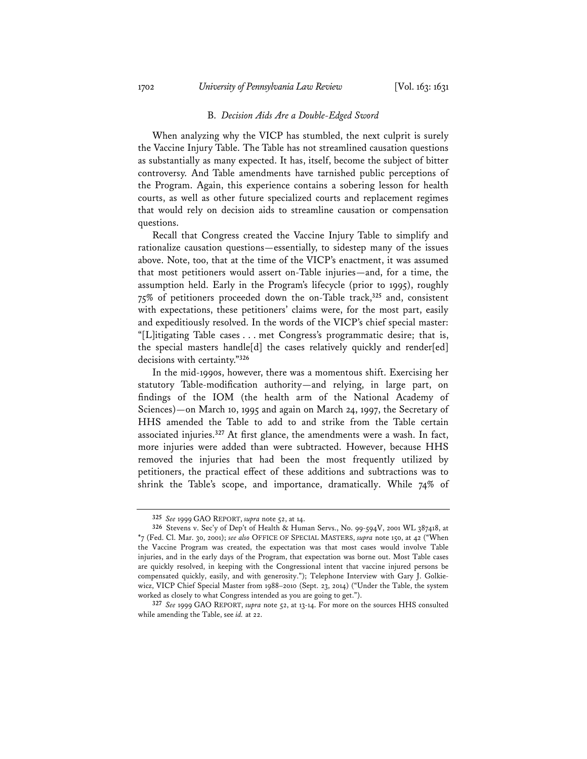#### B. *Decision Aids Are a Double-Edged Sword*

When analyzing why the VICP has stumbled, the next culprit is surely the Vaccine Injury Table. The Table has not streamlined causation questions as substantially as many expected. It has, itself, become the subject of bitter controversy. And Table amendments have tarnished public perceptions of the Program. Again, this experience contains a sobering lesson for health courts, as well as other future specialized courts and replacement regimes that would rely on decision aids to streamline causation or compensation questions.

Recall that Congress created the Vaccine Injury Table to simplify and rationalize causation questions—essentially, to sidestep many of the issues above. Note, too, that at the time of the VICP's enactment, it was assumed that most petitioners would assert on-Table injuries—and, for a time, the assumption held. Early in the Program's lifecycle (prior to 1995), roughly 75% of petitioners proceeded down the on-Table track,**<sup>325</sup>** and, consistent with expectations, these petitioners' claims were, for the most part, easily and expeditiously resolved. In the words of the VICP's chief special master: "[L]itigating Table cases . . . met Congress's programmatic desire; that is, the special masters handle[d] the cases relatively quickly and render[ed] decisions with certainty."**<sup>326</sup>**

In the mid-1990s, however, there was a momentous shift. Exercising her statutory Table-modification authority—and relying, in large part, on findings of the IOM (the health arm of the National Academy of Sciences)—on March 10, 1995 and again on March 24, 1997, the Secretary of HHS amended the Table to add to and strike from the Table certain associated injuries.**<sup>327</sup>** At first glance, the amendments were a wash. In fact, more injuries were added than were subtracted. However, because HHS removed the injuries that had been the most frequently utilized by petitioners, the practical effect of these additions and subtractions was to shrink the Table's scope, and importance, dramatically. While 74% of

**<sup>325</sup>** *See* 1999 GAO REPORT, *supra* note 52, at 14.

**<sup>326</sup>** Stevens v. Sec'y of Dep't of Health & Human Servs., No. 99-594V, 2001 WL 387418, at \*7 (Fed. Cl. Mar. 30, 2001); *see also* OFFICE OF SPECIAL MASTERS, *supra* note 150, at 42 ("When the Vaccine Program was created, the expectation was that most cases would involve Table injuries, and in the early days of the Program, that expectation was borne out. Most Table cases are quickly resolved, in keeping with the Congressional intent that vaccine injured persons be compensated quickly, easily, and with generosity."); Telephone Interview with Gary J. Golkiewicz, VICP Chief Special Master from 1988–2010 (Sept. 23, 2014) ("Under the Table, the system worked as closely to what Congress intended as you are going to get.").

**<sup>327</sup>** *See* 1999 GAO REPORT, *supra* note 52, at 13-14. For more on the sources HHS consulted while amending the Table, see *id.* at 22.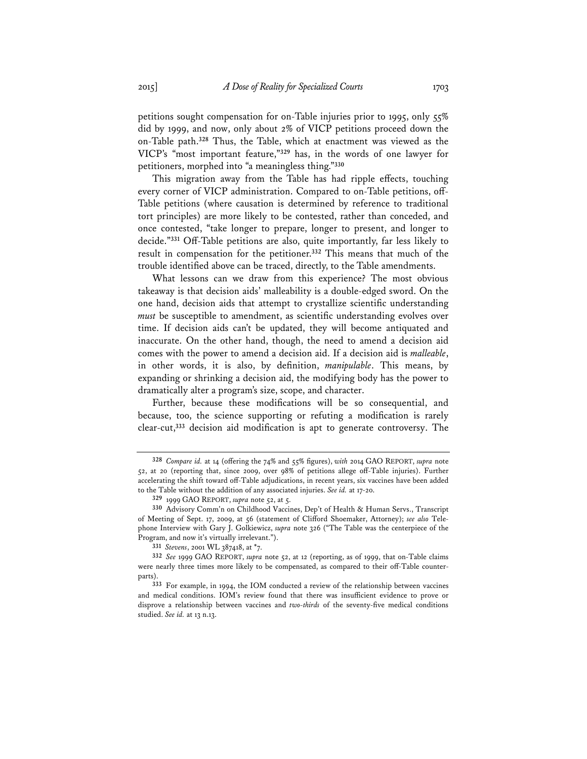petitions sought compensation for on-Table injuries prior to 1995, only 55% did by 1999, and now, only about 2% of VICP petitions proceed down the on-Table path.**<sup>328</sup>** Thus, the Table, which at enactment was viewed as the VICP's "most important feature,"**<sup>329</sup>** has, in the words of one lawyer for petitioners, morphed into "a meaningless thing."**<sup>330</sup>**

This migration away from the Table has had ripple effects, touching every corner of VICP administration. Compared to on-Table petitions, off-Table petitions (where causation is determined by reference to traditional tort principles) are more likely to be contested, rather than conceded, and once contested, "take longer to prepare, longer to present, and longer to decide."**<sup>331</sup>** Off-Table petitions are also, quite importantly, far less likely to result in compensation for the petitioner.**<sup>332</sup>** This means that much of the trouble identified above can be traced, directly, to the Table amendments.

What lessons can we draw from this experience? The most obvious takeaway is that decision aids' malleability is a double-edged sword. On the one hand, decision aids that attempt to crystallize scientific understanding *must* be susceptible to amendment, as scientific understanding evolves over time. If decision aids can't be updated, they will become antiquated and inaccurate. On the other hand, though, the need to amend a decision aid comes with the power to amend a decision aid. If a decision aid is *malleable*, in other words, it is also, by definition, *manipulable*. This means, by expanding or shrinking a decision aid, the modifying body has the power to dramatically alter a program's size, scope, and character.

Further, because these modifications will be so consequential, and because, too, the science supporting or refuting a modification is rarely clear-cut,**<sup>333</sup>** decision aid modification is apt to generate controversy. The

**<sup>328</sup>** *Compare id.* at 14 (offering the 74% and 55% figures), *with* 2014 GAO REPORT, *supra* note 52, at 20 (reporting that, since 2009, over 98% of petitions allege off-Table injuries). Further accelerating the shift toward off-Table adjudications, in recent years, six vaccines have been added to the Table without the addition of any associated injuries. *See id.* at 17-20.

**<sup>329</sup>** 1999 GAO REPORT, *supra* note 52, at 5.

**<sup>330</sup>** Advisory Comm'n on Childhood Vaccines, Dep't of Health & Human Servs., Transcript of Meeting of Sept. 17, 2009, at 56 (statement of Clifford Shoemaker, Attorney); *see also* Telephone Interview with Gary J. Golkiewicz, *supra* note 326 ("The Table was the centerpiece of the Program, and now it's virtually irrelevant.").

**<sup>331</sup>** *Stevens*, 2001 WL 387418, at \*7.

**<sup>332</sup>** *See* 1999 GAO REPORT, *supra* note 52, at 12 (reporting, as of 1999, that on-Table claims were nearly three times more likely to be compensated, as compared to their off-Table counterparts).

**<sup>333</sup>** For example, in 1994, the IOM conducted a review of the relationship between vaccines and medical conditions. IOM's review found that there was insufficient evidence to prove or disprove a relationship between vaccines and *two-thirds* of the seventy-five medical conditions studied. *See id.* at 13 n.13.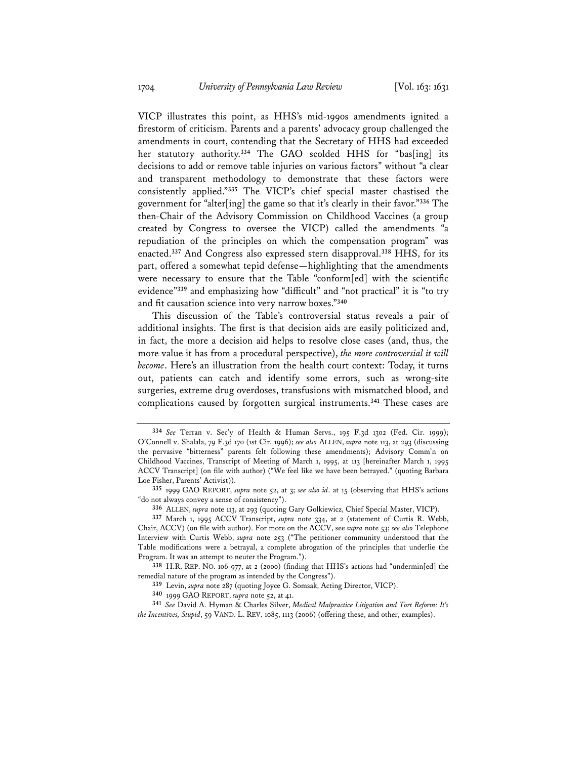VICP illustrates this point, as HHS's mid-1990s amendments ignited a firestorm of criticism. Parents and a parents' advocacy group challenged the amendments in court, contending that the Secretary of HHS had exceeded her statutory authority.**<sup>334</sup>** The GAO scolded HHS for "bas[ing] its decisions to add or remove table injuries on various factors" without "a clear and transparent methodology to demonstrate that these factors were consistently applied."**<sup>335</sup>** The VICP's chief special master chastised the government for "alter[ing] the game so that it's clearly in their favor."**<sup>336</sup>** The then-Chair of the Advisory Commission on Childhood Vaccines (a group created by Congress to oversee the VICP) called the amendments "a repudiation of the principles on which the compensation program" was enacted.**<sup>337</sup>** And Congress also expressed stern disapproval.**<sup>338</sup>** HHS, for its part, offered a somewhat tepid defense—highlighting that the amendments were necessary to ensure that the Table "conform[ed] with the scientific evidence"**<sup>339</sup>** and emphasizing how "difficult" and "not practical" it is "to try and fit causation science into very narrow boxes."**<sup>340</sup>**

This discussion of the Table's controversial status reveals a pair of additional insights. The first is that decision aids are easily politicized and, in fact, the more a decision aid helps to resolve close cases (and, thus, the more value it has from a procedural perspective), *the more controversial it will become*. Here's an illustration from the health court context: Today, it turns out, patients can catch and identify some errors, such as wrong-site surgeries, extreme drug overdoses, transfusions with mismatched blood, and complications caused by forgotten surgical instruments.**<sup>341</sup>** These cases are

**<sup>334</sup>** *See* Terran v. Sec'y of Health & Human Servs., 195 F.3d 1302 (Fed. Cir. 1999); O'Connell v. Shalala, 79 F.3d 170 (1st Cir. 1996); *see also* ALLEN, *supra* note 113, at 293 (discussing the pervasive "bitterness" parents felt following these amendments); Advisory Comm'n on Childhood Vaccines, Transcript of Meeting of March 1, 1995, at 113 [hereinafter March 1, 1995 ACCV Transcript] (on file with author) ("We feel like we have been betrayed." (quoting Barbara Loe Fisher, Parents' Activist)).

**<sup>335</sup>** 1999 GAO REPORT, *supra* note 52, at 3; *see also id*. at 15 (observing that HHS's actions "do not always convey a sense of consistency").

**<sup>336</sup>** ALLEN, *supra* note 113, at 293 (quoting Gary Golkiewicz, Chief Special Master, VICP).

**<sup>337</sup>** March 1, 1995 ACCV Transcript, *supra* note 334, at 2 (statement of Curtis R. Webb, Chair, ACCV) (on file with author). For more on the ACCV, see *supra* note 53; *see also* Telephone Interview with Curtis Webb, *supra* note 253 ("The petitioner community understood that the Table modifications were a betrayal, a complete abrogation of the principles that underlie the Program. It was an attempt to neuter the Program.").

**<sup>338</sup>** H.R. REP. NO. 106-977, at 2 (2000) (finding that HHS's actions had "undermin[ed] the remedial nature of the program as intended by the Congress").

**<sup>339</sup>** Levin, *supra* note 287 (quoting Joyce G. Somsak, Acting Director, VICP).

**<sup>340</sup>** 1999 GAO REPORT, *supra* note 52, at 41.

**<sup>341</sup>** *See* David A. Hyman & Charles Silver, *Medical Malpractice Litigation and Tort Reform: It's the Incentives, Stupid*, 59 VAND. L. REV. 1085, 1113 (2006) (offering these, and other, examples).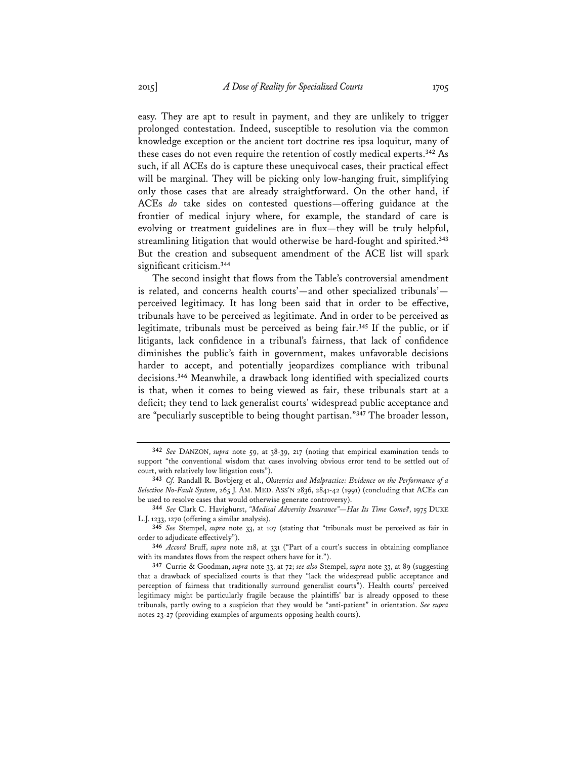easy. They are apt to result in payment, and they are unlikely to trigger prolonged contestation. Indeed, susceptible to resolution via the common knowledge exception or the ancient tort doctrine res ipsa loquitur, many of these cases do not even require the retention of costly medical experts.**<sup>342</sup>** As such, if all ACEs do is capture these unequivocal cases, their practical effect will be marginal. They will be picking only low-hanging fruit, simplifying only those cases that are already straightforward. On the other hand, if ACEs *do* take sides on contested questions—offering guidance at the frontier of medical injury where, for example, the standard of care is evolving or treatment guidelines are in flux—they will be truly helpful, streamlining litigation that would otherwise be hard-fought and spirited.**<sup>343</sup>** But the creation and subsequent amendment of the ACE list will spark significant criticism.**<sup>344</sup>**

The second insight that flows from the Table's controversial amendment is related, and concerns health courts'—and other specialized tribunals' perceived legitimacy. It has long been said that in order to be effective, tribunals have to be perceived as legitimate. And in order to be perceived as legitimate, tribunals must be perceived as being fair.**<sup>345</sup>** If the public, or if litigants, lack confidence in a tribunal's fairness, that lack of confidence diminishes the public's faith in government, makes unfavorable decisions harder to accept, and potentially jeopardizes compliance with tribunal decisions.**<sup>346</sup>** Meanwhile, a drawback long identified with specialized courts is that, when it comes to being viewed as fair, these tribunals start at a deficit; they tend to lack generalist courts' widespread public acceptance and are "peculiarly susceptible to being thought partisan."**<sup>347</sup>** The broader lesson,

**<sup>342</sup>** *See* DANZON, *supra* note 59, at 38-39, 217 (noting that empirical examination tends to support "the conventional wisdom that cases involving obvious error tend to be settled out of court, with relatively low litigation costs").

**<sup>343</sup>** *Cf.* Randall R. Bovbjerg et al., *Obstetrics and Malpractice: Evidence on the Performance of a Selective No-Fault System*, 265 J. AM. MED. ASS'N 2836, 2841-42 (1991) (concluding that ACEs can be used to resolve cases that would otherwise generate controversy).

**<sup>344</sup>** *See* Clark C. Havighurst, *"Medical Adversity Insurance"—Has Its Time Come?*, 1975 DUKE L.J. 1233, 1270 (offering a similar analysis).

**<sup>345</sup>** *See* Stempel, *supra* note 33, at 107 (stating that "tribunals must be perceived as fair in order to adjudicate effectively").

**<sup>346</sup>** *Accord* Bruff, *supra* note 218, at 331 ("Part of a court's success in obtaining compliance with its mandates flows from the respect others have for it.").

**<sup>347</sup>** Currie & Goodman, *supra* note 33, at 72; *see also* Stempel, *supra* note 33, at 89 (suggesting that a drawback of specialized courts is that they "lack the widespread public acceptance and perception of fairness that traditionally surround generalist courts"). Health courts' perceived legitimacy might be particularly fragile because the plaintiffs' bar is already opposed to these tribunals, partly owing to a suspicion that they would be "anti-patient" in orientation. *See supra* notes 23-27 (providing examples of arguments opposing health courts).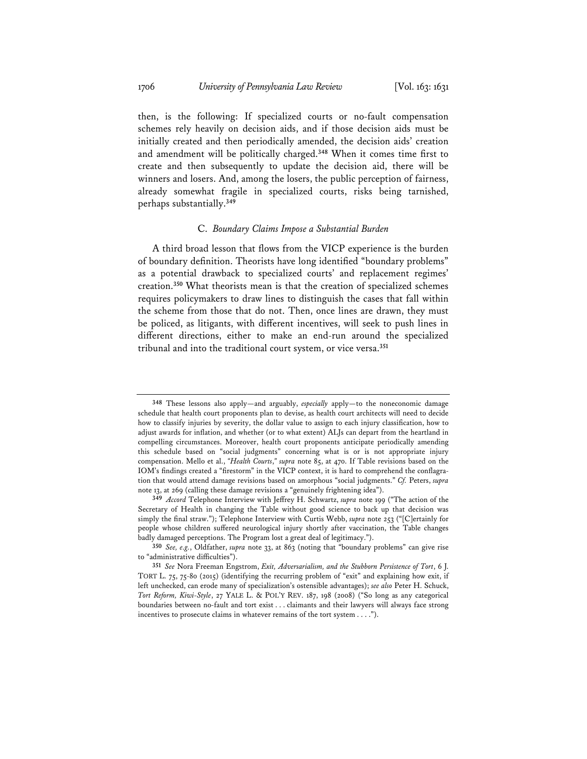then, is the following: If specialized courts or no-fault compensation schemes rely heavily on decision aids, and if those decision aids must be initially created and then periodically amended, the decision aids' creation and amendment will be politically charged.**<sup>348</sup>** When it comes time first to create and then subsequently to update the decision aid, there will be winners and losers. And, among the losers, the public perception of fairness, already somewhat fragile in specialized courts, risks being tarnished, perhaps substantially.**<sup>349</sup>**

## C. *Boundary Claims Impose a Substantial Burden*

A third broad lesson that flows from the VICP experience is the burden of boundary definition. Theorists have long identified "boundary problems" as a potential drawback to specialized courts' and replacement regimes' creation.**<sup>350</sup>** What theorists mean is that the creation of specialized schemes requires policymakers to draw lines to distinguish the cases that fall within the scheme from those that do not. Then, once lines are drawn, they must be policed, as litigants, with different incentives, will seek to push lines in different directions, either to make an end-run around the specialized tribunal and into the traditional court system, or vice versa.**<sup>351</sup>**

**<sup>348</sup>** These lessons also apply—and arguably, *especially* apply—to the noneconomic damage schedule that health court proponents plan to devise, as health court architects will need to decide how to classify injuries by severity, the dollar value to assign to each injury classification, how to adjust awards for inflation, and whether (or to what extent) ALJs can depart from the heartland in compelling circumstances. Moreover, health court proponents anticipate periodically amending this schedule based on "social judgments" concerning what is or is not appropriate injury compensation. Mello et al., *"Health Courts*,*" supra* note 85, at 470. If Table revisions based on the IOM's findings created a "firestorm" in the VICP context, it is hard to comprehend the conflagration that would attend damage revisions based on amorphous "social judgments." *Cf.* Peters, *supra* note 13, at 269 (calling these damage revisions a "genuinely frightening idea").

**<sup>349</sup>** *Accord* Telephone Interview with Jeffrey H. Schwartz, *supra* note 199 ("The action of the Secretary of Health in changing the Table without good science to back up that decision was simply the final straw."); Telephone Interview with Curtis Webb, *supra* note 253 ("[C]ertainly for people whose children suffered neurological injury shortly after vaccination, the Table changes badly damaged perceptions. The Program lost a great deal of legitimacy.").

**<sup>350</sup>** *See, e.g.*, Oldfather, *supra* note 33, at 863 (noting that "boundary problems" can give rise to "administrative difficulties").

**<sup>351</sup>** *See* Nora Freeman Engstrom, *Exit, Adversarialism, and the Stubborn Persistence of Tort*, 6 J. TORT L. 75, 75-80 (2015) (identifying the recurring problem of "exit" and explaining how exit, if left unchecked, can erode many of specialization's ostensible advantages); *see also* Peter H. Schuck, *Tort Reform, Kiwi-Style*, 27 YALE L. & POL'Y REV. 187, 198 (2008) ("So long as any categorical boundaries between no-fault and tort exist . . . claimants and their lawyers will always face strong incentives to prosecute claims in whatever remains of the tort system . . . .").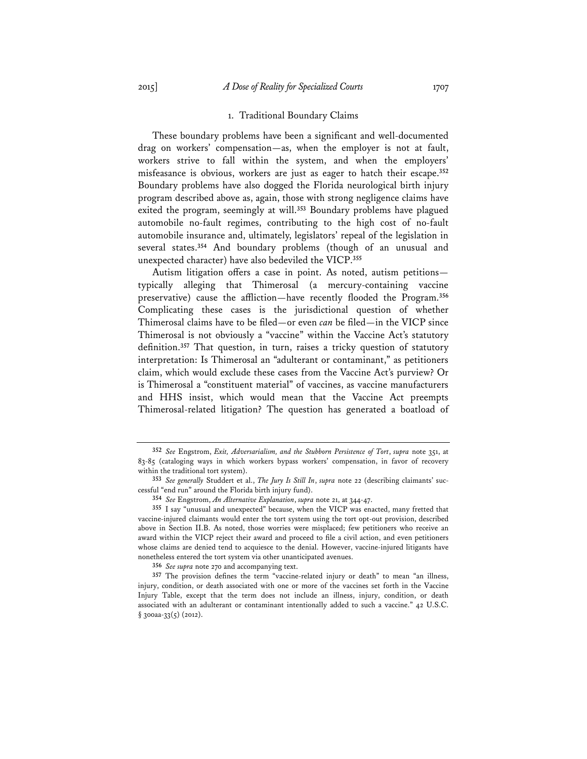#### 1. Traditional Boundary Claims

These boundary problems have been a significant and well-documented drag on workers' compensation—as, when the employer is not at fault, workers strive to fall within the system, and when the employers' misfeasance is obvious, workers are just as eager to hatch their escape.**<sup>352</sup>** Boundary problems have also dogged the Florida neurological birth injury program described above as, again, those with strong negligence claims have exited the program, seemingly at will.**<sup>353</sup>** Boundary problems have plagued automobile no-fault regimes, contributing to the high cost of no-fault automobile insurance and, ultimately, legislators' repeal of the legislation in several states.**<sup>354</sup>** And boundary problems (though of an unusual and unexpected character) have also bedeviled the VICP.**<sup>355</sup>**

Autism litigation offers a case in point. As noted, autism petitions typically alleging that Thimerosal (a mercury-containing vaccine preservative) cause the affliction—have recently flooded the Program.**<sup>356</sup>** Complicating these cases is the jurisdictional question of whether Thimerosal claims have to be filed—or even *can* be filed—in the VICP since Thimerosal is not obviously a "vaccine" within the Vaccine Act's statutory definition.**<sup>357</sup>** That question, in turn, raises a tricky question of statutory interpretation: Is Thimerosal an "adulterant or contaminant," as petitioners claim, which would exclude these cases from the Vaccine Act's purview? Or is Thimerosal a "constituent material" of vaccines, as vaccine manufacturers and HHS insist, which would mean that the Vaccine Act preempts Thimerosal-related litigation? The question has generated a boatload of

**356** *See supra* note 270 and accompanying text.

**<sup>352</sup>** *See* Engstrom, *Exit, Adversarialism, and the Stubborn Persistence of Tort*, *supra* note 351, at 83-85 (cataloging ways in which workers bypass workers' compensation, in favor of recovery within the traditional tort system).

**<sup>353</sup>** *See generally* Studdert et al., *The Jury Is Still In*, *supra* note 22 (describing claimants' successful "end run" around the Florida birth injury fund).

**<sup>354</sup>** *See* Engstrom, *An Alternative Explanation*, *supra* note 21, at 344-47.

**<sup>355</sup>** I say "unusual and unexpected" because, when the VICP was enacted, many fretted that vaccine-injured claimants would enter the tort system using the tort opt-out provision, described above in Section II.B. As noted, those worries were misplaced; few petitioners who receive an award within the VICP reject their award and proceed to file a civil action, and even petitioners whose claims are denied tend to acquiesce to the denial. However, vaccine-injured litigants have nonetheless entered the tort system via other unanticipated avenues.

**<sup>357</sup>** The provision defines the term "vaccine-related injury or death" to mean "an illness, injury, condition, or death associated with one or more of the vaccines set forth in the Vaccine Injury Table, except that the term does not include an illness, injury, condition, or death associated with an adulterant or contaminant intentionally added to such a vaccine." 42 U.S.C.  $§$  300aa-33(5) (2012).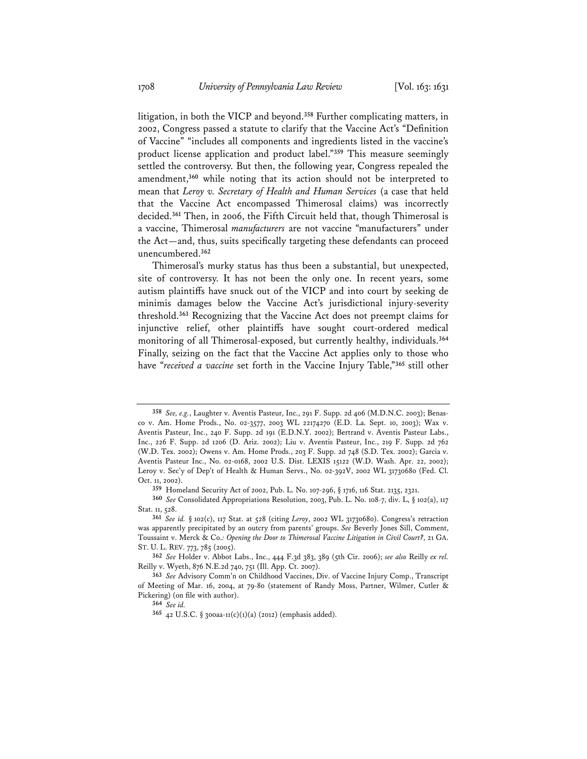litigation, in both the VICP and beyond.**<sup>358</sup>** Further complicating matters, in 2002, Congress passed a statute to clarify that the Vaccine Act's "Definition of Vaccine" "includes all components and ingredients listed in the vaccine's product license application and product label."**<sup>359</sup>** This measure seemingly settled the controversy. But then, the following year, Congress repealed the amendment,**<sup>360</sup>** while noting that its action should not be interpreted to mean that *Leroy v. Secretary of Health and Human Services* (a case that held that the Vaccine Act encompassed Thimerosal claims) was incorrectly decided.**<sup>361</sup>** Then, in 2006, the Fifth Circuit held that, though Thimerosal is a vaccine, Thimerosal *manufacturers* are not vaccine "manufacturers" under the Act—and, thus, suits specifically targeting these defendants can proceed unencumbered.**<sup>362</sup>**

Thimerosal's murky status has thus been a substantial, but unexpected, site of controversy. It has not been the only one. In recent years, some autism plaintiffs have snuck out of the VICP and into court by seeking de minimis damages below the Vaccine Act's jurisdictional injury-severity threshold.**<sup>363</sup>** Recognizing that the Vaccine Act does not preempt claims for injunctive relief, other plaintiffs have sought court-ordered medical monitoring of all Thimerosal-exposed, but currently healthy, individuals.**<sup>364</sup>** Finally, seizing on the fact that the Vaccine Act applies only to those who have "*received a vaccine* set forth in the Vaccine Injury Table,"**<sup>365</sup>** still other

**<sup>358</sup>** *See, e.g.*, Laughter v. Aventis Pasteur, Inc., 291 F. Supp. 2d 406 (M.D.N.C. 2003); Benasco v. Am. Home Prods., No. 02-3577, 2003 WL 22174270 (E.D. La. Sept. 10, 2003); Wax v. Aventis Pasteur, Inc., 240 F. Supp. 2d 191 (E.D.N.Y. 2002); Bertrand v. Aventis Pasteur Labs., Inc., 226 F. Supp. 2d 1206 (D. Ariz. 2002); Liu v. Aventis Pasteur, Inc., 219 F. Supp. 2d 762 (W.D. Tex. 2002); Owens v. Am. Home Prods., 203 F. Supp. 2d 748 (S.D. Tex. 2002); Garcia v. Aventis Pasteur Inc., No. 02-0168, 2002 U.S. Dist. LEXIS 15122 (W.D. Wash. Apr. 22, 2002); Leroy v. Sec'y of Dep't of Health & Human Servs., No. 02-392V, 2002 WL 31730680 (Fed. Cl. Oct. 11, 2002).

**<sup>359</sup>** Homeland Security Act of 2002, Pub. L. No. 107-296, § 1716, 116 Stat. 2135, 2321.

**<sup>360</sup>** *See* Consolidated Appropriations Resolution, 2003, Pub. L. No. 108-7, div. L, § 102(a), 117 Stat. 11, 528.

**<sup>361</sup>** *See id.* § 102(c), 117 Stat. at 528 (citing *Leroy*, 2002 WL 31730680). Congress's retraction was apparently precipitated by an outcry from parents' groups. *See* Beverly Jones Sill, Comment, Toussaint v. Merck & Co.*: Opening the Door to Thimerosal Vaccine Litigation in Civil Court?*, 21 GA. ST. U. L. REV. 773, 785 (2005).

**<sup>362</sup>** *See* Holder v. Abbot Labs., Inc., 444 F.3d 383, 389 (5th Cir. 2006); *see also* Reilly *ex rel.* Reilly v. Wyeth, 876 N.E.2d 740, 751 (Ill. App. Ct. 2007).

**<sup>363</sup>** *See* Advisory Comm'n on Childhood Vaccines, Div. of Vaccine Injury Comp., Transcript of Meeting of Mar. 16, 2004, at 79-80 (statement of Randy Moss, Partner, Wilmer, Cutler & Pickering) (on file with author).

**<sup>364</sup>** *See id.*

**<sup>365</sup>** 42 U.S.C. § 300aa-11(c)(1)(a) (2012) (emphasis added).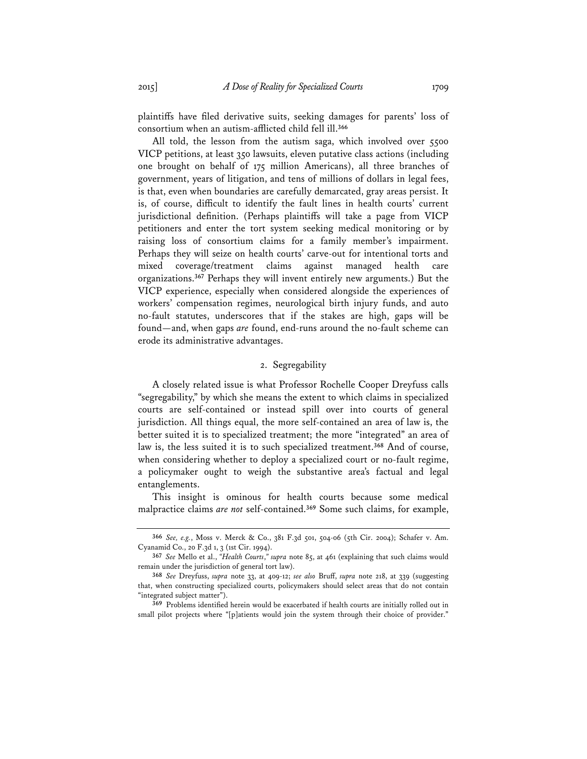plaintiffs have filed derivative suits, seeking damages for parents' loss of consortium when an autism-afflicted child fell ill.**<sup>366</sup>**

All told, the lesson from the autism saga, which involved over 5500 VICP petitions, at least 350 lawsuits, eleven putative class actions (including one brought on behalf of 175 million Americans), all three branches of government, years of litigation, and tens of millions of dollars in legal fees, is that, even when boundaries are carefully demarcated, gray areas persist. It is, of course, difficult to identify the fault lines in health courts' current jurisdictional definition. (Perhaps plaintiffs will take a page from VICP petitioners and enter the tort system seeking medical monitoring or by raising loss of consortium claims for a family member's impairment. Perhaps they will seize on health courts' carve-out for intentional torts and mixed coverage/treatment claims against managed health care organizations.**<sup>367</sup>** Perhaps they will invent entirely new arguments.) But the VICP experience, especially when considered alongside the experiences of workers' compensation regimes, neurological birth injury funds, and auto no-fault statutes, underscores that if the stakes are high, gaps will be found—and, when gaps *are* found, end-runs around the no-fault scheme can erode its administrative advantages.

# 2. Segregability

A closely related issue is what Professor Rochelle Cooper Dreyfuss calls "segregability," by which she means the extent to which claims in specialized courts are self-contained or instead spill over into courts of general jurisdiction. All things equal, the more self-contained an area of law is, the better suited it is to specialized treatment; the more "integrated" an area of law is, the less suited it is to such specialized treatment.**<sup>368</sup>** And of course, when considering whether to deploy a specialized court or no-fault regime, a policymaker ought to weigh the substantive area's factual and legal entanglements.

This insight is ominous for health courts because some medical malpractice claims *are not* self-contained.**<sup>369</sup>** Some such claims, for example,

**<sup>366</sup>** *See, e.g.*, Moss v. Merck & Co., 381 F.3d 501, 504-06 (5th Cir. 2004); Schafer v. Am. Cyanamid Co., 20 F.3d 1, 3 (1st Cir. 1994).

**<sup>367</sup>** *See* Mello et al., *"Health Courts*,*" supra* note 85, at 461 (explaining that such claims would remain under the jurisdiction of general tort law).

**<sup>368</sup>** *See* Dreyfuss, *supra* note 33, at 409-12; *see also* Bruff, *supra* note 218, at 339 (suggesting that, when constructing specialized courts, policymakers should select areas that do not contain "integrated subject matter").

**<sup>369</sup>** Problems identified herein would be exacerbated if health courts are initially rolled out in small pilot projects where "[p]atients would join the system through their choice of provider."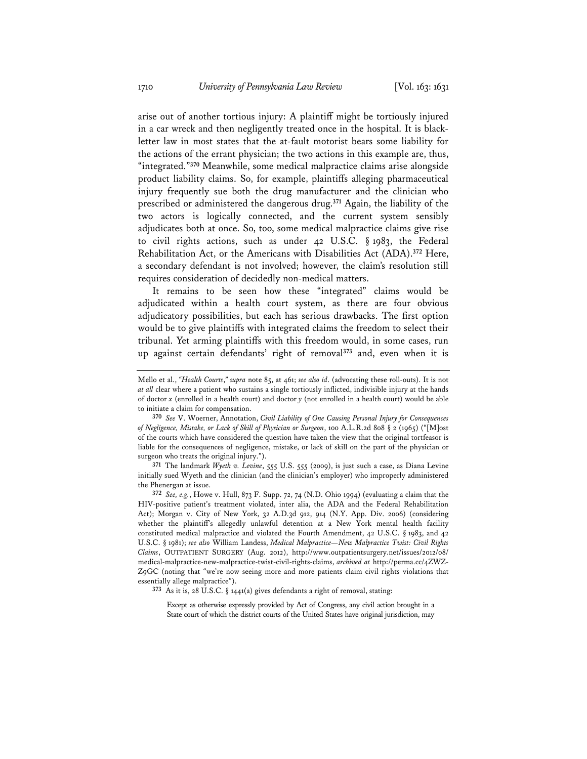arise out of another tortious injury: A plaintiff might be tortiously injured in a car wreck and then negligently treated once in the hospital. It is blackletter law in most states that the at-fault motorist bears some liability for the actions of the errant physician; the two actions in this example are, thus, "integrated."**<sup>370</sup>** Meanwhile, some medical malpractice claims arise alongside product liability claims. So, for example, plaintiffs alleging pharmaceutical injury frequently sue both the drug manufacturer and the clinician who prescribed or administered the dangerous drug.**<sup>371</sup>** Again, the liability of the two actors is logically connected, and the current system sensibly adjudicates both at once. So, too, some medical malpractice claims give rise to civil rights actions, such as under 42 U.S.C. § 1983, the Federal Rehabilitation Act, or the Americans with Disabilities Act (ADA).**<sup>372</sup>** Here, a secondary defendant is not involved; however, the claim's resolution still requires consideration of decidedly non-medical matters.

It remains to be seen how these "integrated" claims would be adjudicated within a health court system, as there are four obvious adjudicatory possibilities, but each has serious drawbacks. The first option would be to give plaintiffs with integrated claims the freedom to select their tribunal. Yet arming plaintiffs with this freedom would, in some cases, run up against certain defendants' right of removal**<sup>373</sup>** and, even when it is

**371** The landmark *Wyeth v. Levine*, 555 U.S. 555 (2009), is just such a case, as Diana Levine initially sued Wyeth and the clinician (and the clinician's employer) who improperly administered the Phenergan at issue.

**372** *See, e.g.*, Howe v. Hull, 873 F. Supp. 72, 74 (N.D. Ohio 1994) (evaluating a claim that the HIV-positive patient's treatment violated, inter alia, the ADA and the Federal Rehabilitation Act); Morgan v. City of New York, 32 A.D.3d 912, 914 (N.Y. App. Div. 2006) (considering whether the plaintiff's allegedly unlawful detention at a New York mental health facility constituted medical malpractice and violated the Fourth Amendment, 42 U.S.C. § 1983, and 42 U.S.C. § 1981); *see also* William Landess, *Medical Malpractice—New Malpractice Twist: Civil Rights Claims*, OUTPATIENT SURGERY (Aug. 2012), http://www.outpatientsurgery.net/issues/2012/08/ medical-malpractice-new-malpractice-twist-civil-rights-claims, *archived at* http://perma.cc/4ZWZ-Z9GC (noting that "we're now seeing more and more patients claim civil rights violations that essentially allege malpractice").

**373** As it is, 28 U.S.C. § 1441(a) gives defendants a right of removal, stating:

Except as otherwise expressly provided by Act of Congress, any civil action brought in a State court of which the district courts of the United States have original jurisdiction, may

Mello et al., *"Health Courts*,*" supra* note 85, at 461; *see also id*. (advocating these roll-outs). It is not *at all* clear where a patient who sustains a single tortiously inflicted, indivisible injury at the hands of doctor *x* (enrolled in a health court) and doctor *y* (not enrolled in a health court) would be able to initiate a claim for compensation.

**<sup>370</sup>** *See* V. Woerner, Annotation, *Civil Liability of One Causing Personal Injury for Consequences of Negligence, Mistake, or Lack of Skill of Physician or Surgeon*, 100 A.L.R.2d 808 § 2 (1965) ("[M]ost of the courts which have considered the question have taken the view that the original tortfeasor is liable for the consequences of negligence, mistake, or lack of skill on the part of the physician or surgeon who treats the original injury.").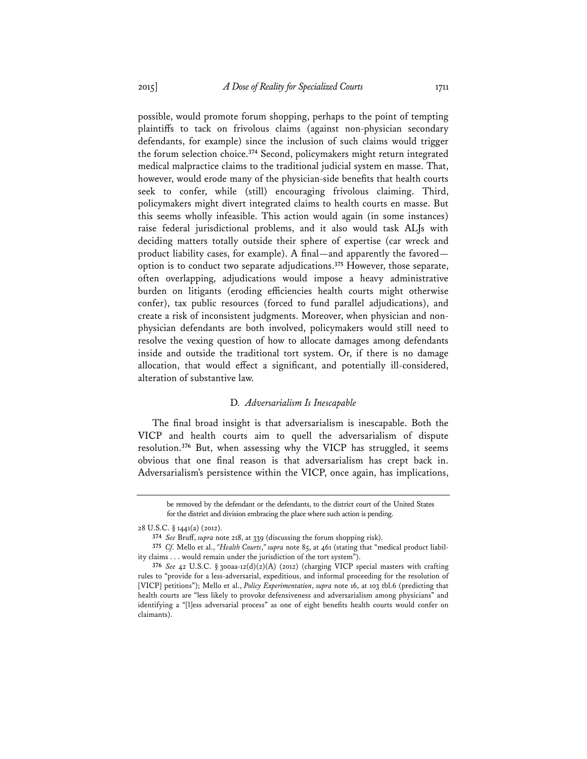possible, would promote forum shopping, perhaps to the point of tempting plaintiffs to tack on frivolous claims (against non-physician secondary defendants, for example) since the inclusion of such claims would trigger the forum selection choice.**<sup>374</sup>** Second, policymakers might return integrated medical malpractice claims to the traditional judicial system en masse. That, however, would erode many of the physician-side benefits that health courts seek to confer, while (still) encouraging frivolous claiming. Third, policymakers might divert integrated claims to health courts en masse. But this seems wholly infeasible. This action would again (in some instances) raise federal jurisdictional problems, and it also would task ALJs with deciding matters totally outside their sphere of expertise (car wreck and product liability cases, for example). A final—and apparently the favored option is to conduct two separate adjudications.**<sup>375</sup>** However, those separate, often overlapping, adjudications would impose a heavy administrative burden on litigants (eroding efficiencies health courts might otherwise confer), tax public resources (forced to fund parallel adjudications), and create a risk of inconsistent judgments. Moreover, when physician and nonphysician defendants are both involved, policymakers would still need to resolve the vexing question of how to allocate damages among defendants inside and outside the traditional tort system. Or, if there is no damage allocation, that would effect a significant, and potentially ill-considered, alteration of substantive law.

### D. *Adversarialism Is Inescapable*

The final broad insight is that adversarialism is inescapable. Both the VICP and health courts aim to quell the adversarialism of dispute resolution.**<sup>376</sup>** But, when assessing why the VICP has struggled, it seems obvious that one final reason is that adversarialism has crept back in. Adversarialism's persistence within the VICP, once again, has implications,

be removed by the defendant or the defendants, to the district court of the United States for the district and division embracing the place where such action is pending.

<sup>28</sup> U.S.C. § 1441(a) (2012).

**<sup>374</sup>** *See* Bruff, *supra* note 218, at 339 (discussing the forum shopping risk).

**<sup>375</sup>** *Cf.* Mello et al., *"Health Courts*,*" supra* note 85, at 461 (stating that "medical product liability claims . . . would remain under the jurisdiction of the tort system").

**<sup>376</sup>** *See* 42 U.S.C. § 300aa-12(d)(2)(A) (2012) (charging VICP special masters with crafting rules to "provide for a less-adversarial, expeditious, and informal proceeding for the resolution of [VICP] petitions"); Mello et al., *Policy Experimentation*, *supra* note 16, at 103 tbl.6 (predicting that health courts are "less likely to provoke defensiveness and adversarialism among physicians" and identifying a "[l]ess adversarial process" as one of eight benefits health courts would confer on claimants).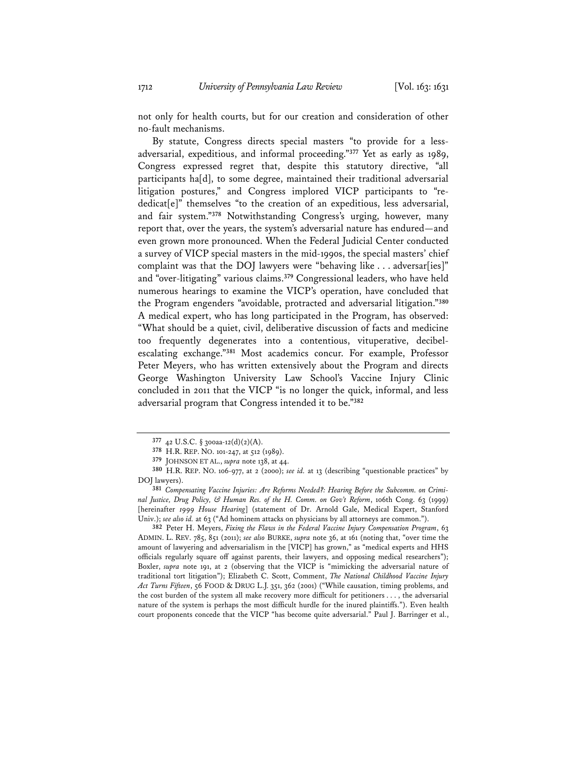not only for health courts, but for our creation and consideration of other no-fault mechanisms.

By statute, Congress directs special masters "to provide for a lessadversarial, expeditious, and informal proceeding."**<sup>377</sup>** Yet as early as 1989, Congress expressed regret that, despite this statutory directive, "all participants ha[d], to some degree, maintained their traditional adversarial litigation postures," and Congress implored VICP participants to "rededicat[e]" themselves "to the creation of an expeditious, less adversarial, and fair system."**<sup>378</sup>** Notwithstanding Congress's urging, however, many report that, over the years, the system's adversarial nature has endured—and even grown more pronounced. When the Federal Judicial Center conducted a survey of VICP special masters in the mid-1990s, the special masters' chief complaint was that the DOJ lawyers were "behaving like . . . adversar[ies]" and "over-litigating" various claims.**<sup>379</sup>** Congressional leaders, who have held numerous hearings to examine the VICP's operation, have concluded that the Program engenders "avoidable, protracted and adversarial litigation."**<sup>380</sup>** A medical expert, who has long participated in the Program, has observed: "What should be a quiet, civil, deliberative discussion of facts and medicine too frequently degenerates into a contentious, vituperative, decibelescalating exchange."**<sup>381</sup>** Most academics concur. For example, Professor Peter Meyers, who has written extensively about the Program and directs George Washington University Law School's Vaccine Injury Clinic concluded in 2011 that the VICP "is no longer the quick, informal, and less adversarial program that Congress intended it to be."**<sup>382</sup>**

**382** Peter H. Meyers, *Fixing the Flaws in the Federal Vaccine Injury Compensation Program*, 63 ADMIN. L. REV. 785, 851 (2011); *see also* BURKE, *supra* note 36, at 161 (noting that, "over time the amount of lawyering and adversarialism in the [VICP] has grown," as "medical experts and HHS officials regularly square off against parents, their lawyers, and opposing medical researchers"); Boxler, *supra* note 191, at 2 (observing that the VICP is "mimicking the adversarial nature of traditional tort litigation"); Elizabeth C. Scott, Comment, *The National Childhood Vaccine Injury Act Turns Fifteen*, 56 FOOD & DRUG L.J. 351, 362 (2001) ("While causation, timing problems, and the cost burden of the system all make recovery more difficult for petitioners . . . , the adversarial nature of the system is perhaps the most difficult hurdle for the inured plaintiffs."). Even health court proponents concede that the VICP "has become quite adversarial." Paul J. Barringer et al.,

**<sup>377</sup>** 42 U.S.C. § 300aa-12(d)(2)(A).

**<sup>378</sup>** H.R. REP. NO. 101-247, at 512 (1989).

**<sup>379</sup>** JOHNSON ET AL., *supra* note 138, at 44.

**<sup>380</sup>** H.R. REP. NO. 106-977, at 2 (2000); *see id.* at 13 (describing "questionable practices" by DOJ lawyers).

**<sup>381</sup>** *Compensating Vaccine Injuries: Are Reforms Needed?: Hearing Before the Subcomm. on Criminal Justice, Drug Policy, & Human Res. of the H. Comm. on Gov't Reform*, 106th Cong. 63 (1999) [hereinafter *1999 House Hearing*] (statement of Dr. Arnold Gale, Medical Expert, Stanford Univ.); *see also id.* at 63 ("Ad hominem attacks on physicians by all attorneys are common.").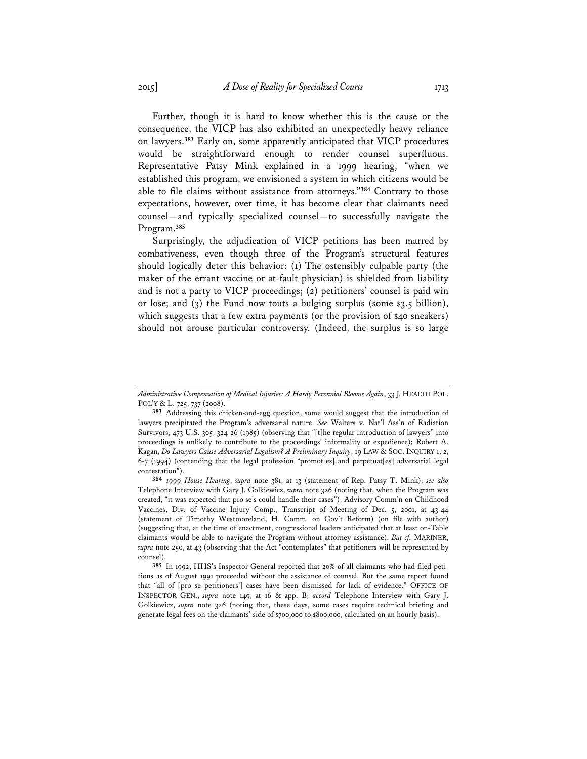Further, though it is hard to know whether this is the cause or the consequence, the VICP has also exhibited an unexpectedly heavy reliance on lawyers.**<sup>383</sup>** Early on, some apparently anticipated that VICP procedures would be straightforward enough to render counsel superfluous. Representative Patsy Mink explained in a 1999 hearing, "when we established this program, we envisioned a system in which citizens would be able to file claims without assistance from attorneys."**<sup>384</sup>** Contrary to those expectations, however, over time, it has become clear that claimants need counsel—and typically specialized counsel—to successfully navigate the Program.**<sup>385</sup>**

Surprisingly, the adjudication of VICP petitions has been marred by combativeness, even though three of the Program's structural features should logically deter this behavior: (1) The ostensibly culpable party (the maker of the errant vaccine or at-fault physician) is shielded from liability and is not a party to VICP proceedings; (2) petitioners' counsel is paid win or lose; and  $(3)$  the Fund now touts a bulging surplus (some  $\frac{1}{3}$ ,  $\frac{1}{5}$  billion), which suggests that a few extra payments (or the provision of \$40 sneakers) should not arouse particular controversy. (Indeed, the surplus is so large

*Administrative Compensation of Medical Injuries: A Hardy Perennial Blooms Again*, 33 J. HEALTH POL. POL'Y & L. 725, 737 (2008).

**<sup>383</sup>** Addressing this chicken-and-egg question, some would suggest that the introduction of lawyers precipitated the Program's adversarial nature. *See* Walters v. Nat'l Ass'n of Radiation Survivors, 473 U.S. 305, 324-26 (1985) (observing that "[t]he regular introduction of lawyers" into proceedings is unlikely to contribute to the proceedings' informality or expedience); Robert A. Kagan, *Do Lawyers Cause Adversarial Legalism? A Preliminary Inquiry*, 19 LAW & SOC. INQUIRY 1, 2, 6-7 (1994) (contending that the legal profession "promot[es] and perpetuat[es] adversarial legal contestation").

**<sup>384</sup>** *1999 House Hearing*, *supra* note 381, at 13 (statement of Rep. Patsy T. Mink); *see also* Telephone Interview with Gary J. Golkiewicz, *supra* note 326 (noting that, when the Program was created, "it was expected that pro se's could handle their cases"); Advisory Comm'n on Childhood Vaccines, Div. of Vaccine Injury Comp., Transcript of Meeting of Dec. 5, 2001, at 43-44 (statement of Timothy Westmoreland, H. Comm. on Gov't Reform) (on file with author) (suggesting that, at the time of enactment, congressional leaders anticipated that at least on-Table claimants would be able to navigate the Program without attorney assistance). *But cf.* MARINER, *supra* note 250, at 43 (observing that the Act "contemplates" that petitioners will be represented by counsel).

**<sup>385</sup>** In 1992, HHS's Inspector General reported that 20% of all claimants who had filed petitions as of August 1991 proceeded without the assistance of counsel. But the same report found that "all of [pro se petitioners'] cases have been dismissed for lack of evidence." OFFICE OF INSPECTOR GEN., *supra* note 149, at 16 & app. B; *accord* Telephone Interview with Gary J. Golkiewicz, *supra* note 326 (noting that, these days, some cases require technical briefing and generate legal fees on the claimants' side of \$700,000 to \$800,000, calculated on an hourly basis).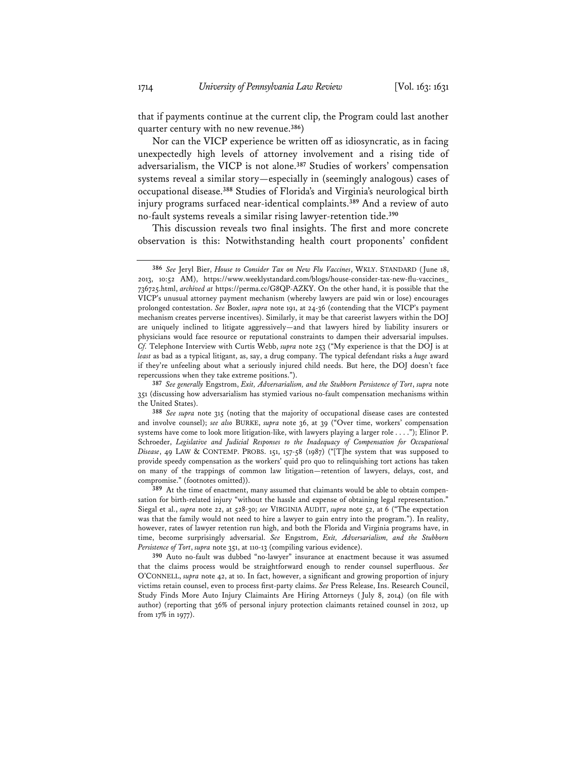that if payments continue at the current clip, the Program could last another quarter century with no new revenue.**<sup>386</sup>**)

Nor can the VICP experience be written off as idiosyncratic, as in facing unexpectedly high levels of attorney involvement and a rising tide of adversarialism, the VICP is not alone.**<sup>387</sup>** Studies of workers' compensation systems reveal a similar story—especially in (seemingly analogous) cases of occupational disease.**<sup>388</sup>** Studies of Florida's and Virginia's neurological birth injury programs surfaced near-identical complaints.**<sup>389</sup>** And a review of auto no-fault systems reveals a similar rising lawyer-retention tide.**<sup>390</sup>**

This discussion reveals two final insights. The first and more concrete observation is this: Notwithstanding health court proponents' confident

**<sup>386</sup>** *See* Jeryl Bier, *House to Consider Tax on New Flu Vaccines*, WKLY. STANDARD (June 18, 2013, 10:52 AM), https://www.weeklystandard.com/blogs/house-consider-tax-new-flu-vaccines\_ 736725.html, *archived at* https://perma.cc/G8QP-AZKY. On the other hand, it is possible that the VICP's unusual attorney payment mechanism (whereby lawyers are paid win or lose) encourages prolonged contestation. *See* Boxler, *supra* note 191, at 24-36 (contending that the VICP's payment mechanism creates perverse incentives). Similarly, it may be that careerist lawyers within the DOJ are uniquely inclined to litigate aggressively—and that lawyers hired by liability insurers or physicians would face resource or reputational constraints to dampen their adversarial impulses. *Cf.* Telephone Interview with Curtis Webb, *supra* note 253 ("My experience is that the DOJ is at *least* as bad as a typical litigant, as, say, a drug company. The typical defendant risks a *huge* award if they're unfeeling about what a seriously injured child needs. But here, the DOJ doesn't face repercussions when they take extreme positions.").

**<sup>387</sup>** *See generally* Engstrom, *Exit, Adversarialism, and the Stubborn Persistence of Tort*, *supra* note 351 (discussing how adversarialism has stymied various no-fault compensation mechanisms within the United States).

**<sup>388</sup>** *See supra* note 315 (noting that the majority of occupational disease cases are contested and involve counsel); *see also* BURKE, *supra* note 36, at 39 ("Over time, workers' compensation systems have come to look more litigation-like, with lawyers playing a larger role . . . ."); Elinor P. Schroeder, *Legislative and Judicial Responses to the Inadequacy of Compensation for Occupational Disease*, 49 LAW & CONTEMP. PROBS. 151, 157-58 (1987) ("[T]he system that was supposed to provide speedy compensation as the workers' quid pro quo to relinquishing tort actions has taken on many of the trappings of common law litigation—retention of lawyers, delays, cost, and compromise." (footnotes omitted)).

**<sup>389</sup>** At the time of enactment, many assumed that claimants would be able to obtain compensation for birth-related injury "without the hassle and expense of obtaining legal representation." Siegal et al., *supra* note 22, at 528-30; *see* VIRGINIA AUDIT, *supra* note 52, at 6 ("The expectation was that the family would not need to hire a lawyer to gain entry into the program."). In reality, however, rates of lawyer retention run high, and both the Florida and Virginia programs have, in time, become surprisingly adversarial. *See* Engstrom, *Exit, Adversarialism, and the Stubborn Persistence of Tort*, *supra* note 351, at 110-13 (compiling various evidence).

**<sup>390</sup>** Auto no-fault was dubbed "no-lawyer" insurance at enactment because it was assumed that the claims process would be straightforward enough to render counsel superfluous. *See* O'CONNELL, *supra* note 42, at 10. In fact, however, a significant and growing proportion of injury victims retain counsel, even to process first-party claims. *See* Press Release, Ins. Research Council, Study Finds More Auto Injury Claimaints Are Hiring Attorneys ( July 8, 2014) (on file with author) (reporting that 36% of personal injury protection claimants retained counsel in 2012, up from 17% in 1977).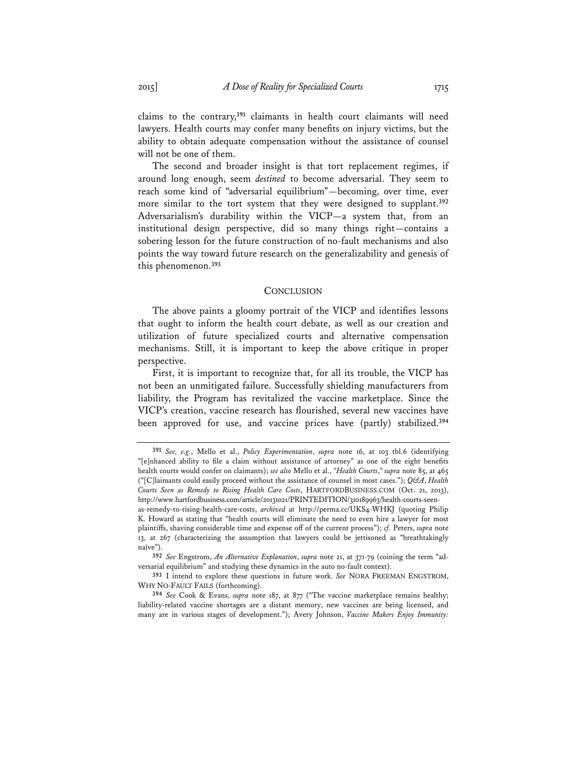claims to the contrary,**<sup>391</sup>** claimants in health court claimants will need lawyers. Health courts may confer many benefits on injury victims, but the ability to obtain adequate compensation without the assistance of counsel will not be one of them.

The second and broader insight is that tort replacement regimes, if around long enough, seem *destined* to become adversarial. They seem to reach some kind of "adversarial equilibrium"—becoming, over time, ever more similar to the tort system that they were designed to supplant.**<sup>392</sup>** Adversarialism's durability within the VICP—a system that, from an institutional design perspective, did so many things right—contains a sobering lesson for the future construction of no-fault mechanisms and also points the way toward future research on the generalizability and genesis of this phenomenon.**<sup>393</sup>**

### **CONCLUSION**

The above paints a gloomy portrait of the VICP and identifies lessons that ought to inform the health court debate, as well as our creation and utilization of future specialized courts and alternative compensation mechanisms. Still, it is important to keep the above critique in proper perspective.

First, it is important to recognize that, for all its trouble, the VICP has not been an unmitigated failure. Successfully shielding manufacturers from liability, the Program has revitalized the vaccine marketplace. Since the VICP's creation, vaccine research has flourished, several new vaccines have been approved for use, and vaccine prices have (partly) stabilized.**<sup>394</sup>**

**<sup>391</sup>** *See, e.g.*, Mello et al., *Policy Experimentation*, *supra* note 16, at 103 tbl.6 (identifying "[e]nhanced ability to file a claim without assistance of attorney" as one of the eight benefits health courts would confer on claimants); *see also* Mello et al., *"Health Courts*,*" supra* note 85, at 465 ("[C]laimants could easily proceed without the assistance of counsel in most cases."); *Q&A*, *Health Courts Seen as Remedy to Rising Health Care Costs*, HARTFORDBUSINESS.COM (Oct. 21, 2013), http://www.hartfordbusiness.com/article/20131021/PRINTEDITION/310189963/health-courts-seen-

as-remedy-to-rising-health-care-costs, *archived at* http://perma.cc/UKS4-WHKJ (quoting Philip K. Howard as stating that "health courts will eliminate the need to even hire a lawyer for most plaintiffs, shaving considerable time and expense off of the current process"); *cf.* Peters, *supra* note 13, at 267 (characterizing the assumption that lawyers could be jettisoned as "breathtakingly naïve").

**<sup>392</sup>** *See* Engstrom, *An Alternative Explanation*, *supra* note 21, at 371-79 (coining the term "adversarial equilibrium" and studying these dynamics in the auto no-fault context).

**<sup>393</sup>** I intend to explore these questions in future work. *See* NORA FREEMAN ENGSTROM, WHY NO-FAULT FAILS (forthcoming).

**<sup>394</sup>** *See* Cook & Evans, *supra* note 187, at 877 ("The vaccine marketplace remains healthy; liability-related vaccine shortages are a distant memory, new vaccines are being licensed, and many are in various stages of development."); Avery Johnson, *Vaccine Makers Enjoy Immunity:*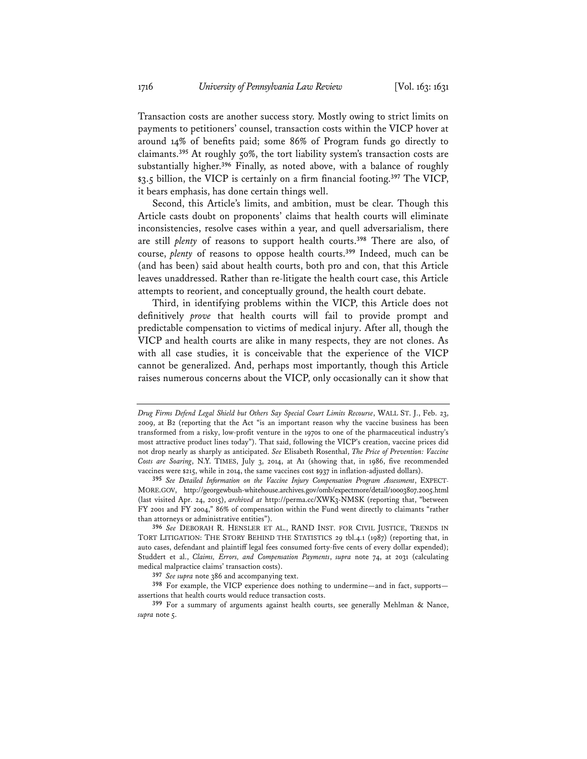Transaction costs are another success story. Mostly owing to strict limits on payments to petitioners' counsel, transaction costs within the VICP hover at around 14% of benefits paid; some 86% of Program funds go directly to claimants.**<sup>395</sup>** At roughly 50%, the tort liability system's transaction costs are substantially higher.**<sup>396</sup>** Finally, as noted above, with a balance of roughly \$3.5 billion, the VICP is certainly on a firm financial footing.**<sup>397</sup>** The VICP, it bears emphasis, has done certain things well.

Second, this Article's limits, and ambition, must be clear. Though this Article casts doubt on proponents' claims that health courts will eliminate inconsistencies, resolve cases within a year, and quell adversarialism, there are still *plenty* of reasons to support health courts.**<sup>398</sup>** There are also, of course, *plenty* of reasons to oppose health courts.**<sup>399</sup>** Indeed, much can be (and has been) said about health courts, both pro and con, that this Article leaves unaddressed. Rather than re-litigate the health court case, this Article attempts to reorient, and conceptually ground, the health court debate.

Third, in identifying problems within the VICP, this Article does not definitively *prove* that health courts will fail to provide prompt and predictable compensation to victims of medical injury. After all, though the VICP and health courts are alike in many respects, they are not clones. As with all case studies, it is conceivable that the experience of the VICP cannot be generalized. And, perhaps most importantly, though this Article raises numerous concerns about the VICP, only occasionally can it show that

*Drug Firms Defend Legal Shield but Others Say Special Court Limits Recourse*, WALL ST. J., Feb. 23, 2009, at B2 (reporting that the Act "is an important reason why the vaccine business has been transformed from a risky, low-profit venture in the 1970s to one of the pharmaceutical industry's most attractive product lines today"). That said, following the VICP's creation, vaccine prices did not drop nearly as sharply as anticipated. *See* Elisabeth Rosenthal, *The Price of Prevention: Vaccine Costs are Soaring*, N.Y. TIMES, July 3, 2014, at A1 (showing that, in 1986, five recommended vaccines were \$215, while in 2014, the same vaccines cost \$937 in inflation-adjusted dollars).

**<sup>395</sup>** *See Detailed Information on the Vaccine Injury Compensation Program Assessment*, EXPECT-MORE.GOV, http://georgewbush-whitehouse.archives.gov/omb/expectmore/detail/10003807.2005.html (last visited Apr. 24, 2015), *archived at* http://perma.cc/XWK3-NMSK (reporting that, "between FY 2001 and FY 2004," 86% of compensation within the Fund went directly to claimants "rather than attorneys or administrative entities").

**<sup>396</sup>** *See* DEBORAH R. HENSLER ET AL., RAND INST. FOR CIVIL JUSTICE, TRENDS IN TORT LITIGATION: THE STORY BEHIND THE STATISTICS 29 tbl.4.1 (1987) (reporting that, in auto cases, defendant and plaintiff legal fees consumed forty-five cents of every dollar expended); Studdert et al., *Claims, Errors, and Compensation Payments*, *supra* note 74, at 2031 (calculating medical malpractice claims' transaction costs).

**<sup>397</sup>** *See supra* note 386 and accompanying text.

**<sup>398</sup>** For example, the VICP experience does nothing to undermine—and in fact, supports assertions that health courts would reduce transaction costs.

**<sup>399</sup>** For a summary of arguments against health courts, see generally Mehlman & Nance, *supra* note 5.